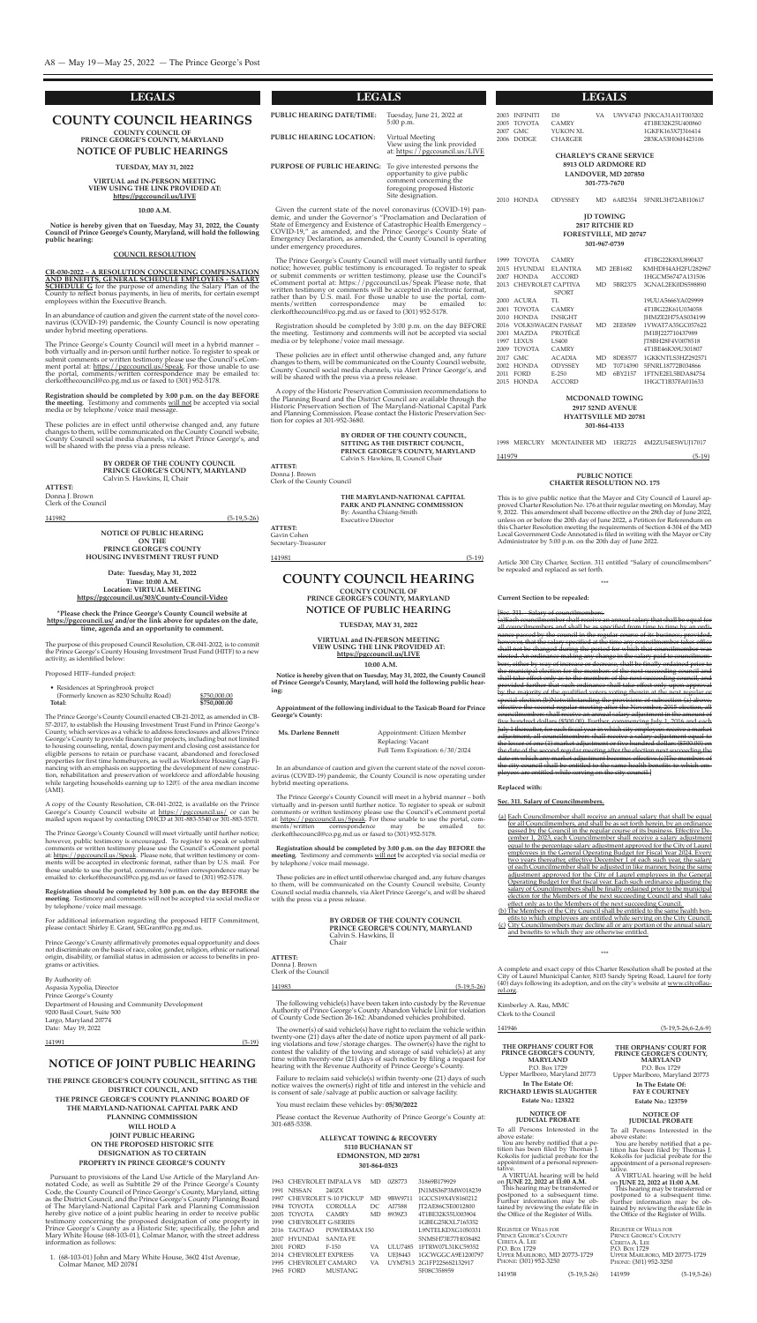#### **county council hearingS**

**county council of prince george'S county, maryland**

**notice of puBlic hearingS**

**tueSday, may 31, 2022**

**CR-030-2022 – A RESOLUTION CONCERNING COMPENSATION AND BENEFITS, GENERAL SCHEDULE EMPLOYEES - SALARY SCHEDULE G** for the purpose of amending the salary plan of the county to reflect bonus payments, in lieu of merits, for certain exempt employees within the Executive Branch.

**Virtual and in-perSon meeting View uSing the linK proVided at: https://pgccouncil.us/liVe**

#### **10:00 a.m.**

**notice is hereby given that on tuesday, may 31, 2022, the county council of prince george's county, maryland, will hold the following public hearing:**

#### **council reSolution**

The Prince George's County Council will meet in a hybrid manner both virtually and in-person until further notice. To register to speak or submit comments or written testimony please use the council's ecomment portal at: <u>https://pgccouncil.us/Speak</u>. For those unable to use the portal, comments/written correspondence may be emailed to: clerkofthecouncil@co.pg.md.us or faxed to (301) 952-5178.

In an abundance of caution and given the current state of the novel coronavirus (coVID-19) pandemic, the county council is now operating under hybrid meeting operations.

> **By order of the county council prince george'S county, maryland** Calvin S. Hawkins, II, Chair

#### **ATTEST:**

**Registration should be completed by 3:00 p.m. on the day BEFORE the meeting**. Testimony and comments will not be accepted via social media or by telephone/voice mail message.

> The Prince George's County Council will meet in a hybrid manner – both virtually and in-person until further notice. To register to speak or submit comments or written testimony please use the Council's eComment portal at: <u>https://pgccouncil.us/Speak</u>. For those unable to use the portal, com-<br>ments/written correspondence may be emailed to: correspondence may be emailed to: clerkofthecouncil@co.pg.md.us or faxed to (301) 952-5178.

> These policies are in effect until otherwise changed and, any future changes to them, will be communicated on the county council website, county Council social media channels, via Alert Prince George's, and will be shared with the press via a press release.

These policies are in effect until otherwise changed and, any future changes to them, will be communicated on the county council website, county council social media channels, via Alert prince george's, and will be shared with the press via a press release.

Donna J. Brown clerk of the council

#### 141982 (5-19,5-26)

### **COUNTY COUNCIL HEARING**

**COUNTY COUNCIL OF PRINCE GEORGE'S COUNTY, MARYLAND**

**NOTICE OF PUBLIC HEARING**

**TUESDAY, MAY 31, 2022**

**VIRTUAL and IN-PERSON MEETING VIEW USING THE LINK PROVIDED AT: https://pgccouncil.us/LIVE**

**10:00 A.M.**

**Notice is hereby given that on Tuesday, May 31, 2022, the County Council of Prince George's County, Maryland, will hold the following public hearing:**

**Appointment of the following individual to the Taxicab Board for Prince George's County:**

| Appointment: Citizen Member     |
|---------------------------------|
| Replacing: Vacant               |
| Full Term Expiration: 6/30/2024 |
|                                 |

The owner(s) of said vehicle(s) have right to reclaim the vehicle within twenty-one (21) days after the date of notice upon payment of all parking violations and tow/storage charges. The owner(s) have the right to contest the validity of the towing and storage of said vehicle(s) at any time within twenty-one (21) days of such notice by filing a request for hearing with the Revenue Authority of Prince George's County.

In an abundance of caution and given the current state of the novel coronavirus (coVID-19) pandemic, the county council is now operating under hybrid meeting operations.

Please contact the Revenue Authority of Prince George's County at: 301-685-5358.

**Registration should be completed by 3:00 p.m. on the day BEFORE the meeting**. Testimony and comments will not be accepted via social media or by telephone/voice mail message.

 $$750,000.00$ **Total: \$750,000.00**

#### **BY ORDER OF THE COUNTY COUNCIL PRINCE GEORGE'S COUNTY, MARYLAND** Calvin S. Hawkins, II chair

**ATTEST:** Donna J. Brown clerk of the council

# 141983 (5-19,5-26)

#### **notice of Joint puBlic hearing**

**the prince george'S county council, Sitting aS the diStrict council, and the prince george'S county planning Board of the maryland-national capital parK and planning commiSSion will hold a Joint puBlic hearing on the propoSed hiStoric Site deSignation aS to certain property in prince george'S county**

The Prince George's County Council enacted CB-21-2012, as amended in CB-57-2017, to establish the Housing Investment Trust Fund in Prince George's county, which services as a vehicle to address foreclosures and allows prince George's County to provide financing for projects, including but not limited to housing counseling, rental, down payment and closing cost assistance for eligible persons to retain or purchase vacant, abandoned and foreclosed properties for first time homebuyers, as well as Workforce Housing Gap Financing with an emphasis on supporting the development of new construction, rehabilitation and preservation of workforce and affordable housing while targeting households earning up to 120% of the area median income (AMI).

pursuant to provisions of the Land Use Article of the Maryland Annotated Code, as well as Subtitle 29 of the Prince George's County code, the county council of prince george's county, Maryland, sitting as the District Council, and the Prince George's County Planning Board of The Maryland-National Capital Park and Planning Commission hereby give notice of a joint public hearing in order to receive public testimony concerning the proposed designation of one property in Prince George's County as a Historic Site; specifically, the John and Mary White House (68-103-01), Colmar Manor, with the street address information as follows:

For additional information regarding the proposed hITF commitment, please contact: Shirley E. Grant, SEGrant@co.pg.md.us.

Prince George's County affirmatively promotes equal opportunity and does not discriminate on the basis of race, color, gender, religion, ethnic or national origin, disability, or familial status in admission or access to benefits in programs or activities.

1. (68-103-01) John and Mary White house, 3602 41st Avenue, colmar Manor, MD 20781

The following vehicle(s) have been taken into custody by the Revenue Authority of Prince George's County Abandon Vehicle Unit for violation of county code section 26-162: Abandoned vehicles prohibited.

Given the current state of the novel coronavirus (COVID-19) pandemic, and under the governor's "proclamation and Declaration of State of Emergency and Existence of Catastrophic Health Emergency -COVID-19," as amended, and the Prince George's County State of Emergency Declaration, as amended, the County Council is operating under emergency procedures.

The Prince George's County Council will meet virtually until further notice; however, public testimony is encouraged. To register to speak or submit comments or written testimony, please use the council's eComment portal at: https://pgccouncil.us/Speak Please note, that written testimony or comments will be accepted in electronic format, rather than by U.s. mail. For those unable to use the portal, comments/written correspondence may be emailed to: clerkofthecouncil@co.pg.md.us or faxed to (301) 952-5178.

Failure to reclaim said vehicle(s) within twenty-one (21) days of such notice waives the owner(s) right of title and interest in the vehicle and is consent of sale/salvage at public auction or salvage facility.

You must reclaim these vehicles by: **05/30/2022**

A copy of the Historic Preservation Commission recommendations to the planning Board and the District council are available through the Historic Preservation Section of The Maryland-National Capital Park and Planning Commission. Please contact the Historic Preservation Section for copies at 301-952-3680.

> **the maryland-national capital parK and planning commiSSion** By: Asuntha chiang-smith **Executive Director**

#### **ALLEYCAT TOWING & RECOVERY 5110 BUCHANAN ST EDMONSTON, MD 20781 301-864-0323**

 cheVRoLeT IMpALA V8 MD 0Z8773 31869B179929 nIssAn 240Zx Jn1Ms36p3MW018239 cheVRoLeT s-10 pIcKUp MD 9BW9711 1gccs19x4V8160212 ToYoTA coRoLLA Dc AI7588 JT2Ae86c5e0012800 ToYoTA cAMRY MD 8939Z3 4T1Be32K55U003904 1990 CHEVROLET G-SERIES 1GBEG25KXL7165352 2016 TAOTAO POWERMAX 150 L9NTELKDXG1050331 hYUnDAI sAnTA Fe 5nMsh73e77h038482 FoRD F-150 VA ULU7485 1FTRW07L31Kc59352 cheVRoLeT expRess VA UeJ8443 1gcWggcA9e1200797 cheVRoLeT cAMARo VA UYM7813 2g1Fp22s6s2132917 FoRD MUsTAng 5F08c358959

**NOTICE OF PUBLIC HEARING ON THE PRINCE GEORGE'S COUNTY HOUSING INVESTMENT TRUST FUND**

**Date: Tuesday, May 31, 2022 Time: 10:00 A.M. Location: VIRTUAL MEETING https://pgccouncil.us/303/County-Council-Video**

**\*Please check the Prince George's County Council website at https://pgccouncil.us/ and/or the link above for updates on the date, time, agenda and an opportunity to comment.**

Article 300 City Charter, Section. 311 entitled "Salary of councilmembers" be repealed and replaced as set forth.

The purpose of this proposed council Resolution, cR-041-2022, is to commit the Prince George's County Housing Investment Trust Fund (HITF) to a new activity, as identified below:

proposed hITF–funded project:

| • Residences at Springbrook project   |
|---------------------------------------|
| (Formerly known as 8230 Schultz Road) |
| Total:                                |

A copy of the county Resolution, cR-041-2022, is available on the prince George's County Council website at <u>https://pgccouncil.us/</u> or can be mailed upon request by contacting DhcD at 301-883-5540 or 301-883-5570.

The Prince George's County Council will meet virtually until further notice; however, public testimony is encouraged. To register to speak or submit comments or written testimony please use the Council's eComment portal at: https://pgccouncil.us/Speak. Please note, that written testimony or comments will be accepted in electronic format, rather than by U.s. mail. For those unable to use the portal, comments/written correspondence may be emailed to: clerkofthecouncil@co.pg.md.us or faxed to (301) 952-5178.

- (a) Each Councilmember shall receive an annual salary that shall be equal for all Councilmembers, and shall be as set forth herein, by an ordinance passed by the Council in the regular course of its business. Effective December 1, 2023, each councilmember shall receive a salary adjustment equal to the percentage salary adjustment approved for the city of Laurel employees in the General Operating Budget for Fiscal Year 2024. Every two years thereafter, effective December 1 of each such year, the salary of each councilmember shall be adjusted in like manner, being the same adjustment approved for the City of Laurel employees in the General Operating Budget for that fiscal year. Each such ordinance adjusting the salary of Councilmembers shall be finally ordained prior to the municipal election for the Members of the next succeeding Council and shall take effect only as to the Members of the next succeeding Council.
- (b) The Members of the city council shall be entitled to the same health benefits to which employees are entitled while serving on the City Council.
- (c) city councilmembers may decline all or any portion of the annual salary and benefits to which they are otherwise entitled.

**Registration should be completed by 3:00 p.m. on the day BEFORE the meeting**. Testimony and comments will not be accepted via social media or by telephone/voice mail message.

By Authority of: Aspasia xypolia, Director Prince George's County Department of housing and community Development 9200 Basil court, suite 500 Largo, Maryland 20774 Date: May 19, 2022

141991 (5-19)

**PUBLIC HEARING DATE/TIME:** Tuesday, June 21, 2022 at 5:00 p.m. **PUBLIC HEARING LOCATION:** Virtual Meeting<br>View using the link provided at: https://pgccouncil.us/LIVE **PURPOSE OF PUBLIC HEARING:** To give interested persons the opportunity to give public comment concerning the foregoing proposed historic site designation.

Registration should be completed by 3:00 p.m. on the day BeFoRe the meeting. Testimony and comments will not be accepted via social media or by telephone/voice mail message.

These policies are in effect until otherwise changed and, any future changes to them, will be communicated on the county council website, County Council social media channels, via Alert Prince George's, and will be shared with the press via a press release.

> **By order of the county council, Sitting aS the diStrict council, prince george'S county, maryland** calvin s. hawkins, II, council chair

**atteSt:** Donna J. Brown clerk of the county council

> **atteSt:** Gavin Cohen secretary-Treasurer

141981 (5-19)

| 2003                                                                                                | <b>INFINITI</b> | I30            | VA |  | UWV4743 JNKCA31A11T003202 |
|-----------------------------------------------------------------------------------------------------|-----------------|----------------|----|--|---------------------------|
|                                                                                                     | 2005 TOYOTA     | <b>CAMRY</b>   |    |  | 4T1BE32K25U400860         |
|                                                                                                     | 2007 GMC        | YUKON XL       |    |  | 1GKFK163X7J316414         |
|                                                                                                     | 2006 DODGE      | <b>CHARGER</b> |    |  | 2B3KA53H06H423106         |
| <b>CHARLEY'S CRANE SERVICE</b><br>8913 OLD ARDMORE RD<br><b>LANDOVER, MD 207850</b><br>301-773-7670 |                 |                |    |  |                           |
|                                                                                                     | 2010 HONDA      | <b>ODYSSEY</b> | MD |  | 6AB2354 5FNRL3H72AB110617 |
| <b>ID TOWING</b><br>2817 RITCHIE RD<br><b>FORESTVILLE, MD 20747</b><br>301-967-0739                 |                 |                |    |  |                           |

| 1999 | <b>TOYOTA</b>            | <b>CAMRY</b>   |    |                   | 4T1BG22K8XU890437       |
|------|--------------------------|----------------|----|-------------------|-------------------------|
| 2015 | <b>HYUNDAI</b>           | ELANTRA        |    | <b>MD 2EB1682</b> | KMHDH4AH2FU282967       |
| 2007 | <b>HONDA</b>             | <b>ACCORD</b>  |    |                   | 1HGCM56747A131506       |
| 2013 | CHEVROLET CAPTIVA        |                | MD | 5BR2375           | 3GNAL2EK0DS598890       |
|      |                          | <b>SPORT</b>   |    |                   |                         |
| 2000 | ACURA                    | TL.            |    |                   | 19UUA5666YA029999       |
| 2001 | <b>TOYOTA</b>            | <b>CAMRY</b>   |    |                   | 4T1BG22K61U034058       |
| 2010 | <b>HONDA</b>             | <b>INSIGHT</b> |    |                   | IHMZE2H75AS034199       |
| 2016 | <b>VOLKSWAGEN PASSAT</b> |                | MD | 2EE8509           | 1VWAT7A35GC057622       |
| 2001 | <b>MAZDA</b>             | <b>PROTÉGÉ</b> |    |                   | JM1BJ227710437989       |
|      | 1997 LEXUS               | LS400          |    |                   | IT8BH28F4V0078518       |
| 2009 | <b>TOYOTA</b>            | <b>CAMRY</b>   |    |                   | 4T1BE46KX9U301807       |
| 2017 | GMC.                     | <b>ACADIA</b>  | MD | 8DE8577           | 1GKKNTLS3HZ292571       |
| 2002 | <b>HONDA</b>             | <b>ODYSSEY</b> | MD | T0714390          | 5FNRL18772B034866       |
| 2011 | <b>FORD</b>              | $E-250$        | MD | 6BY2157           | 1 FTNE2 EL 5 BD A 84754 |
| 2015 | <b>HONDA</b>             | <b>ACCORD</b>  |    |                   | 1HGCT1B37FA011633       |

#### **MCDONALD TOWING 2917 52ND AVENUE HYATTSVILLE MD 20781 301-864-4133**

1998 MeRcURY MonTAIneeR MD 1eR2725 4M2ZU54e5WUJ17017

141979 (5-19)

#### **PUBLIC NOTICE CHARTER RESOLUTION NO. 175**

This is to give public notice that the Mayor and city council of Laurel approved Charter Resolution No. 176 at their regular meeting on Monday, May 9, 2022. This amendment shall become effective on the 28th day of June 2022, unless on or before the 20th day of June 2022, a Petition for Referendum on this charter Resolution meeting the requirements of section 4-304 of the MD Local Government Code Annotated is filed in writing with the Mayor or City Administrator by 5:00 p.m. on the 20th day of June 2022.

\*\*\*

**Current Section to be repealed:**

Salary of councilmemb

<sup>.</sup><br>(a)Each councilmember shall receive an annual salary that shall be equal for<br>all councilmembers and shall be as specified from time to time by an ordi all councilmembers and shall be as specified from time to time by an ordi-<br>nance passed by the council in the regular course of its business; provided. nance passed by the council in the regular course of its busine ver, that the salary specified at the time any councilmember that shall not be changed during the period for which that councilmemb elected. An ordinance making any change in the salary paid to councilmembers, either by way of increase or decrease, shall be finally ordained prior to municipal election for the members of the next succeeding council and shall take effect only as to the members of the next succeeding council, and provided further that such ordinance shall take effect only upon appr .<br>by the majority of the qualified voters voting therein at the next r  $s$ pecial election.(b)Notwithstanding the provisions of subsection (a) abo effective the second regular meeting after the November, 2015 election, all councilmembers shall receive an annual salary adjustment in the amount of five hundred dollars (\$500.00). Further, commencing July 1, 2016 and each ical vear in which city employe adjustment, all councilmembers shall receive a salary adjustment equal to ter of one (1) market adjustment or five hundred dollars (\$500.00) on the date of the second regular meeting after the election next succeeding the date on which any market adjustment becomes effective.(c)The memb the city council shall be entitled to the same health benefits to which are entitled while serving on the city council.]

**Replaced with:**

#### **Sec. 311. Salary of Councilmembers.**

\*\*\*

A complete and exact copy of this charter Resolution shall be posted at the City of Laurel Municipal Canter, 8103 Sandy Spring Road, Laurel for forty (40) days following its adoption, and on the city's website at www.cityoflaurel.org.

Kimberley A. Rau, MMc clerk to the council

141946 (5-19,5-26,6-2,6-9)

# **notice of Judicial proBate**

To all persons Interested in the above estate:

You are hereby notified that a petition has been filed by Thomas J. Kokolis for judicial probate for the appointment of a personal representative. tative.

A VIRTUAL hearing will be held on **June 22, 2022 at 11:00 a.m.**

| THE ORPHANS' COURT FOR<br>PRINCE GEORGE'S COUNTY,<br><b>MARYLAND</b><br>P.O. Box 1729 | THE ORPHANS' COURT FOR<br>PRINCE GEORGE'S COUNTY,<br><b>MARYLAND</b> |
|---------------------------------------------------------------------------------------|----------------------------------------------------------------------|
| Upper Marlboro, Maryland 20773                                                        | P.O. Box 1729<br>Upper Marlboro, Maryland 20773                      |
| In The Estate Of:<br><b>RICHARD LEWIS SLAUGHTER</b><br><b>Estate No.: 123322</b>      | In The Estate Of:<br><b>FAY E COURTNEY</b><br>Estate No.: 123759     |

This hearing may be transferred or postponed to a subsequent time. Further information may be obtained by reviewing the estate file in the office of the Register of Wills.

**notice of Judicial proBate** To all persons Interested in the

above estate:

You are hereby notified that a petition has been filed by Thomas J. Kokolis for judicial probate for the appointment of a personal represen-

| <b>REGISTER OF WILLS FOR</b><br>PRINCE GEORGE'S COUNTY<br>CERETA A. LEE<br>P.O. Box 1729<br>UPPER MARLBORO, MD 20773-1729<br>PHONE: (301) 952-3250 |               | <b>REGISTER OF WILLS FOR</b><br><b>PRINCE GEORGE'S COUNTY</b><br>CERETA A. LEE<br>P.O. Box 1729<br>PHONE: (301) 952-3250 | UPPER MARLBORO, MD 20773-1729 |
|----------------------------------------------------------------------------------------------------------------------------------------------------|---------------|--------------------------------------------------------------------------------------------------------------------------|-------------------------------|
| 141958                                                                                                                                             | $(5-19,5-26)$ | 141959                                                                                                                   | $(5-19,5-26)$                 |

tative.

A VIRTUAL hearing will be held on **June 22, 2022 at 11:00 a.m.** This hearing may be transferred or postponed to a subsequent time. Further information may be obtained by reviewing the estate file in the office of the Register of Wills.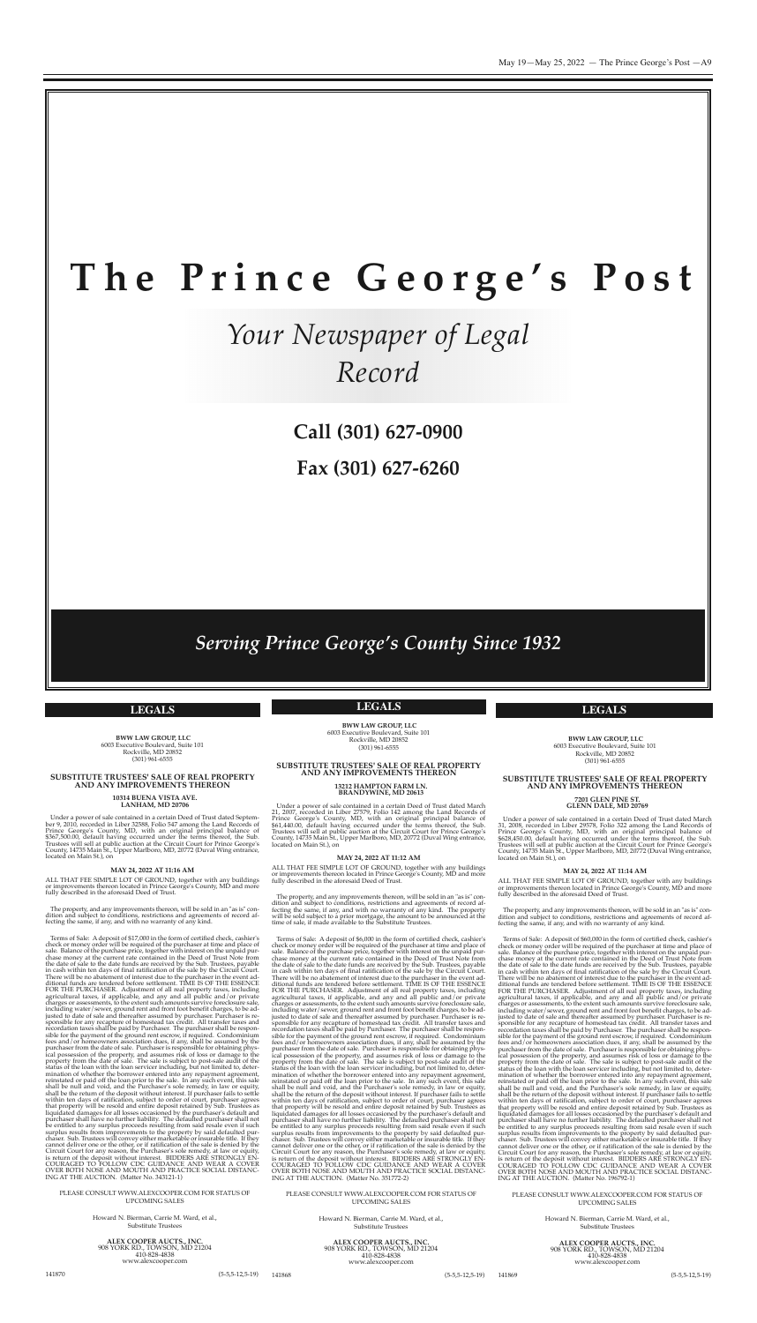

#### **SUBSTITUTE TRUSTEES' SALE OF REAL PROPERTY AND ANY IMPROVEMENTS THEREON**

# **<sup>13212</sup> HAMPTON FARM LN. BRANDYWINE, MD <sup>20613</sup>**

The property, and any improvements thereon, will be sold in an "as is" condition and subject to conditions, restrictions and agreements of record affecting the same, if any, and with no warranty of any kind. The property will be sold subject to a prior mortgage, the amount to be announced at the time of sale, if made available to the Substitute Trustees.

Under a power of sale contained in a certain Deed of Trust dated March 21, 2007, recorded in Liber 27579, Folio 142 among the Land Records of Prince George's County, MD, with an original principal balance of \$61,440.00, default having occurred under the terms thereof, the sub. Trustees will sell at public auction at the circuit court for prince george's county, 14735 Main st., Upper Marlboro, MD, 20772 (Duval Wing entrance, located on Main st.), on

#### **MAY 24, 2022 AT 11:12 AM**

ALL ThAT Fee sIMpLe LoT oF gRoUnD, together with any buildings or improvements thereon located in Prince George's County, MD and more fully described in the aforesaid Deed of Trust.

> Howard N. Bierman, Carrie M. Ward, et al., substitute Trustees

**ALEX COOPER AUCTS., INC.** <sup>908</sup> YoRK RD., ToWson, MD <sup>21204</sup> www.alexcooper.com

Terms of sale: A deposit of \$6,000 in the form of certified check, cashier's check or money order will be required of the purchaser at time and place of sale. Balance of the purchase price, together with interest on the unpaid purchase money at the current rate contained in the Deed of Trust Note from the date of sale to the date funds are received by the Sub. Trustees, payable in cash within ten days of final ratification of the sale by the circuit court. There will be no abatement of interest due to the purchaser in the event additional funds are tendered before settlement. TIMe Is oF The essence FoR The pURchAseR. Adjustment of all real property taxes, including agricultural taxes, if applicable, and any and all public and/or private charges or assessments, to the extent such amounts survive foreclosure sale, including water/sewer, ground rent and front foot benefit charges, to be adjusted to date of sale and thereafter assumed by purchaser. Purchaser is responsible for any recapture of homestead tax credit. All transfer taxes and recordation taxes shall be paid by purchaser. The purchaser shall be responsible for the payment of the ground rent escrow, if required. condominium fees and/or homeowners association dues, if any, shall be assumed by the purchaser from the date of sale. Purchaser is responsible for obtaining physical possession of the property, and assumes risk of loss or damage to the property from the date of sale. The sale is subject to post-sale audit of the status of the loan with the loan servicer including, but not limited to, determination of whether the borrower entered into any repayment agreement, reinstated or paid off the loan prior to the sale. In any such event, this sale shall be null and void, and the purchaser's sole remedy, in law or equity, shall be the return of the deposit without interest. If purchaser fails to settle within ten days of ratification, subject to order of court, purchaser agrees that property will be resold and entire deposit retained by sub. Trustees as liquidated damages for all losses occasioned by the purchaser's default and purchaser shall have no further liability. The defaulted purchaser shall not be entitled to any surplus proceeds resulting from said resale even if such surplus results from improvements to the property by said defaulted purchaser. sub. Trustees will convey either marketable or insurable title. If they cannot deliver one or the other, or if ratification of the sale is denied by the circuit court for any reason, the purchaser's sole remedy, at law or equity, is return of the deposit without interest. BIDDERS ARE STRONGLY ENcoURAgeD To FoLLoW cDc gUIDAnce AnD WeAR A coVeR oVeR BoTh nose AnD MoUTh AnD pRAcTIce socIAL DIsTAnc-Ing AT The AUcTIon. (Matter no. 351772-2)

#### pLeAse consULT WWW.ALexcoopeR.coM FoR sTATUs oF UpcoMIng sALes

Howard N. Bierman, Carrie M. Ward, et al., substitute Trustees

141868 (5-5,5-12,5-19)

**BWW LAW GROUP, LLC** 6003 executive Boulevard, suite 101 Rockville, MD 20852 (301) 961-6555

#### **SUBSTITUTE TRUSTEES' SALE OF REAL PROPERTY AND ANY IMPROVEMENTS THEREON**

# **<sup>7201</sup> GLEN PINE ST. GLENN DALE, MD <sup>20769</sup>**

Under a power of sale contained in a certain Deed of Trust dated September 9, 2010, recorded in Liber 32588, Folio 547 among the Land Records of Prince George's County, MD, with an original principal balance of \$367,500.00, default having occurred under the terms thereof, the sub. Trustees will sell at public auction at the Circuit Court for Prince George's County, 14735 Main St., Upper Marlboro, MD, 20772 (Duval Wing entrance, located on Main st.), on

ALL THAT FEE SIMPLE LOT OF GROUND, together with any buildings or improvements thereon located in Prince George's County, MD and more fully described in the aforesaid Deed of Trust.

Under a power of sale contained in a certain Deed of Trust dated March 31, 2008, recorded in Liber 29578, Folio 322 among the Land Records of prince george's county, MD, with an original principal balance of \$628,450.00, default having occurred under the terms thereof, the sub. Trustees will sell at public auction at the circuit court for prince george's County, 14735 Main St., Upper Marlboro, MD, 20772 (Duval Wing entrance, located on Main st.), on

#### **MAY 24, 2022 AT 11:14 AM**

ALL ThAT Fee sIMpLe LoT oF gRoUnD, together with any buildings or improvements thereon located in Prince George's County, MD and more fully described in the aforesaid Deed of Trust.

The property, and any improvements thereon, will be sold in an "as is" condition and subject to conditions, restrictions and agreements of record affecting the same, if any, and with no warranty of any kind.

Howard N. Bierman, Carrie M. Ward, et al., substitute Trustees

Terms of sale: A deposit of \$60,000 in the form of certified check, cashier's check or money order will be required of the purchaser at time and place of sale. Balance of the purchase price, together with interest on the unpaid purchase money at the current rate contained in the Deed of Trust Note from the date of sale to the date funds are received by the Sub. Trustees, payable in cash within ten days of final ratification of the sale by the circuit court. There will be no abatement of interest due to the purchaser in the event additional funds are tendered before settlement. TIMe Is oF The essence FOR THE PURCHASER. Adjustment of all real property taxes, including agricultural taxes, if applicable, and any and all public and/or private charges or assessments, to the extent such amounts survive foreclosure sale, including water/sewer, ground rent and front foot benefit charges, to be adjusted to date of sale and thereafter assumed by purchaser. purchaser is responsible for any recapture of homestead tax credit. All transfer taxes and recordation taxes shall be paid by purchaser. The purchaser shall be responsible for the payment of the ground rent escrow, if required. condominium fees and/or homeowners association dues, if any, shall be assumed by the purchaser from the date of sale. Purchaser is responsible for obtaining physical possession of the property, and assumes risk of loss or damage to the property from the date of sale. The sale is subject to post-sale audit of the status of the loan with the loan servicer including, but not limited to, determination of whether the borrower entered into any repayment agreement, reinstated or paid off the loan prior to the sale. In any such event, this sale shall be null and void, and the purchaser's sole remedy, in law or equity, shall be the return of the deposit without interest. If purchaser fails to settle within ten days of ratification, subject to order of court, purchaser agrees that property will be resold and entire deposit retained by sub. Trustees as liquidated damages for all losses occasioned by the purchaser's default and purchaser shall have no further liability. The defaulted purchaser shall not be entitled to any surplus proceeds resulting from said resale even if such surplus results from improvements to the property by said defaulted purchaser. sub. Trustees will convey either marketable or insurable title. If they cannot deliver one or the other, or if ratification of the sale is denied by the circuit court for any reason, the purchaser's sole remedy, at law or equity, is return of the deposit without interest. BIDDERS ARE STRONGLY ENcoURAgeD To FoLLoW cDc gUIDAnce AnD WeAR A coVeR oVeR BoTh nose AnD MoUTh AnD pRAcTIce socIAL DIsTAnc-Ing AT The AUcTIon. (Matter no. 196792-1)

#### pLeAse consULT WWW.ALexcoopeR.coM FoR sTATUs oF UpcoMIng sALes

**ALEX COOPER AUCTS., INC.** <sup>908</sup> YoRK RD., ToWson, MD <sup>21204</sup> 410-828-4838 www.alexcooper.com

141869 (5-5,5-12,5-19)

**BWW LAW GROUP, LLC** 6003 executive Boulevard, suite 101 Rockville, MD 20852 (301) 961-6555

#### **SUBSTITUTE TRUSTEES' SALE OF REAL PROPERTY AND ANY IMPROVEMENTS THEREON**

# **<sup>10314</sup> BUENA VISTA AVE. LANHAM, MD <sup>20706</sup>**

#### **MAY 24, 2022 AT 11:16 AM**

The property, and any improvements thereon, will be sold in an "as is" condition and subject to conditions, restrictions and agreements of record affecting the same, if any, and with no warranty of any kind.

Terms of sale: A deposit of \$17,000 in the form of certified check, cashier's check or money order will be required of the purchaser at time and place of sale. Balance of the purchase price, together with interest on the unpaid purchase money at the current rate contained in the Deed of Trust Note from the date of sale to the date funds are received by the Sub. Trustees, payable in cash within ten days of final ratification of the sale by the Circuit Court. There will be no abatement of interest due to the purchaser in the event additional funds are tendered before settlement. TIME IS OF THE ESSENCE FoR The pURchAseR. Adjustment of all real property taxes, including agricultural taxes, if applicable, and any and all public and/or private charges or assessments, to the extent such amounts survive foreclosure sale, including water/sewer, ground rent and front foot benefit charges, to be adjusted to date of sale and thereafter assumed by purchaser. purchaser is responsible for any recapture of homestead tax credit. All transfer taxes and recordation taxes shall be paid by purchaser. The purchaser shall be responsible for the payment of the ground rent escrow, if required. condominium fees and/or homeowners association dues, if any, shall be assumed by the purchaser from the date of sale. Purchaser is responsible for obtaining physical possession of the property, and assumes risk of loss or damage to the property from the date of sale. The sale is subject to post-sale audit of the status of the loan with the loan servicer including, but not limited to, determination of whether the borrower entered into any repayment agreement, reinstated or paid off the loan prior to the sale. In any such event, this sale shall be null and void, and the purchaser's sole remedy, in law or equity, shall be the return of the deposit without interest. If purchaser fails to settle within ten days of ratification, subject to order of court, purchaser agrees that property will be resold and entire deposit retained by sub. Trustees as liquidated damages for all losses occasioned by the purchaser's default and purchaser shall have no further liability. The defaulted purchaser shall not be entitled to any surplus proceeds resulting from said resale even if such surplus results from improvements to the property by said defaulted purchaser. sub. Trustees will convey either marketable or insurable title. If they cannot deliver one or the other, or if ratification of the sale is denied by the circuit court for any reason, the purchaser's sole remedy, at law or equity, is return of the deposit without interest. BIDDERS ARE STRONGLY ENcoURAgeD To FoLLoW cDc gUIDAnce AnD WeAR A coVeR oVeR BoTh nose AnD MoUTh AnD pRAcTIce socIAL DIsTAnc-Ing AT The AUcTIon. (Matter no. 343121-1)

#### pLeAse consULT WWW.ALexcoopeR.coM FoR sTATUs oF UpcoMIng sALes

**ALEX COOPER AUCTS., INC.** <sup>908</sup> YoRK RD., ToWson, MD <sup>21204</sup> 410-828-4838 www.alexcooper.com

141870 (5-5,5-12,5-19)

May  $19$ —May  $25$ ,  $2022$  — The Prince George's Post —A9

# **T h e P r i n c e G e o r g e ' s P o s t**

**Call (301) 627-0900**

**Fax (301) 627-6260**

# *Your Newspaper of Legal Record*

*Serving Prince George's County Since 1932*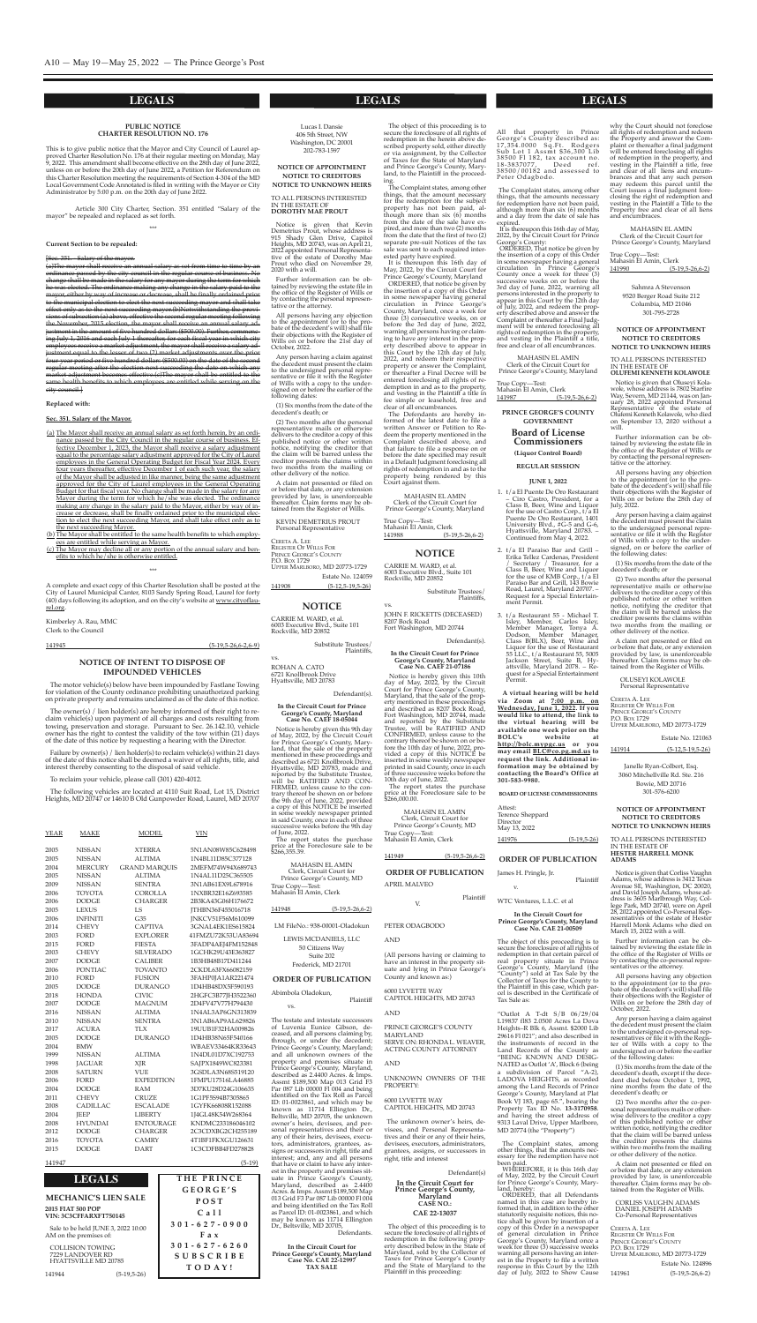Lucas I. Dansie 406 5th street, nW Washington, DC 20001 202-783-1597

#### **NOTICE OF APPOINTMENT NOTICE TO CREDITORS NOTICE TO UNKNOWN HEIRS**

To ALL peRsons InTeResTeD In The esTATe oF **dorothy mae prout**

Notice is given that Kevin<br>Demetrius Prout, whose address is 915 shady glen Drive, capitol heights, MD 20743, was on April 21, 2022 appointed Personal Representative of the estate of Dorothy Mae Prout who died on November 29, 2020 with a will.

Further information can be obtained by reviewing the estate file in the office of the Register of Wills or by contacting the personal representative or the attorney.

All persons having any objection to the appointment (or to the probate of the decedent's will) shall file their objections with the Register of Wills on or before the 21st day of october, 2022.

Estate No. 124059 141908 (5-12,5-19,5-26)

#### **NOTICE**

Any person having a claim against the decedent must present the claim to the undersigned personal representative or file it with the Register of Wills with a copy to the undersigned on or before the earlier of the following dates:

(1) six months from the date of the decedent's death; or

Notice is given that Oluseyi Kolawole, whose address is 7802 starfire Way, severn, MD 21144, was on January 28, 2022 appointed personal Representative of the estate of olufemi Kenneth Kolawole, who died on september 13, 2020 without a will.

(2) Two months after the personal representative mails or otherwise delivers to the creditor a copy of this published notice or other written notice, notifying the creditor that the claim will be barred unless the creditor presents the claims within two months from the mailing or other delivery of the notice.

A claim not presented or filed on or before that date, or any extension provided by law, is unenforceable thereafter. Claim forms may be obtained from the Register of Wills.

KeVIn DeMeTRIUs pRoUT personal Representative

ceReTA A. Lee RegIsTeR oF WILLs FoR PRINCE GEORGE'S COUNTY p.o. Box 1729 UppeR MARLBoRo, MD 20773-1729

sahmra A stevenson 9520 Berger Road suite 212 columbia, MD 21046 301-795-2728

**notice of appointment notice to creditorS notice to unKnown heirS**

To ALL peRsons InTeResTeD In The esTATe oF **olufemi Kenneth Kolawole**

Further information can be obtained by reviewing the estate file in the office of the Register of Wills or by contacting the personal representative or the attorney.

All persons having any objection to the appointment (or to the probate of the decedent's will) shall file their objections with the Register of Wills on or before the 28th day of July, 2022.

Any person having a claim against the decedent must present the claim to the undersigned personal representative or file it with the Register of Wills with a copy to the undersigned, on or before the earlier of the following dates:

(1) six months from the date of the decedent's death; or

(2) Two months after the personal representative mails or otherwise delivers to the creditor a copy of this published notice or other written notice, notifying the creditor that the claim will be barred unless the creditor presents the claims within two months from the mailing or other delivery of the notice.

A claim not presented or filed on or before that date, or any extension provided by law, is unenforceable thereafter. claim forms may be obtained from the Register of Wills.

oLUseYI KoLAWoLe personal Representative

ceReTA A. Lee RegIsTeR oF WILLs FoR PRINCE GEORGE'S COUNTY P.O. Box 1729 UppeR MARLBoRo, MD 20773-1729 Estate No. 121063 141914 (5-12,5-19,5-26)

#### **PUBLIC NOTICE CHARTER RESOLUTION NO. 176**

This is to give public notice that the Mayor and city council of Laurel approved Charter Resolution No. 176 at their regular meeting on Monday, May 9, 2022. This amendment shall become effective on the 28th day of June 2022, unless on or before the 20th day of June 2022, a Petition for Referendum on this charter Resolution meeting the requirements of section 4-304 of the MD Local government code Annotated is filed in writing with the Mayor or city Administrator by 5:00 p.m. on the 20th day of June 2022.

Article 300 city charter, section. 351 entitled "salary of the mayor" be repealed and replaced as set forth.

\*\*\*

#### **Current Section to be repealed:**

#### [sec. 351. - salary of the mayor.

ROHAN A. CATO 6721 Knollbrook Drive hyattsville, MD 20783

(a)The mayor shall receive an annual salary as set from time to time by an ordinance passed by the city council in the regular course of business change shall be made in the salary for any mayor during the term for which he was elected. The ordinance making any change in the salary paid to the mayor, either by way of increase or decrease, shall be finally ordained prior to the municipal election to elect the next succeeding mayor and shall take effect only as to the next succeeding mayor.(b)Notwithstanding the provisubsection (a) above, effective the second regular meeting following the November, 2015 election, the mayor shall receive an annual salary adjustment in the amount of five hundred dollars (\$500.00). Further, commenc ing July 1, 2016 and each July 1 thereafter, for each fiscal year in which city employees receive a market adjustment, the mayor shall receive a salary adjustment equal to the lesser of two (2) market adjustments over the prior year period or five hundred dollars (\$500.00) on the date of the regular meeting after the election next succeeding the date on which any market adjustment becomes effective.(c)The mayor shall be entitled to the same health benefits to which employees are entitled while serving on the city council.]

> Notice is hereby given this 9th day of May, 2022, by the circuit court for prince george's county, Maryland, that the sale of the property mentioned in these proceedings and described as 6721 Knollbrook Drive, hyattsville, MD 20783, made and reported by the substitute Trustee, will be RATIFIeD AnD con-FIRMED, unless cause to the contrary thereof be shown on or before the 9th day of June, 2022, provided a copy of this NOTICE be inserted in some weekly newspaper printed in said county, once in each of three successive weeks before the 9th day of June, 2022.

MAhAsIn eL AMIn clerk, circuit court for Prince George's County, MD True copy—Test: Mahasin El Amin*,* Clerk

#### **Replaced with:**

#### **Sec. 351. Salary of the Mayor.**

MAhAsIn eL AMIn clerk, circuit court for Prince George's County, MD True copy—Test: Mahasin El Amin*,* Clerk

Janelle Ryan-Colbert, Esq. 3060 Mitchellville Rd. ste. 216 Bowie, MD 20716 301-576-6200

Notice is given that Corliss Vaughn Adams, whose address is 3412 Texas Avenue se, Washington, Dc 20020, and David JosephAdams, whose address is 3605 Marlbrough Way, college park, MD 20740, were on April 28, 2022 appointed co-personal Representatives of the estate of Hester harrell Monk Adams who died on March 15, 2022 with a will.

- (a) The Mayor shall receive an annual salary as set forth herein, by an ordinance passed by the City Council in the regular course of business. Effective December 1, 2023, the Mayor shall receive a salary adjustment equal to the percentage salary adjustment approved for the City of Laurel employees in the General Operating Budget for Fiscal Year 2024. Every four years thereafter, effective December 1 of each such year, the salary of the Mayor shall be adjusted in like manner, being the same adjustment approved for the City of Laurel employees in the General Operating Budget for that fiscal year. No change shall be made in the salary for any Mayor during the term for which he/she was elected. The ordinance making any change in the salary paid to the Mayor, either by way of increase or decrease, shall be finally ordained prior to the municipal election to elect the next succeeding Mayor, and shall take effect only as to the next succeeding Mayor.
- (b) The Mayor shall be entitled to the same health benefits to which employees are entitled while serving as Mayor.
- (c) The Mayor may decline all or any portion of the annual salary and benefits to which he/she is otherwise entitled.

\*\*\*

A complete and exact copy of this charter Resolution shall be posted at the city of Laurel Municipal canter, 8103 sandy spring Road, Laurel for forty (40) days following its adoption, and on the city's website at www.cityoflaurel.org.

- 1. t/a el puente De oro Restaurant ciro castro, president, for <sup>a</sup> class B, Beer, Wine and Liquor for the use of Castro Corp., t/a El Puente De Oro Restaurant, 1401 University Blvd., #g-5 and g-6, hyattsville, Maryland 20783. – continued from May 4, 2022.
- 2. t/a El Paraiso Bar and Grill Erika Tellez Cardenas, President / secretary / Treasurer, for a class B, Beer, Wine and Liquor for the use of KMB corp., t/a el paraiso Bar and grill, 143 Bowie Road, Laurel, Maryland 20707. – Request for a Special Entertainment Permit.
- 3. t/a Restaurant 55 Michael T. Isley, Member, carlos Isley, Member Manager, Tonya A. Dodson, Member Manager, class B(BLx), Beer, Wine and Liquor for the use of Restaurant 55 LLc., t/a Restaurant 55, 5005 Jackson street, suite B, hyattsville, Maryland 2078. – Request for a special entertainment Permit.

Kimberley A. Rau, MMc clerk to the council

141945 (5-19,5-26,6-2,6-9)

#### **NOTICE OF INTENT TO DISPOSE OF IMPOUNDED VEHICLES**

The motor vehicle(s) below have been impounded by Fastlane Towing for violation of the County ordinance prohibiting unauthorized parking on private property and remains unclaimed as of the date of this notice.

The owner(s) / lien holder(s) are hereby informed of their right to reclaim vehicle(s) upon payment of all charges and costs resulting from towing, preservation and storage. Pursuant to Sec. 26.142.10, owner has the right to contest the validity of the tow within (21) days of the date of this notice by requesting a hearing with the Director.

> LM FileNo.: 938-00001-Oladokun LeWIs McDAnIeLs, LLc 50 citizens Way suite 202

Failure by owner(s) / lien holder(s) to reclaim vehicle(s) within 21 days of the date of this notice shall be deemed a waiver of all rights, title, and interest thereby consenting to the disposal of said vehicle.

To reclaim your vehicle, please call (301) 420-4012.

The following vehicles are located at 4110 suit Road, Lot 15, District heights, MD 20747 or 14610 B old gunpowder Road, Laurel, MD 20707

It is thereupon this 16th day of May, 2022, by the circuit court for Prince George's County, Maryland

| <b>YEAR</b> | MAKE            | <b>MODEL</b>         | VIN                      |
|-------------|-----------------|----------------------|--------------------------|
| 2005        | <b>NISSAN</b>   | <b>XTERRA</b>        | 5N1AN08W85C628498        |
| 2005        | <b>NISSAN</b>   | <b>ALTIMA</b>        | 1N4BL11D85C377128        |
| 2004        | <b>MERCURY</b>  | <b>GRAND MAROUIS</b> | 2MEFM74W94X689743        |
| 2005        | NISSAN          | <b>ALTIMA</b>        | 1N4AL11D25C365505        |
| 2009        | <b>NISSAN</b>   | <b>SENTRA</b>        | 3N1AB61EX9L678916        |
| 2006        | <b>TOYOTA</b>   | <b>COROLLA</b>       | 1NXBR32E16Z693585        |
| 2006        | <b>DODGE</b>    | <b>CHARGER</b>       | 2B3KA43G06H176672        |
| 2005        | <b>LEXUS</b>    | LS                   | <b>TTHBN36F455016718</b> |
| 2006        | <b>INFINITI</b> | G35                  | JNKCV51F56M610099        |
| 2014        | <b>CHEVY</b>    | <b>CAPTIVA</b>       | 3GNAL4EK1ES615824        |
| 2003        | <b>FORD</b>     | <b>EXPLORER</b>      | 41FMZU72K53UA83694       |
| 2015        | FORD            | <b>FIESTA</b>        | 3FADP4AEJ4FM152848       |
| 2003        | <b>CHEVY</b>    | <b>SILVERADO</b>     | 1GCHK29U43E363827        |
| 2007        | <b>DODGE</b>    | <b>CALIBER</b>       | 1B3HB48B17D411244        |
| 2006        | <b>PONTIAC</b>  | <b>TOVANTO</b>       | 2CKDL63FX66082159        |
| 2010        | FORD            | <b>FUSION</b>        | 3FAHP0JA1AR221474        |
| 2005        | <b>DODGE</b>    | <b>DURANGO</b>       | 1D4HB48DX5F590193        |
| 2018        | <b>HONDA</b>    | <b>CIVIC</b>         | 2HGFC3B77JH3522360       |
| 2007        | <b>DODGE</b>    | <b>MAGNUM</b>        | 2D4FV47V77H794430        |
| 2016        | <b>NISSAN</b>   | <b>ALTIMA</b>        | 1N4AL3AP6GN313839        |
| 2010        | <b>NISSAN</b>   | <b>SENTRA</b>        | 3N1AB6AP9AL629826        |
| 2017        | <b>ACURA</b>    | TLX                  | 19UUB1F32HA009826        |
| 2005        | <b>DODGE</b>    | <b>DURANGO</b>       | 1D4HB38N65F540166        |
| 2004        | <b>BMW</b>      |                      | WBAEV33464KR33643        |
| 1999        | <b>NISSAN</b>   | <b>ALTIMA</b>        | 1N4DL01D7XC192753        |
| 1998        | <b>JAGUAR</b>   | <b>XJR</b>           | SAJPX1849WC823381        |
| 2008        | <b>SATURN</b>   | <b>VUE</b>           | 3GSDLA3N68S519120        |
| 2006        | FORD            | <b>EXPEDITION</b>    | 1FMPU17516LA46885        |
| 2004        | <b>DODGE</b>    | RAM                  | 3D7KU28D24G106635        |
| 2011        | <b>CHEVY</b>    | <b>CRUZE</b>         | 1G1PF5S94B7305865        |
| 2008        | <b>CADILLAC</b> | <b>ESCALADE</b>      | 1GYFK66808R152088        |
| 2004        | <b>IEEP</b>     | <b>LIBERTY</b>       | 1J4GL48K54W268364        |
| 2008        | <b>HYUNDAI</b>  | <b>ENTOURAGE</b>     | KNDMC233186046102        |
| 2012        | <b>DODGE</b>    | <b>CHARGER</b>       | 2C3CDXBG2CH255189        |
| 2016        | <b>TOYOTA</b>   | <b>CAMRY</b>         | 4T1BF1FKXGU126631        |
| 2015        | <b>DODGE</b>    | <b>DART</b>          | 1C3CDFBB4FD278828        |

MAhAsIn eL AMIn clerk of the circuit court for Prince George's County, Maryland

#### 141947 (5-19)

cARRIe M. WARD, et al. 6003 Executive Blvd., Suite 101 Rockville, MD 20852

> substitute Trustees/ plaintiffs,

vs.

Defendant(s).

**in the circuit court for prince george's county, maryland case no. caef 18-05044**

All that property in Prince george's county described as: 17,354.0000 Sq.Ft. Rodgers sub Lot 1 As smt \$36,300 Lib 38500 Fl 182, tax account no. 18-3837077, Deed ref. 38500/00182 and assessed to peter odagbodo.

It is thereupon this 16th day of May, 2022, by the circuit court for prince George's County:

MAhAsIn eL AMIn clerk of the circuit court for Prince George's County, Maryland

The report states the purchase price at the Foreclosure sale to be \$266,355.39.

> The object of this proceeding is to secure the foreclosure of all rights of redemption in that certain parcel of real property situate in Prince george's county, Maryland (the "County") sold at Tax Sale by the collector of Taxes for the county to the plaintiff in this case, which parcel is described in the certificate of Tax Sale as:

141948 (5-19,5-26,6-2)

#### **notice**

cARRIe M. WARD, et al. 6003 executive Blvd., suite 101

Rockville, MD 20852

substitute Trustees/ plaintiffs,

vs.

John F. RIcKeTTs (DeceAseD) 8207 Bock Road Fort Washington, MD 20744

Defendant(s).

**in the circuit court for prince george's county, maryland**

> "Outlot A T-dt S/B 06/29/04 L19837 fl83 2.0500 Acres La Dova heights–R Blk 6, Assmt. \$2000 Lib 29616 Fl 021"; and also described in the instruments of record in the Land Records of the county as "BEING KNOWN AND DESIG-NATED as Outlot 'A', Block 6 (being a subdivision of parcel "A-2), LADOVA HEIGHTS, as recorded among the Land Records of Prince George's County, Maryland at Plat Book VJ 183, page 65.", bearing the property Tax ID no. **13-3170958**. and having the street address of 9313 Laval Drive, Upper Marlboro, MD 20774 (the "property")

**case no. caef 21-07186** Notice is hereby given this 10th day of May, 2022, by the circuit court for prince george's county, Maryland, that the sale of the property mentioned in these proceedings and described as 8207 Bock Road, Fort Washington, MD 20744, made and reported by the substitute Trustee, will be RATIFIeD AnD conFIRMeD, unless cause to the contrary thereof be shown on or before the 10th day of June, 2022, provided a copy of this noTIce be inserted in some weekly newspaper printed in said county, once in each of three successive weeks before the 10th day of June, 2022. The report states the purchase

price at the Foreclosure sale to be \$266,000.00.

MAhAsIn eL AMIn clerk of the circuit court for Prince George's County, Maryland

True Copy-Test: Mahasin El Amin, Clerk 141990 (5-19,5-26,6-2)

141949 (5-19,5-26,6-2)

#### **NOTICE OF APPOINTMENT NOTICE TO CREDITORS NOTICE TO UNKNOWN HEIRS**

#### To ALL peRsons InTeResTeD In The esTATe oF **heSter harrell monK adamS**

Further information can be obtained by reviewing the estate file in the office of the Register of Wills or by contacting the co-personal representatives or the attorney.

All persons having any objection to the appointment (or to the probate of the decedent's will) shall file their objections with the Register of Wills on or before the 28th day of october, 2022.

Any person having a claim against the decedent must present the claim to the undersigned co-personal representatives or file it with the Register of Wills with a copy to the undersigned on or before the earlier of the following dates:

(1) six months from the date of the decedent's death, except if the decedent died before october 1, 1992, nine months from the date of the decedent's death; or

(2) Two months after the co-personal representatives mails or other-wise delivers to the creditor a copy of this published notice or other written notice, notifying the creditor that the claim will be barred unless the creditor presents the claims within two months from the mailing or other delivery of the notice.

A claim not presented or filed on or before that date, or any extension provided by law, is unenforceable thereafter. claim forms may be obtained from the Register of Wills.

coRLIss VAUghn ADAMs DAnIeL Joseph ADAMs co-personal Representatives

CERETA A. LEE REGISTER OF WILLS FOR PRINCE GEORGE'S COUNTY P.O. Box 1729 UppeR MARLBoRo, MD 20773-1729 Estate No. 124896

141961 (5-19,5-26,6-2)

**prince george'S county goVernment**

#### **Board of license commissioners**

**(liquor control Board) regular SeSSion**

#### **June 1, 2022**

**a virtual hearing will be held via Zoom at 7:00 p.m. on wednesday, June 1, 2022. if you would like to attend, the link to the virtual hearing will be**

**available one week prior on the Bolc's website at http://bolc.mypgc.us or you may email Blc@co.pg.md.us to request the link. additional information may be obtained by contacting the Board's office at 301-583-9980.**

**Board of licenSe commiSSionerS**

Attest: Terence Sheppard Director May 13, 2022 141976 (5-19,5-26)

Frederick, MD 21701

#### **order of puBlication**

#### Abimbola oladokun,

plaintiff

vs.

The testate and intestate successors of Luvenia Eunice Gibson, deceased, and all persons claiming by, through, or under the decedent; Prince George's County, Maryland; and all unknown owners of the property and premises situate in prince george's county, Maryland, described as 2.4400 Acres. & Imps. Assmt \$189,500 Map 013 Grid F3 par 087 Lib 00000 Fl 004 and being identified on the Tax Roll as Parcel ID: 01-0023861, and which may be known as 11714 ellington Dr., Beltsville, MD 20705, the unknown owner's heirs, devisees, and personal representatives and their or any of their heirs, devisees, executors, administrators, grantees, assigns or successors in right, title and interest; and, any and all persons that have or claim to have any interest in the property and premises situate in prince george's county, Maryland, described as 2.4400 Acres. & Imps. Assmt \$189,500 Map 013 Grid F3 Par 087 Lib 00000 Fl 004 and being identified on the Tax Roll as parcel ID: 01-0023861, and which may be known as 11714 Ellington Dr., Beltsville, MD 20705, Defendants.

|                                             |                                                              | GEORGE'S           |
|---------------------------------------------|--------------------------------------------------------------|--------------------|
|                                             | <b>MECHANIC'S LIEN SALE</b>                                  | <b>POST</b>        |
| 2015 FIAT 500 POP<br>VIN: 3C3CFFARXFT750145 |                                                              | C <sub>a</sub> 11  |
|                                             |                                                              | $301 - 627 - 0900$ |
|                                             | Sale to be held JUNE 3, 2022 10:00<br>AM on the premises of: | Fax                |
| <b>COLLISION TOWING</b>                     |                                                              | $301 - 627 - 6260$ |
| 7229 LANDOVER RD                            |                                                              | <b>SUBSCRIBE</b>   |
| <b>HYATTSVILLE MD 20785</b>                 |                                                              | TODAY!             |
| 141944                                      | (5-19.5-26)                                                  |                    |

 $THE$  **PRINCE** 

**in the circuit court for prince george's county, maryland case no. cae 22-12997 tax Sale**

The object of this proceeding is to secure the foreclosure of all rights of redemption in the herein above described property sold, either directly or via assignment, by the collector of Taxes for the state of Maryland and Prince George's County, Maryland, to the Plaintiff in the proceeding.

The complaint states, among other things, that the amount necessary for the redemption for the subject property has not been paid, although more than six (6) months from the date of the sale have expired, and more than two (2) months from the date that the first of two (2) separate pre-suit Notices of the tax sale was sent to each required interested party have expired.

oRDeReD, that notice be given by the insertion of a copy of this Order in some newspaper having general circulation in Prince George's county, Maryland, once a week for three (3) consecutive weeks, on or before the 3rd day of June, 2022, warning all persons having or claiming to have any interest in the property described above to appear in this court by the 12th day of July, 2022, and redeem their respective property or answer the complaint, or thereafter a Final Decree will be entered foreclosing all rights of redemption in and as to the property, and vesting in the plaintiff a title in fee simple or leasehold, free and clear of all encumbrances.

The Defendants are hereby informed of the latest date to file a written Answer or Petition to Redeem the property mentioned in the complaint described above, and that failure to file a response on or before the date specified may result in a Default Judgment foreclosing all rights of redemption in and as to the property being rendered by this court against them.

True copy—Test: Mahasin El Amin, Clerk 141988 (5-19,5-26,6-2)

**ORDER OF PUBLICATION**

ApRIL MALVeo

plaintiff V.

peTeR oDAgBoDo

**AND** 

(All persons having or claiming to have an interest in the property situate and lying in Prince George's county and known as:)

6000 LYVeTTe WAY cApIToL heIghTs, MD 20743

#### **AND**

pRInce geoRge's coUnTY MARYLAnD seRVe on: RhonDAL. WeAVeR, AcTIng coUnTY ATToRneY

**AND** 

UnKnoWn oWneRs oF The pRopeRTY:

6000 LYVeTTe WAY cApIToL heIghTs, MD 20743

The unknown owner's heirs, devisees, and personal Representatives and their or any of their heirs, devisees, executors, administrators, grantees, assigns, or successors in right, title and interest

Defendant(s)

**In the Circuit Court for Prince George's County, Maryland**

#### **CASE NO.:**

#### **CAE 22-13037**

The object of this proceeding is to secure the foreclosure of all rights of redemption in the following property described below in the State of Maryland, sold by the collector of Taxes for Prince George's County and the state of Maryland to the plaintiff in this proceeding:

The complaint states, among other things, that the amounts necessary for redemption have not been paid, although more than six (6) months and a day from the date of sale has expired.

oRDeReD, That notice be given by the insertion of a copy of this Order in some newspaper having a general circulation in Prince George's county once a week for three (3) successive weeks on or before the 3rd day of June, 2022, warning all persons interested in the property to appear in this court by the 12th day of July, 2022, and redeem the property described above and answer the complaint or thereafter a Final Judgment will be entered foreclosing all rights of redemption in the property, and vesting in the plaintiff a title, free and clear of all encumbrances.

True copy—Test: Mahasin El Amin*,* Clerk 141987 (5-19,5-26,6-2)

#### **order of puBlication**

plaintiff

James H. Pringle, Jr.

v.

## WTc Ventures, L.L.c. et al

#### **in the circuit court for prince george's county, maryland case no. cae 21-00509**

The complaint states, among other things, that the amounts necessary for the redemption have not been paid.

WheReFoRe, it is this 16th day of May, 2022, by the circuit court for prince george's county, Maryland, hereby:

oRDeReD, that all Defendants named in this case are hereby informed that, in addition to the other statutorily requisite notices, this notice shall be given by insertion of a copy of this Order in a newspaper of general circulation in Prince George's County, Maryland once a week for three (3) successive weeks warning all persons having an interest in the property to file a written response in this court by the 12th day of July, 2022 to show cause

why the court should not foreclose all rights of redemption and redeem the Property and answer the Complaint or thereafter a final judgment will be entered foreclosing all rights of redemption in the property, and vesting in the plaintiff a title, free and clear of all liens and encumbrances and that any such person may redeem this parcel until the court issues a final judgment foreclosing the right of redemption and vesting in the plaintiff a Title to the Property free and clear of all liens and encumbraces.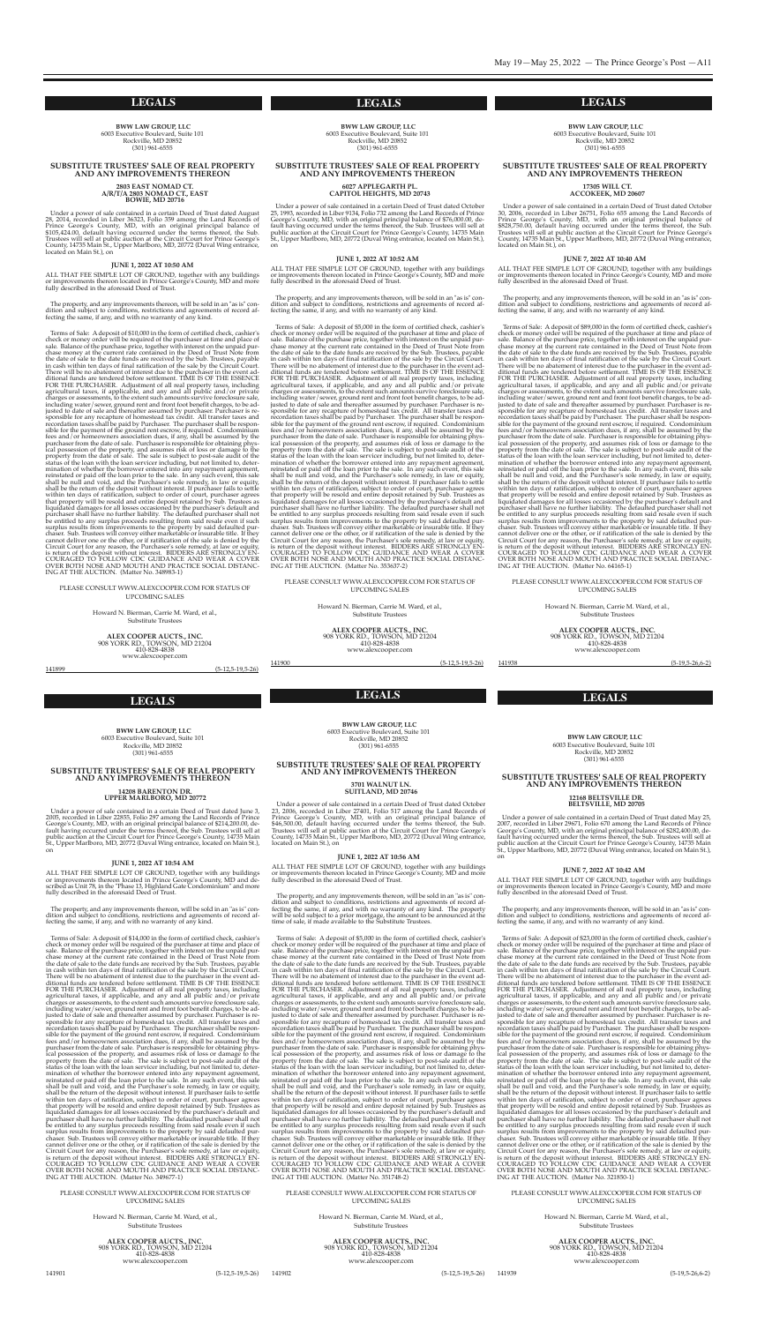**BWW LAW GROUP, LLC** 6003 executive Boulevard, suite 101 Rockville, MD 20852 (301) 961-6555

Under a power of sale contained in a certain Deed of Trust dated August 28, 2014, recorded in Liber 36323, Folio 359 among the Land Records of Prince George's County, MD, with an original principal balance of \$105,424.00, default having occurred under the terms thereof, the sub. Trustees will sell at public auction at the circuit court for prince george's County, 14735 Main St., Upper Marlboro, MD, 20772 (Duval Wing entrance, located on Main St.), on

#### **SUBSTITUTE TRUSTEES' SALE OF REAL PROPERTY AND ANY IMPROVEMENTS THEREON**

**<sup>2803</sup> EAST NOMAD CT. A/R/T/A <sup>2803</sup> NOMAD CT., EAST BOWIE, MD 20716**

#### **JUNE 1, 2022 AT 10:50 AM**

ALL ThAT Fee sIMpLe LoT oF gRoUnD, together with any buildings or improvements thereon located in Prince George's County, MD and more fully described in the aforesaid Deed of Trust.

The property, and any improvements thereon, will be sold in an "as is" condition and subject to conditions, restrictions and agreements of record affecting the same, if any, and with no warranty of any kind.

> Howard N. Bierman, Carrie M. Ward, et al., substitute Trustees

Under a power of sale contained in a certain Deed of Trust dated October 25, 1993, recorded in Liber 9134, Folio 732 among the Land Records of Prince George's County, MD, with an original principal balance of \$76,000.00, default having occurred under the terms thereof, the sub. Trustees will sell at public auction at the Circuit Court for Prince George's County, 14735 Main St., Upper Marlboro, MD, 20772 (Duval Wing entrance, located on Main St.), on

ALL THAT FEE SIMPLE LOT OF GROUND, together with any buildings or improvements thereon located in Prince George's County, MD and more fully described in the aforesaid Deed of Trust.

Terms of sale: A deposit of \$10,000 in the form of certified check, cashier's check or money order will be required of the purchaser at time and place of sale. Balance of the purchase price, together with interest on the unpaid purchase money at the current rate contained in the Deed of Trust Note from the date of sale to the date funds are received by the Sub. Trustees, payable in cash within ten days of final ratification of the sale by the Circuit Court. There will be no abatement of interest due to the purchaser in the event additional funds are tendered before settlement. TIMe Is oF The essence FoR The pURchAseR. Adjustment of all real property taxes, including agricultural taxes, if applicable, and any and all public and/or private charges or assessments, to the extent such amounts survive foreclosure sale, including water/sewer, ground rent and front foot benefit charges, to be adjusted to date of sale and thereafter assumed by purchaser. purchaser is responsible for any recapture of homestead tax credit. All transfer taxes and recordation taxes shall be paid by purchaser. The purchaser shall be responsible for the payment of the ground rent escrow, if required. condominium fees and/or homeowners association dues, if any, shall be assumed by the purchaser from the date of sale. Purchaser is responsible for obtaining physical possession of the property, and assumes risk of loss or damage to the property from the date of sale. The sale is subject to post-sale audit of the status of the loan with the loan servicer including, but not limited to, determination of whether the borrower entered into any repayment agreement, reinstated or paid off the loan prior to the sale. In any such event, this sale shall be null and void, and the purchaser's sole remedy, in law or equity, shall be the return of the deposit without interest. If purchaser fails to settle within ten days of ratification, subject to order of court, purchaser agrees that property will be resold and entire deposit retained by sub. Trustees as liquidated damages for all losses occasioned by the purchaser's default and purchaser shall have no further liability. The defaulted purchaser shall not be entitled to any surplus proceeds resulting from said resale even if such surplus results from improvements to the property by said defaulted purchaser. sub. Trustees will convey either marketable or insurable title. If they cannot deliver one or the other, or if ratification of the sale is denied by the circuit court for any reason, the purchaser's sole remedy, at law or equity, is return of the deposit without interest. BIDDERS ARE STRONGLY ENcoURAgeD To FoLLoW cDc gUIDAnce AnD WeAR A coVeR oVeR BoTh nose AnD MoUTh AnD pRAcTIce socIAL DIsTAnc-Ing AT The AUcTIon. (Matter no. 348983-1)

#### pLeAse consULT WWW.ALexcoopeR.coM FoR sTATUs oF UpcoMIng sALes

Howard N. Bierman, Carrie M. Ward, et al., substitute Trustees

**ALEX COOPER AUCTS., INC.** <sup>908</sup> YoRK RD., ToWson, MD <sup>21204</sup> www.alexcooper.com

**ALEX COOPER AUCTS., INC.** <sup>908</sup> YoRK RD., ToWson, MD <sup>21204</sup> 410-828-4838 www.alexcooper.com

141899 (5-12,5-19,5-26)

**BWW LAW GROUP, LLC** 6003 executive Boulevard, suite 101 Rockville, MD 20852 (301) 961-6555

#### **SUBSTITUTE TRUSTEES' SALE OF REAL PROPERTY AND ANY IMPROVEMENTS THEREON**

# **<sup>6027</sup> APPLEGARTH PL. CAPITOL HEIGHTS, MD <sup>20743</sup>**

ALL THAT FEE SIMPLE LOT OF GROUND, together with any buildings or improvements thereon located in prince george's county, MD and described as Unit 78, in the "Phase 13, Highland Gate Condominium" and more fully described in the aforesaid Deed of Trust.

#### **JUNE 1, 2022 AT 10:52 AM**

The property, and any improvements thereon, will be sold in an "as is" condition and subject to conditions, restrictions and agreements of record affecting the same, if any, and with no warranty of any kind.

Howard N. Bierman, Carrie M. Ward, et al., substitute Trustees

ALL THAT FEE SIMPLE LOT OF GROUND, together with any buildings or improvements thereon located in Prince George's County, MD and more fully described in the aforesaid Deed of Trust.

The property, and any improvements thereon, will be sold in an "as is" condition and subject to conditions, restrictions and agreements of record affecting the same, if any, and with no warranty of any kind. The property will be sold subject to a prior mortgage, the amount to be announced at the time of sale, if made available to the Substitute Trustees.

Terms of sale: A deposit of \$5,000 in the form of certified check, cashier's check or money order will be required of the purchaser at time and place of sale. Balance of the purchase price, together with interest on the unpaid purchase money at the current rate contained in the Deed of Trust Note from the date of sale to the date funds are received by the Sub. Trustees, payable in cash within ten days of final ratification of the sale by the Circuit Court. There will be no abatement of interest due to the purchaser in the event additional funds are tendered before settlement. TIMe Is oF The essence FoR The pURchAseR. Adjustment of all real property taxes, including agricultural taxes, if applicable, and any and all public and/or private charges or assessments, to the extent such amounts survive foreclosure sale, including water/sewer, ground rent and front foot benefit charges, to be adjusted to date of sale and thereafter assumed by purchaser. purchaser is responsible for any recapture of homestead tax credit. All transfer taxes and recordation taxes shall be paid by purchaser. The purchaser shall be responsible for the payment of the ground rent escrow, if required. condominium fees and/or homeowners association dues, if any, shall be assumed by the purchaser from the date of sale. Purchaser is responsible for obtaining physical possession of the property, and assumes risk of loss or damage to the property from the date of sale. The sale is subject to post-sale audit of the status of the loan with the loan servicer including, but not limited to, determination of whether the borrower entered into any repayment agreement, reinstated or paid off the loan prior to the sale. In any such event, this sale shall be null and void, and the purchaser's sole remedy, in law or equity, shall be the return of the deposit without interest. If purchaser fails to settle within ten days of ratification, subject to order of court, purchaser agrees<br>that property will be resold and entire deposit retained by Sub. Trustees as liquidated damages for all losses occasioned by the purchaser's default and purchaser shall have no further liability. The defaulted purchaser shall not be entitled to any surplus proceeds resulting from said resale even if such surplus results from improvements to the property by said defaulted purchaser. sub. Trustees will convey either marketable or insurable title. If they cannot deliver one or the other, or if ratification of the sale is denied by the circuit court for any reason, the purchaser's sole remedy, at law or equity, is return of the deposit without interest. BIDDERS ARE STRONGLY ENcoURAgeD To FoLLoW cDc gUIDAnce AnD WeAR A coVeR oVeR BoTh nose AnD MoUTh AnD pRAcTIce socIAL DIsTAnc-Ing AT The AUcTIon. (Matter no. 353637-2)

pLeAse consULT WWW.ALexcoopeR.coM FoR sTATUs oF UpcoMIng sALes

141900 (5-12,5-19,5-26)

Howard N. Bierman, Carrie M. Ward, et al., substitute Trustees

**ALEX COOPER AUCTS., INC.** <sup>908</sup> YoRK RD., ToWson, MD <sup>21204</sup> www.alexcooper.com

**BWW LAW GROUP, LLC** 6003 executive Boulevard, suite 101 Rockville, MD 20852 (301) 961-6555

#### **SUBSTITUTE TRUSTEES' SALE OF REAL PROPERTY AND ANY IMPROVEMENTS THEREON**

# **<sup>14208</sup> BARENTON DR. UPPER MARLBORO, MD <sup>20772</sup>**

Under a power of sale contained in a certain Deed of Trust dated June 3, 2005, recorded in Liber 22855, Folio 297 among the Land Records of Prince George's County, MD, with an original principal balance of \$214,200.00, default having occurred under the terms thereof, the sub. Trustees will sell at public auction at the Circuit Court for Prince George's County, 14735 Main st., Upper Marlboro, MD, 20772 (Duval Wing entrance, located on Main st.), on

ALL THAT FEE SIMPLE LOT OF GROUND, together with any buildings or improvements thereon located in Prince George's County, MD and more fully described in the aforesaid Deed of Trust.

#### **JUNE 1, 2022 AT 10:54 AM**

The property, and any improvements thereon, will be sold in an "as is" condition and subject to conditions, restrictions and agreements of record affecting the same, if any, and with no warranty of any kind.

Howard N. Bierman, Carrie M. Ward, et al., substitute Trustees

**BWW LAW GROUP, LLC** 6003 executive Boulevard, suite 101 Rockville, MD 20852  $(301)$  961-6555

Terms of sale: A deposit of \$14,000 in the form of certified check, cashier's check or money order will be required of the purchaser at time and place of sale. Balance of the purchase price, together with interest on the unpaid purchase money at the current rate contained in the Deed of Trust Note from the date of sale to the date funds are received by the Sub. Trustees, payable in cash within ten days of final ratification of the sale by the Circuit Court. There will be no abatement of interest due to the purchaser in the event additional funds are tendered before settlement. TIMe Is oF The essence FoR The pURchAseR. Adjustment of all real property taxes, including agricultural taxes, if applicable, and any and all public and/or private charges or assessments, to the extent such amounts survive foreclosure sale, including water/sewer, ground rent and front foot benefit charges, to be adjusted to date of sale and thereafter assumed by purchaser. purchaser is responsible for any recapture of homestead tax credit. All transfer taxes and recordation taxes shall be paid by purchaser. The purchaser shall be responsible for the payment of the ground rent escrow, if required. condominium fees and/or homeowners association dues, if any, shall be assumed by the purchaser from the date of sale. Purchaser is responsible for obtaining physical possession of the property, and assumes risk of loss or damage to the property from the date of sale. The sale is subject to post-sale audit of the status of the loan with the loan servicer including, but not limited to, determination of whether the borrower entered into any repayment agreement, reinstated or paid off the loan prior to the sale. In any such event, this sale shall be null and void, and the purchaser's sole remedy, in law or equity, shall be the return of the deposit without interest. If purchaser fails to settle within ten days of ratification, subject to order of court, purchaser agrees that property will be resold and entire deposit retained by Sub. Trustees as<br>liquidated damages for all losses occasioned by the purchaser's default and purchaser shall have no further liability. The defaulted purchaser shall not be entitled to any surplus proceeds resulting from said resale even if such surplus results from improvements to the property by said defaulted purchaser. sub. Trustees will convey either marketable or insurable title. If they cannot deliver one or the other, or if ratification of the sale is denied by the circuit court for any reason, the purchaser's sole remedy, at law or equity, is return of the deposit without interest. BIDDERS ARE STRONGLY ENcoURAgeD To FoLLoW cDc gUIDAnce AnD WeAR A coVeR oVeR BoTh nose AnD MoUTh AnD pRAcTIce socIAL DIsTAnc-Ing AT The AUcTIon. (Matter no. 349677-1)

ALL THAT FEE SIMPLE LOT OF GROUND, together with any buildings or improvements thereon located in Prince George's County, MD and more fully described in the aforesaid Deed of Trust.

#### pLeAse consULT WWW.ALexcoopeR.coM FoR sTATUs oF UpcoMIng sALes

**ALEX COOPER AUCTS., INC.** <sup>908</sup> YoRK RD., ToWson, MD <sup>21204</sup> 410-828-4838 www.alexcooper.com

Howard N. Bierman, Carrie M. Ward, et al., substitute Trustees

141901 (5-12,5-19,5-26)

6003 executive Boulevard, suite 101 Rockville, MD 20852 (301) 961-6555

#### **SUBSTITUTE TRUSTEES' SALE OF REAL PROPERTY AND ANY IMPROVEMENTS THEREON**

# **<sup>3701</sup> WALNUT LN. SUITLAND, MD <sup>20746</sup>**

Under a power of sale contained in a certain Deed of Trust dated October 23, 2006, recorded in Liber 27401, Folio 517 among the Land Records of Prince George's County, MD, with an original principal balance of \$46,500.00, default having occurred under the terms thereof, the sub. Trustees will sell at public auction at the Circuit Court for Prince George's County, 14735 Main St., Upper Marlboro, MD, 20772 (Duval Wing entrance, located on Main St.), on

#### **JUNE 1, 2022 AT 10:56 AM**

Terms of sale: A deposit of \$5,000 in the form of certified check, cashier's check or money order will be required of the purchaser at time and place of sale. Balance of the purchase price, together with interest on the unpaid purchase money at the current rate contained in the Deed of Trust Note from the date of sale to the date funds are received by the Sub. Trustees, payable in cash within ten days of final ratification of the sale by the Circuit Court. There will be no abatement of interest due to the purchaser in the event additional funds are tendered before settlement. TIMe Is oF The essence FoR The pURchAseR. Adjustment of all real property taxes, including agricultural taxes, if applicable, and any and all public and/or private charges or assessments, to the extent such amounts survive foreclosure sale, including water/sewer, ground rent and front foot benefit charges, to be adjusted to date of sale and thereafter assumed by purchaser. purchaser is responsible for any recapture of homestead tax credit. All transfer taxes and recordation taxes shall be paid by purchaser. The purchaser shall be responsible for the payment of the ground rent escrow, if required. condominium fees and/or homeowners association dues, if any, shall be assumed by the purchaser from the date of sale. Purchaser is responsible for obtaining physical possession of the property, and assumes risk of loss or damage to the property from the date of sale. The sale is subject to post-sale audit of the status of the loan with the loan servicer including, but not limited to, determination of whether the borrower entered into any repayment agreement, reinstated or paid off the loan prior to the sale. In any such event, this sale shall be null and void, and the purchaser's sole remedy, in law or equity, shall be the return of the deposit without interest. If purchaser fails to settle within ten days of ratification, subject to order of court, purchaser agrees that property will be resold and entire deposit retained by Sub. Trustees as<br>liquidated damages for all losses occasioned by the purchaser's default and purchaser shall have no further liability. The defaulted purchaser shall not be entitled to any surplus proceeds resulting from said resale even if such surplus results from improvements to the property by said defaulted purchaser. sub. Trustees will convey either marketable or insurable title. If they cannot deliver one or the other, or if ratification of the sale is denied by the circuit court for any reason, the purchaser's sole remedy, at law or equity, is return of the deposit without interest. BIDDERS ARE STRONGLY ENcoURAgeD To FoLLoW cDc gUIDAnce AnD WeAR A coVeR oVeR BoTh nose AnD MoUTh AnD pRAcTIce socIAL DIsTAnc-Ing AT The AUcTIon. (Matter no. 351748-2)

#### pLeAse consULT WWW.ALexcoopeR.coM FoR sTATUs oF UpcoMIng sALes

141902 (5-12,5-19,5-26)



**BWW LAW GROUP, LLC** 6003 executive Boulevard, suite 101 Rockville, MD 20852 (301) 961-6555

#### **SUBSTITUTE TRUSTEES' SALE OF REAL PROPERTY AND ANY IMPROVEMENTS THEREON**

# **<sup>17305</sup> WILL CT. ACCOKEEK, MD <sup>20607</sup>**

Under a power of sale contained in a certain Deed of Trust dated October 30, 2006, recorded in Liber 26751, Folio 655 among the Land Records of prince george's county, MD, with an original principal balance of \$828,750.00, default having occurred under the terms thereof, the sub. Trustees will sell at public auction at the Circuit Court for Prince George's County, 14735 Main St., Upper Marlboro, MD, 20772 (Duval Wing entrance, located on Main St.), on

#### **JUNE 7, 2022 AT 10:40 AM**

The property, and any improvements thereon, will be sold in an "as is" condition and subject to conditions, restrictions and agreements of record affecting the same, if any, and with no warranty of any kind.

Terms of sale: A deposit of \$89,000 in the form of certified check, cashier's check or money order will be required of the purchaser at time and place of sale. Balance of the purchase price, together with interest on the unpaid purchase money at the current rate contained in the Deed of Trust Note from the date of sale to the date funds are received by the Sub. Trustees, payable in cash within ten days of final ratification of the sale by the Circuit Court. There will be no abatement of interest due to the purchaser in the event additional funds are tendered before settlement. TIMe Is oF The essence FoR The pURchAseR. Adjustment of all real property taxes, including agricultural taxes, if applicable, and any and all public and/or private charges or assessments, to the extent such amounts survive foreclosure sale, including water/sewer, ground rent and front foot benefit charges, to be adjusted to date of sale and thereafter assumed by purchaser. purchaser is responsible for any recapture of homestead tax credit. All transfer taxes and recordation taxes shall be paid by purchaser. The purchaser shall be responsible for the payment of the ground rent escrow, if required. condominium fees and/or homeowners association dues, if any, shall be assumed by the purchaser from the date of sale. Purchaser is responsible for obtaining physical possession of the property, and assumes risk of loss or damage to the property from the date of sale. The sale is subject to post-sale audit of the status of the loan with the loan servicer including, but not limited to, determination of whether the borrower entered into any repayment agreement, reinstated or paid off the loan prior to the sale. In any such event, this sale shall be null and void, and the purchaser's sole remedy, in law or equity, shall be the return of the deposit without interest. If purchaser fails to settle within ten days of ratification, subject to order of court, purchaser agrees<br>that property will be resold and entire deposit retained by Sub. Trustees as liquidated damages for all losses occasioned by the purchaser's default and purchaser shall have no further liability. The defaulted purchaser shall not be entitled to any surplus proceeds resulting from said resale even if such surplus results from improvements to the property by said defaulted purchaser. sub. Trustees will convey either marketable or insurable title. If they cannot deliver one or the other, or if ratification of the sale is denied by the circuit court for any reason, the purchaser's sole remedy, at law or equity, is return of the deposit without interest. BIDDERS ARE STRONGLY ENcoURAgeD To FoLLoW cDc gUIDAnce AnD WeAR A coVeR oVeR BoTh nose AnD MoUTh AnD pRAcTIce socIAL DIsTAnc-Ing AT The AUcTIon. (Matter no. 64165-1)

pLeAse consULT WWW.ALexcoopeR.coM FoR sTATUs oF UpcoMIng sALes

**ALEX COOPER AUCTS., INC.** <sup>908</sup> YoRK RD., ToWson, MD <sup>21204</sup>

410-828-4838 www.alexcooper.com

141938 (5-19,5-26,6-2)

#### **SUBSTITUTE TRUSTEES' SALE OF REAL PROPERTY AND ANY IMPROVEMENTS THEREON**

# **<sup>12168</sup> BELTSVILLE DR. BELTSVILLE, MD <sup>20705</sup>**

Under a power of sale contained in a certain Deed of Trust dated May 25, 2007, recorded in Liber 29671, Folio 670 among the Land Records of prince George's County, MD, with an original principal balance of \$282,400.00, default having occurred under the terms thereof, the sub. Trustees will sell at public auction at the Circuit Court for Prince George's County, 14735 Main st., Upper Marlboro, MD, 20772 (Duval Wing entrance, located on Main st.), on

#### **JUNE 7, 2022 AT 10:42 AM**

The property, and any improvements thereon, will be sold in an "as is" condition and subject to conditions, restrictions and agreements of record affecting the same, if any, and with no warranty of any kind.

Terms of sale: A deposit of \$23,000 in the form of certified check, cashier's check or money order will be required of the purchaser at time and place of sale. Balance of the purchase price, together with interest on the unpaid purchase money at the current rate contained in the Deed of Trust Note from the date of sale to the date funds are received by the Sub. Trustees, payable in cash within ten days of final ratification of the sale by the Circuit Court. There will be no abatement of interest due to the purchaser in the event additional funds are tendered before settlement. TIMe Is oF The essence FoR The pURchAseR. Adjustment of all real property taxes, including agricultural taxes, if applicable, and any and all public and/or private charges or assessments, to the extent such amounts survive foreclosure sale, including water/sewer, ground rent and front foot benefit charges, to be adjusted to date of sale and thereafter assumed by purchaser. purchaser is responsible for any recapture of homestead tax credit. All transfer taxes and recordation taxes shall be paid by purchaser. The purchaser shall be responsible for the payment of the ground rent escrow, if required. condominium fees and/or homeowners association dues, if any, shall be assumed by the purchaser from the date of sale. Purchaser is responsible for obtaining physical possession of the property, and assumes risk of loss or damage to the property from the date of sale. The sale is subject to post-sale audit of the status of the loan with the loan servicer including, but not limited to, determination of whether the borrower entered into any repayment agreement, reinstated or paid off the loan prior to the sale. In any such event, this sale shall be null and void, and the purchaser's sole remedy, in law or equity, shall be the return of the deposit without interest. If purchaser fails to settle within ten days of ratification, subject to order of court, purchaser agrees that property will be resold and entire deposit retained by Sub. Trustees as<br>liquidated damages for all losses occasioned by the purchaser's default and purchaser shall have no further liability. The defaulted purchaser shall not be entitled to any surplus proceeds resulting from said resale even if such surplus results from improvements to the property by said defaulted purchaser. sub. Trustees will convey either marketable or insurable title. If they cannot deliver one or the other, or if ratification of the sale is denied by the circuit court for any reason, the purchaser's sole remedy, at law or equity, is return of the deposit without interest. BIDDERS ARE STRONGLY ENcoURAgeD To FoLLoW cDc gUIDAnce AnD WeAR A coVeR oVeR BoTh nose AnD MoUTh AnD pRAcTIce socIAL DIsTAnc-Ing AT The AUcTIon. (Matter no. 321850-1)

#### pLeAse consULT WWW.ALexcoopeR.coM FoR sTATUs oF UpcoMIng sALes

**ALEX COOPER AUCTS., INC.** <sup>908</sup> YoRK RD., ToWson, MD <sup>21204</sup> 410-828-4838 www.alexcooper.com

141939 (5-19,5-26,6-2)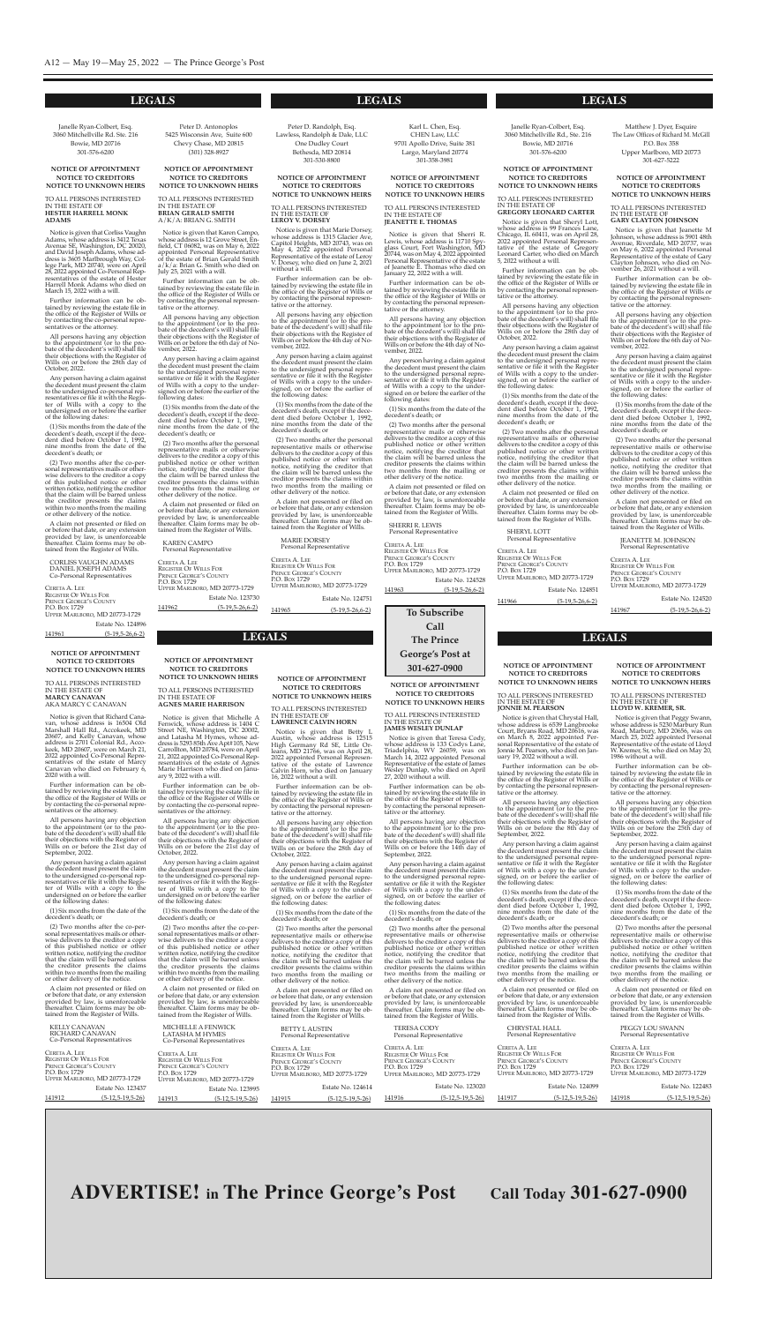#### **to Subscribe call the prince george's post at 301-627-0900 LEGALS LEGALS LEGALS**

#### **LEGALS LEGALS LEGALS**

Notice is given that Richard Canavan, whose address is 16504 old

#### **NOTICE OF APPOINTMENT NOTICE TO CREDITORS NOTICE TO UNKNOWN HEIRS**

To ALL peRsons InTeResTeD In The esTATe oF **marcy canaVan** AKA MARcY c cAnAVAn

Marshall hall Rd., Accokeek, MD 20607, and Kelly canavan, whose address is 2701 Colonial Rd., Accokeek, MD 20607, were on March 21, 2022 appointed co-personal Representatives of the estate of Marcy canavan who died on February 6, 2020 with a will.

Further information can be obtained by reviewing the estate file in the office of the Register of Wills or by contacting the co-personal representatives or the attorney.

All persons having any objection to the appointment (or to the probate of the decedent's will) shall file their objections with the Register of Wills on or before the 21st day of september, 2022.

Any person having a claim against the decedent must present the claim to the undersigned co-personal representatives or file it with the Register of Wills with a copy to the undersigned on or before the earlier of the following dates:

(1) six months from the date of the decedent's death; or

Further information can be ob-<br>tained by reviewing the estate file in the office of the Register of Wills or by contacting the co-personal representatives or the attorney.

All persons having any objection to the appointment (or to the probate of the decedent's will) shall file their objections with the Register of Wills on or before the 21st day of October, 2022.

(2) Two months after the co-personal representatives mails or otherwise delivers to the creditor a copy of this published notice or other written notice, notifying the creditor that the claim will be barred unless the creditor presents the claims within two months from the mailing or other delivery of the notice.

A claim not presented or filed on or before that date, or any extension provided by law, is unenforceable thereafter. Claim forms may be obtained from the Register of Wills.

KeLLY cAnAVAn RICHARD CANAVAN co-personal Representatives

CERETA A. LEE RegIsTeR oF WILLs FoR PRINCE GEORGE'S COUNTY P.O. Box 1729 UppeR MARLBoRo, MD 20773-1729 Estate No. 123437

141912 (5-12,5-19,5-26)

Notice is given that Michelle A Fenwick, whose address is 1404 C To ALL peRsons InTeResTeD In The esTATe oF **lawrence calVin horn**

**NOTICE OF APPOINTMENT NOTICE TO CREDITORS NOTICE TO UNKNOWN HEIRS**

> Notice is given that Betty L Austin, whose address is 12515 High Germany Rd SE, Little Orleans, MD 21766, was on April 28, 2022 appointed Personal Representative of the estate of Lawrence calvin horn, who died on January 16, 2022 without a will.

**agneS marie harriSon**

street ne, Washington, Dc 20002, and Latasha M Hymes, whose address is 5293 85th Ave Apt#105, New carrollton, MD 20784, were on April 21, 2022 appointed co-personal Representatives of the estate of Agnes Marie harrison who died on January 9, 2022 with a will.

Any person having a claim against the decedent must present the claim to the undersigned co-personal representatives or file it with the Register of Wills with a copy to the undersigned on or before the earlier of the following dates:

Notice is given that Teresa Cody, whose address is 133 codys Lane, Triadelphia, WV 26059, was on March 14, 2022 appointed personal Representative of the estate of James Wesley Dunlap, who died on April 27, 2020 without a will.

To ALL peRsons InTeResTeD In The esTATe oF **notice of appointment notice to creditorS notice to unKnown heirS**

(1) six months from the date of the decedent's death; or

(2) Two months after the co-personal representatives mails or otherwise delivers to the creditor a copy of this published notice or other written notice, notifying the creditor that the claim will be barred unless the creditor presents the claims within two months from the mailing or other delivery of the notice.

A claim not presented or filed on or before that date, or any extension provided by law, is unenforceable thereafter. Claim forms may be obtained from the Register of Wills.

MIcheLLe A FenWIcK LATAshA M hYMes co-personal Representatives

Notice is given that Peggy Swann, whose address is 5230 Marbury Run Road, Marbury, MD 20656, was on

March 25, 2022 appointed personal Representative of the estate of Lloyd W. Kremer, Sr, who died on May 20,

ceReTA A. Lee RegIsTeR oF WILLs FoR PRINCE GEORGE'S COUNTY P.O. Box 1729 UppeR MARLBoRo, MD 20773-1729 Estate No. 123995 141913 (5-12,5-19,5-26)

Further information can be obtained by reviewing the estate file in the office of the Register of Wills or by contacting the personal representative or the attorney.

All persons having any objection to the appointment (or to the probate of the decedent's will) shall file their objections with the Register of Wills on or before the 28th day of october, 2022.

In The esTATe oF **Jonnie m. pearSon** Notice is given that Chrystal Hall.

Any person having a claim against the decedent must present the claim to the undersigned personal representative or file it with the Register of Wills with a copy to the undersigned, on or before the earlier of the following dates:

(1) six months from the date of the decedent's death; or

(2) Two months after the personal representative mails or otherwise delivers to the creditor a copy of this published notice or other written notice, notifying the creditor that the claim will be barred unless the creditor presents the claims within two months from the mailing or other delivery of the notice.

A claim not presented or filed on or before that date, or any extension provided by law, is unenforceable thereafter. claim forms may be obtained from the Register of Wills.

BeTTY L AUsTIn personal Representative

> CERETA A. LEE REGISTER OF WILLS FOR PRINCE GEORGE'S COUNTY P.O. Box 1729 UppeR MARLBoRo, MD 20773-1729

| CERETA A. LEE                 |                               |
|-------------------------------|-------------------------------|
| <b>REGISTER OF WILLS FOR</b>  |                               |
| <b>PRINCE GEORGE'S COUNTY</b> |                               |
| P.O. Box 1729                 |                               |
|                               | UPPER MARLBORO, MD 20773-1729 |
|                               | Estate No. 124614             |
| 141915                        | $(5-12.5-19.5-26)$            |

Janelle Ryan-Colbert, Esq. 3060 Mitchellville Rd. ste. 216 Bowie, MD 20716 301-576-6200

> **notice of appointment notice to creditorS notice to unKnown heirS**

To ALL peRsons InTeResTeD In The esTATe oF

**JameS weSley dunlap**

Notice is given that Corliss Vaughn Adams, whose address is 3412 Texas Avenue SE, Washington, DC 20020, and David JosephAdams, whose address is 3605 Marlbrough Way, college park, MD 20740, were on April 28, 2022 appointed co-personal Representatives of the estate of Hester harrell Monk Adams who died on March 15, 2022 with a will.

> Further information can be obtained by reviewing the estate file in the office of the Register of Wills or by contacting the personal representative or the attorney.

All persons having any objection to the appointment (or to the probate of the decedent's will) shall file their objections with the Register of Wills on or before the 14th day of september, 2022.

Any person having a claim against the decedent must present the claim to the undersigned personal representative or file it with the Register of Wills with a copy to the undersigned, on or before the earlier of the following dates:

CERETA A. LEE RegIsTeR oF WILLs FoR PRINCE GEORGE'S COUNTY P.O. Box 1729 UppeR MARLBoRo, MD 20773-1729 Estate No. 124896 141961 (5-19,5-26,6-2)

Peter D. Antonoplos 5425 Wisconsin Ave, suite 600 chevy chase, MD 20815 (301) 328-8927

> (1) six months from the date of the decedent's death; or

(2) Two months after the personal representative mails or otherwise delivers to the creditor a copy of this published notice or other written notice, notifying the creditor that the claim will be barred unless the creditor presents the claims within two months from the mailing or other delivery of the notice.

Notice is given that Karen Campo, whose address is 12 Grove Street, Enfield, cT 06082, was on May 6, 2022 appointed Personal Representative of the estate of Brian gerald smith a/k/a: Brian g. smith who died on July 25, 2021 with a will.

> A claim not presented or filed on or before that date, or any extension provided by law, is unenforceable thereafter. claim forms may be obtained from the Register of Wills.

TeResA coDY personal Representative

| CERETA A. LEE<br><b>REGISTER OF WILLS FOR</b><br>PRINCE GEORGE'S COUNTY<br><b>P.O. Box 1729</b> |                               |
|-------------------------------------------------------------------------------------------------|-------------------------------|
|                                                                                                 | UPPER MARLBORO, MD 20773-1729 |
|                                                                                                 | Estate No. 123020             |
| 141916                                                                                          | $(5-12,5-19,5-26)$            |

**notice of appointment notice to creditorS notice to unKnown heirS**

To ALL peRsons InTeResTeD In The esTATe oF **lloyd w. Kremer, Sr.**

Karl L. Chen, Esq. CHEN Law, LLC 9701 Apollo Drive, Suite 381 Largo, Maryland 20774 301-358-3981

1986 without a will.

Further information can be obtained by reviewing the estate file in the office of the Register of Wills or by contacting the personal represen-

Notice is given that Sherri R. Lewis, whose address is 11710 spyglass court, Fort Washington, MD 20744, was on May 4, 2022 appointed personal Representative of the estate of Jeanette E. Thomas who died on January 22, 2022 with a will.

tative or the attorney.

All persons having any objection to the appointment (or to the probate of the decedent's will) shall file their objections with the Register of Wills on or before the 25th day of

september, 2022.

Any person having a claim against the decedent must present the claim to the undersigned personal representative or file it with the Register of Wills with a copy to the undersigned, on or before the earlier of

the following dates:

(1) six months from the date of the decedent's death, except if the decedent died before october 1, 1992, nine months from the date of the

decedent's death; or

CERETA A. LEE REGISTER OF WILLS FOR

Peter D. Randolph, Esq. Lawless, Randolph & Dale, LLc One Dudley Court Bethesda, MD 20814 301-530-8800

> (2) Two months after the personal representative mails or otherwise delivers to the creditor a copy of this published notice or other written notice, notifying the creditor that the claim will be barred unless the creditor presents the claims within two months from the mailing or other delivery of the notice.

Notice is given that Marie Dorsey, whose address is 1315 glacier Ave, capitol heights, MD 20743, was on May 4, 2022 appointed personal Representative of the estate of Leroy V. Dorsey, who died on June 2, 2021 without a will.

> A claim not presented or filed on or before that date, or any extension provided by law, is unenforceable thereafter. Claim forms may be obtained from the Register of Wills. peggY LoU sWAnn personal Representative

141918 (5-12,5-19,5-26)

**notice of appointment notice to creditorS**

**notice to unKnown heirS**

To ALL peRsons InTeResTeD

whose address is 6539 Langbroo

court, Bryans Road, MD 20616, was on March 8, 2022 appointed Personal Representative of the estate of Jonnie M. Pearson, who died on January 19, 2022 without a will.

Janelle Ryan-Colbert, Esq. 3060 Mitchellville Rd., ste. 216 Bowie, MD 20716 301-576-6200

Further information can be obtained by reviewing the estate file in the office of the Register of Wills or by contacting the personal representative or the attorney.

Notice is given that Sheryl Lott, whose address is 99 Frances Lane, chicago, IL 60411, was on April 28, 2022 appointed personal Representative of the estate of Gregory Leonard carter, who died on March 5, 2022 without a will.

All persons having any objection to the appointment (or to the probate of the decedent's will) shall file their objections with the Register of Wills on or before the 8th day of september, 2022.

Any person having a claim against the decedent must present the claim to the undersigned personal representative or file it with the Register of Wills with a copy to the undersigned, on or before the earlier of the following dates:

(1) six months from the date of the decedent's death, except if the decedent died before october 1, 1992, nine months from the date of the decedent's death; or

Matthew J. Dyer, Esquire The Law offices of Richard M. Mcgill P.O. Box 358 Upper Marlboro, MD 20773 301-627-5222

(2) Two months after the personal representative mails or otherwise delivers to the creditor a copy of this published notice or other written notice, notifying the creditor that the claim will be barred unless the creditor presents the claims within two months from the mailing or other delivery of the notice.

Notice is given that Jeanette M Johnson, whose address is 5901 48th Avenue, Riverdale, MD 20737, was on May 6, 2022 appointed Personal Representative of the estate of Gary clayton Johnson, who died on november 26, 2021 without a will.

A claim not presented or filed on or before that date, or any extension provided by law, is unenforceable thereafter. Claim forms may be obtained from the Register of Wills.

chRYsTAL hALL personal Representative

141917 (5-12,5-19,5-26)

PRINCE GEORGE'S COUNTY P.O. Box 1729 UppeR MARLBoRo, MD 20773-1729 Estate No. 124099

Estate No. 122483

**ADVERTISE! in The Prince George's Post Call Today 301-627-0900**

#### **NOTICE OF APPOINTMENT NOTICE TO CREDITORS NOTICE TO UNKNOWN HEIRS**

To ALL peRsons InTeResTeD In The esTATe oF **heSter harrell monK adamS**

> CERETA A. LEE RegIsTeR oF WILLs FoR PRINCE GEORGE'S COUNTY P.O. Box 1729 UppeR MARLBoRo, MD 20773-1729

Further information can be obtained by reviewing the estate file in the office of the Register of Wills or by contacting the co-personal representatives or the attorney.

All persons having any objection to the appointment (or to the probate of the decedent's will) shall file their objections with the Register of Wills on or before the 28th day of october, 2022.

Any person having a claim against the decedent must present the claim to the undersigned co-personal representatives or file it with the Register of Wills with a copy to the undersigned on or before the earlier of the following dates:

(1) six months from the date of the decedent's death, except if the decedent died before october 1, 1992, nine months from the date of the decedent's death; or

(2) Two months after the co-personal representatives mails or otherwise delivers to the creditor a copy of this published notice or other written notice, notifying the creditor that the claim will be barred unless the creditor presents the claims within two months from the mailing or other delivery of the notice.

A claim not presented or filed on or before that date, or any extension provided by law, is unenforceable thereafter. claim forms may be obtained from the Register of Wills.

#### coRLIss VAUghn ADAMs DAnIeL Joseph ADAMs co-personal Representatives

#### **NOTICE OF APPOINTMENT NOTICE TO CREDITORS NOTICE TO UNKNOWN HEIRS**

To ALL peRsons InTeResTeD In The esTATe oF **Brian gerald Smith** A/K/A: BRIAn g. sMITh

Further information can be obtained by reviewing the estate file in the office of the Register of Wills or by contacting the personal representative or the attorney.

All persons having any objection to the appointment (or to the probate of the decedent's will) shall file their objections with the Register of Wills on or before the 6th day of November, 2022.

Any person having a claim against the decedent must present the claim to the undersigned personal representative or file it with the Register of Wills with a copy to the undersigned on or before the earlier of the following dates:

(1) six months from the date of the decedent's death, except if the decedent died before october 1, 1992, nine months from the date of the decedent's death; or

(2) Two months after the personal representative mails or otherwise delivers to the creditor a copy of this published notice or other written notice, notifying the creditor that the claim will be barred unless the creditor presents the claims within two months from the mailing or other delivery of the notice.

A claim not presented or filed on or before that date, or any extension provided by law, is unenforceable thereafter. claim forms may be obtained from the Register of Wills.

KARen cAMpo personal Representative

ceReTA A. Lee RegIsTeR oF WILLs FoR PRINCE GEORGE'S COUNTY p.o. Box 1729 UppeR MARLBoRo, MD 20773-1729 Estate No. 123730 141962 (5-19,5-26,6-2)

**NOTICE OF APPOINTMENT NOTICE TO CREDITORS NOTICE TO UNKNOWN HEIRS**

#### To ALL peRsons InTeResTeD In The esTATe oF **Jeanette e. thomaS**

Further information can be obtained by reviewing the estate file in the office of the Register of Wills or by contacting the personal representative or the attorney.

All persons having any objection to the appointment (or to the probate of the decedent's will) shall file their objections with the Register of Wills on or before the 4th day of November, 2022.

Any person having a claim against the decedent must present the claim to the undersigned personal representative or file it with the Register of Wills with a copy to the undersigned on or before the earlier of the following dates:

(1) six months from the date of the decedent's death; or

(2) Two months after the personal representative mails or otherwise delivers to the creditor a copy of this published notice or other written notice, notifying the creditor that the claim will be barred unless the creditor presents the claims within two months from the mailing or other delivery of the notice.

A claim not presented or filed on or before that date, or any extension provided by law, is unenforceable thereafter. claim forms may be obtained from the Register of Wills.

sheRRI R. LeWIs personal Representative

CERETA A. LEE REGISTER OF WILLS FOR PRINCE GEORGE'S COUNTY P.O. Box 1729 UppeR MARLBoRo, MD 20773-1729 Estate No. 124528

141963 (5-19,5-26,6-2)

**notice of appointment notice to creditorS notice to unKnown heirS**

#### To ALL peRsons InTeResTeD In The esTATe oF **leroy V. dorSey**

Further information can be obtained by reviewing the estate file in the office of the Register of Wills or by contacting the personal representative or the attorney.

All persons having any objection to the appointment (or to the probate of the decedent's will) shall file their objections with the Register of Wills on or before the 4th day of November, 2022.

Any person having a claim against the decedent must present the claim to the undersigned personal representative or file it with the Register of Wills with a copy to the undersigned, on or before the earlier of the following dates:

(1) six months from the date of the decedent's death, except if the decedent died before october 1, 1992, nine months from the date of the decedent's death; or

(2) Two months after the personal representative mails or otherwise delivers to the creditor a copy of this published notice or other written notice, notifying the creditor that the claim will be barred unless the creditor presents the claims within two months from the mailing or other delivery of the notice.

A claim not presented or filed on or before that date, or any extension provided by law, is unenforceable thereafter. claim forms may be obtained from the Register of Wills.

MARIe DoRseY personal Representative

CERETA A. LEE RegIsTeR oF WILLs FoR PRINCE GEORGE'S COUNTY P.O. Box 1729 UppeR MARLBoRo, MD 20773-1729 Estate No. 124751

141965 (5-19,5-26,6-2)

#### **notice of appointment notice to creditorS notice to unKnown heirS**

To ALL peRsons InTeResTeD In The esTATe oF **gregory leonard carter**

Further information can be obtained by reviewing the estate file in the office of the Register of Wills or by contacting the personal representative or the attorney.

All persons having any objection to the appointment (or to the probate of the decedent's will) shall file their objections with the Register of Wills on or before the 28th day of october, 2022.

Any person having a claim against the decedent must present the claim to the undersigned personal representative or file it with the Register of Wills with a copy to the undersigned, on or before the earlier of the following dates:

(1) six months from the date of the decedent's death, except if the decedent died before october 1, 1992, nine months from the date of the decedent's death; or

(2) Two months after the personal representative mails or otherwise delivers to the creditor a copy of this published notice or other written notice, notifying the creditor that the claim will be barred unless the creditor presents the claims within two months from the mailing or other delivery of the notice.

A claim not presented or filed on or before that date, or any extension provided by law, is unenforceable thereafter. claim forms may be obtained from the Register of Wills.

sheRYL LoTT personal Representative

ceReTA A. Lee RegIsTeR oF WILLs FoR PRINCE GEORGE'S COUNTY P.O. Box 1729 UppeR MARLBoRo, MD 20773-1729

Estate No. 124851

141966 (5-19,5-26,6-2)

#### **notice of appointment notice to creditorS notice to unKnown heirS**

#### To ALL peRsons InTeResTeD In The esTATe oF **gary clayton JohnSon**

Further information can be obtained by reviewing the estate file in the office of the Register of Wills or by contacting the personal representative or the attorney.

All persons having any objection to the appointment (or to the probate of the decedent's will) shall file their objections with the Register of Wills on or before the 6th day of November, 2022.

Any person having a claim against the decedent must present the claim to the undersigned personal representative or file it with the Register of Wills with a copy to the undersigned, on or before the earlier of the following dates:

(1) six months from the date of the decedent's death, except if the decedent died before october 1, 1992, nine months from the date of the decedent's death; or

(2) Two months after the personal representative mails or otherwise delivers to the creditor a copy of this published notice or other written notice, notifying the creditor that the claim will be barred unless the creditor presents the claims within two months from the mailing or other delivery of the notice.

A claim not presented or filed on or before that date, or any extension provided by law, is unenforceable thereafter. claim forms may be obtained from the Register of Wills.

JeAneTTe M. Johnson personal Representative

141967 (5-19,5-26,6-2)

Estate No. 124520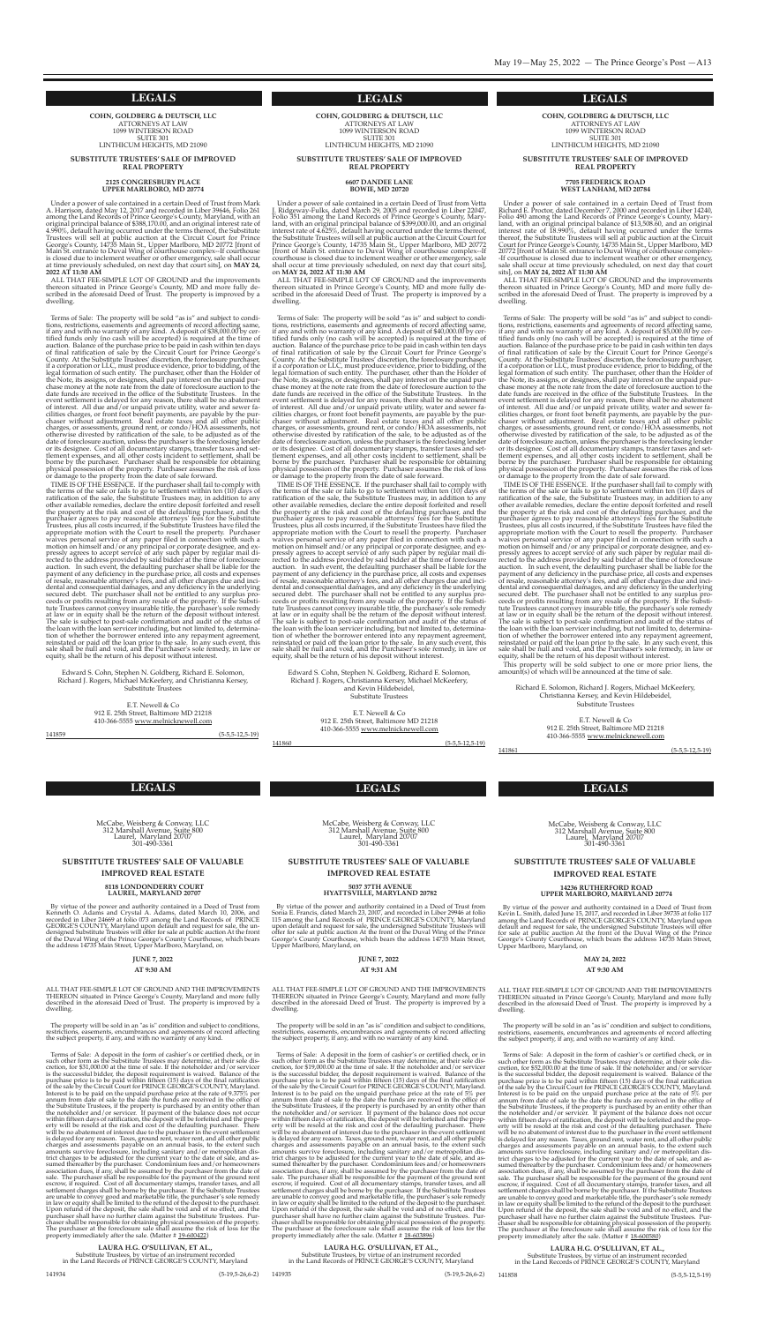**LEGALS LEGALS LEGALS**

**LEGALS LEGALS**

**cohn, goldBerg & deutSch, llc** ATToRneYs AT LAW 1099 WInTeRson RoAD **SUITE 301** LInThIcUM heIghTs, MD 21090

**SuBStitute truSteeS' Sale of improVed real property**

#### **2125 congreSBury place upper marlBoro, md 20774**

ALL THAT FEE-SIMPLE LOT OF GROUND and the improvements thereon situated in Prince George's County, MD and more fully described in the aforesaid Deed of Trust. The property is improved by a dwelling.

Under a power of sale contained in a certain Deed of Trust from Mark A. harrison, dated May 12, 2017 and recorded in Liber 39646, Folio 261 among the Land Records of Prince George's County, Maryland, with an original principal balance of \$388,170.00, and an original interest rate of 4.990%, default having occurred under the terms thereof, the substitute Trustees will sell at public auction at the circuit court for prince George's County, 14735 Main St., Upper Marlboro, MD 20772 [front of Main St. entrance to Duval Wing of courthouse complex--If courthouse is closed due to inclement weather or other emergency, sale shall occur at time previously scheduled, on next day that court sits], on **may 24, 2022 at 11:30 am**

Terms of sale: The property will be sold "as is" and subject to conditions, restrictions, easements and agreements of record affecting same, if any and with no warranty of any kind. Adeposit of \$38,000.00 by certified funds only (no cash will be accepted) is required at the time of auction. Balance of the purchase price to be paid in cash within ten days of final ratification of sale by the Circuit Court for Prince George's county. At the substitute Trustees' discretion, the foreclosure purchaser, if a corporation or LLc, must produce evidence, prior to bidding, of the legal formation of such entity. The purchaser, other than the Holder of the Note, its assigns, or designees, shall pay interest on the unpaid purchase money at the note rate from the date of foreclosure auction to the date funds are received in the office of the Substitute Trustees. In the event settlement is delayed for any reason, there shall be no abatement of interest. All due and/or unpaid private utility, water and sewer facilities charges, or front foot benefit payments, are payable by the purchaser without adjustment. Real estate taxes and all other public charges, or assessments, ground rent, or condo/HOA assessments, not otherwise divested by ratification of the sale, to be adjusted as of the date of foreclosure auction, unless the purchaser is the foreclosing lender<br>or its designee. Cost of all documentary stamps, transfer taxes and settlement expenses, and all other costs incident to settlement, shall be borne by the purchaser. Purchaser shall be responsible for obtaining physical possession of the property. Purchaser assumes the risk of loss or damage to the property from the date of sale forward.

Edward S. Cohn, Stephen N. Goldberg, Richard E. Solomon, Richard J. Rogers, Michael McKeefery, and christianna Kersey, substitute Trustees

> E.T. Newell & Co 912 e. 25th street, Baltimore MD 21218 410-366-5555 www.melnicknewell.com

ALL THAT FEE-SIMPLE LOT OF GROUND and the improvements thereon situated in Prince George's County, MD and more fully described in the aforesaid Deed of Trust. The property is improved by a dwelling.

TIMe Is oF The essence. If the purchaser shall fail to comply with the terms of the sale or fails to go to settlement within ten (10) days of ratification of the sale, the substitute Trustees may, in addition to any other available remedies, declare the entire deposit forfeited and resell the property at the risk and cost of the defaulting purchaser, and the purchaser agrees to pay reasonable attorneys' fees for the substitute Trustees, plus all costs incurred, if the substitute Trustees have filed the appropriate motion with the Court to resell the property. Purchaser waives personal service of any paper filed in connection with such a motion on himself and/or any principal or corporate designee, and expressly agrees to accept service of any such paper by regular mail directed to the address provided by said bidder at the time of foreclosure auction. In such event, the defaulting purchaser shall be liable for the payment of any deficiency in the purchase price, all costs and expenses of resale, reasonable attorney's fees, and all other charges due and incidental and consequential damages, and any deficiency in the underlying secured debt. The purchaser shall not be entitled to any surplus proceeds or profits resulting from any resale of the property. If the Substitute Trustees cannot convey insurable title, the purchaser's sole remedy at law or in equity shall be the return of the deposit without interest. The sale is subject to post-sale confirmation and audit of the status of the loan with the loan servicer including, but not limited to, determination of whether the borrower entered into any repayment agreement, reinstated or paid off the loan prior to the sale. In any such event, this sale shall be null and void, and the purchaser's sole remedy, in law or equity, shall be the return of his deposit without interest.

> Edward S. Cohn, Stephen N. Goldberg, Richard E. Solomon, Richard J. Rogers, christianna Kersey, Michael McKeefery, and Kevin Hildebeidel, substitute Trustees

141859 (5-5,5-12,5-19)

#### **cohn, goldBerg & deutSch, llc** ATToRneYs AT LAW 1099 WInTeRson RoAD **SUITE 301** LInThIcUM heIghTs, MD 21090

#### **SuBStitute truSteeS' Sale of improVed real property**

#### **6607 dandee lane Bowie, md 20720**

Under a power of sale contained in a certain Deed of Trust from Richard E. Proctor, dated December 7, 2000 and recorded in Liber 14240, Folio 490 among the Land Records of prince george's county, Maryland, with an original principal balance of \$13,508.60, and an original interest rate of 18.990%, default having occurred under the terms thereof, the substitute Trustees will sell at public auction at the circuit court for prince george's county, 14735 Main st., Upper Marlboro, MD 20772 [front of Main St. entrance to Duval Wing of courthouse complex--If courthouse is closed due to inclement weather or other emergency, sale shall occur at time previously scheduled, on next day that court sits], on **may 24, 2022 at 11:30 am**

ALL THAT FEE-SIMPLE LOT OF GROUND and the improvements thereon situated in Prince George's County, MD and more fully described in the aforesaid Deed of Trust. The property is improved by a dwelling.

Under <sup>a</sup> power of sale contained in <sup>a</sup> certain Deed of Trust from Vetta J. Ridgeway-Fulks, dated March 29, <sup>2005</sup> and recorded in Liber 22047, Folio 351 among the Land Records of prince george's county, Maryland, with an original principal balance of \$399,000.00, and an original interest rate of 4.625%, default having occurred under the terms thereof, the substitute Trustees will sell at public auction at the circuit court for prince george's county, 14735 Main st., Upper Marlboro, MD 20772 [front of Main st. entrance to Duval Wing of courthouse complex--If courthouse is closed due to inclement weather or other emergency, sale shall occur at time previously scheduled, on next day that court sits], on **may 24, 2022 at 11:30 am**

Terms of sale: The property will be sold "as is" and subject to conditions, restrictions, easements and agreements of record affecting same, if any and with no warranty of any kind. Adeposit of \$40,000.00 by certified funds only (no cash will be accepted) is required at the time of auction. Balance of the purchase price to be paid in cash within ten days of final ratification of sale by the Circuit Court for Prince George's county. At the substitute Trustees' discretion, the foreclosure purchaser, if a corporation or LLc, must produce evidence, prior to bidding, of the legal formation of such entity. The purchaser, other than the Holder of the Note, its assigns, or designees, shall pay interest on the unpaid purchase money at the note rate from the date of foreclosure auction to the date funds are received in the office of the Substitute Trustees. In the event settlement is delayed for any reason, there shall be no abatement of interest. All due and/or unpaid private utility, water and sewer facilities charges, or front foot benefit payments, are payable by the purchaser without adjustment. Real estate taxes and all other public charges, or assessments, ground rent, or condo/HOA assessments, not otherwise divested by ratification of the sale, to be adjusted as of the date of foreclosure auction, unless the purchaser is the foreclosing lender<br>or its designee. Cost of all documentary stamps, transfer taxes and settlement expenses, and all other costs incident to settlement, shall be borne by the purchaser. Purchaser shall be responsible for obtaining physical possession of the property. purchaser assumes the risk of loss or damage to the property from the date of sale forward.

> Richard E. Solomon, Richard J. Rogers, Michael McKeefery, christianna Kersey, and Kevin hildebeidel, substitute Trustees

> > E.T. Newell & Co

McCabe, Weisberg & Conway, LLC 312 Marshall Avenue, suite 800 Laurel, Maryland 20707 301-490-3361

The property will be sold in an "as is" condition and subject to conditions, restrictions, easements, encumbrances and agreements of record affecting the subject property, if any, and with no warranty of any kind.

Terms of sale: A deposit in the form of cashier's or certified check, or in such other form as the Substitute Trustees may determine, at their sole discretion, for \$52,000.00 at the time of sale. If the noteholder and/or servicer is the successful bidder, the deposit requirement is waived. Balance of the purchase price is to be paid within fifteen (15) days of the final ratification of the sale by the circuit court for pRInce geoRge's coUnTY, Maryland. Interest is to be paid on the unpaid purchase price at the rate of 5% per annum from date of sale to the date the funds are received in the office of the Substitute Trustees, if the property is purchased by an entity other than the noteholder and/or servicer. If payment of the balance does not occur within fifteen days of ratification, the deposit will be forfeited and the property will be resold at the risk and cost of the defaulting purchaser. There will be no abatement of interest due to the purchaser in the event settlement is delayed for any reason. Taxes, ground rent, water rent, and all other public charges and assessments payable on an annual basis, to the extent such amounts survive foreclosure, including sanitary and/or metropolitan district charges to be adjusted for the current year to the date of sale, and assumed thereafter by the purchaser. condominium fees and/or homeowners association dues, if any, shall be assumed by the purchaser from the date of sale. The purchaser shall be responsible for the payment of the ground rent escrow, if required. cost of all documentary stamps, transfer taxes, and all settlement charges shall be borne by the purchaser. If the substitute Trustees are unable to convey good and marketable title, the purchaser's sole remedy in law or equity shall be limited to the refund of the deposit to the purchaser. Upon refund of the deposit, the sale shall be void and of no effect, and the purchaser shall have no further claim against the Substitute Trustees. Purchaser shall be responsible for obtaining physical possession of the property. The purchaser at the foreclosure sale shall assume the risk of loss for the property immediately after the sale. (Matter # <u>18-600580</u>)

TIMe Is oF The essence. If the purchaser shall fail to comply with the terms of the sale or fails to go to settlement within ten (10) days of ratification of the sale, the substitute Trustees may, in addition to any other available remedies, declare the entire deposit forfeited and resell the property at the risk and cost of the defaulting purchaser, and the purchaser agrees to pay reasonable attorneys' fees for the Substitute Trustees, plus all costs incurred, if the substitute Trustees have filed the appropriate motion with the Court to resell the property. Purchaser waives personal service of any paper filed in connection with such a motion on himself and/or any principal or corporate designee, and expressly agrees to accept service of any such paper by regular mail directed to the address provided by said bidder at the time of foreclosure auction. In such event, the defaulting purchaser shall be liable for the payment of any deficiency in the purchase price, all costs and expenses of resale, reasonable attorney's fees, and all other charges due and incidental and consequential damages, and any deficiency in the underlying secured debt. The purchaser shall not be entitled to any surplus proceeds or profits resulting from any resale of the property. If the Substitute Trustees cannot convey insurable title, the purchaser's sole remedy at law or in equity shall be the return of the deposit without interest. The sale is subject to post-sale confirmation and audit of the status of the loan with the loan servicer including, but not limited to, determination of whether the borrower entered into any repayment agreement, reinstated or paid off the loan prior to the sale. In any such event, this sale shall be null and void, and the purchaser's sole remedy, in law or equity, shall be the return of his deposit without interest.

McCabe, Weisberg & Conway, LLC 312 Marshall Avenue, suite 800 Laurel, Maryland 20707 301-490-3361

410-366-5555 www.melnicknewell.com

141860 (5-5,5-12,5-19)

**cohn, goldBerg & deutSch, llc** ATToRneYs AT LAW 1099 WInTeRson RoAD **SUITE 301** LInThIcUM heIghTs, MD 21090

#### **SuBStitute truSteeS' Sale of improVed real property**

#### **7705 fredericK road weSt lanham, md 20784**

McCabe, Weisberg & Conway, LLC 312 Marshall Avenue, suite 800 Laurel, Maryland 20707 301-490-3361

Terms of sale: A deposit in the form of cashier's or certified check, or in such other form as the Substitute Trustees may determine, at their sole discretion, for \$19,000.00 at the time of sale. If the noteholder and/or servicer is the successful bidder, the deposit requirement is waived. Balance of the purchase price is to be paid within fifteen (15) days of the final ratification of the sale by the Circuit Court for PRINCE GEORGE'S COUNTY, Maryland. Interest is to be paid on the unpaid purchase price at the rate of 5% per annum from date of sale to the date the funds are received in the office of the Substitute Trustees, if the property is purchased by an entity other than<br>the noteholder and/or servicer. If payment of the balance does not occur<br>within fifteen days of ratification, the deposit will be forfeited and erty will be resold at the risk and cost of the defaulting purchaser. There will be no abatement of interest due to the purchaser in the event settlement is delayed for any reason. Taxes, ground rent, water rent, and all other public charges and assessments payable on an annual basis, to the extent such amounts survive foreclosure, including sanitary and/or metropolitan district charges to be adjusted for the current year to the date of sale, and assumed thereafter by the purchaser. condominium fees and/or homeowners association dues, if any, shall be assumed by the purchaser from the date of sale. The purchaser shall be responsible for the payment of the ground rent escrow, if required. cost of all documentary stamps, transfer taxes, and all settlement charges shall be borne by the purchaser. If the substitute Trustees are unable to convey good and marketable title, the purchaser's sole remedy in law or equity shall be limited to the refund of the deposit to the purchaser. Upon refund of the deposit, the sale shall be void and of no effect, and the purchaser shall have no further claim against the Substitute Trustees. Purchaser shall be responsible for obtaining physical possession of the property. The purchaser at the foreclosure sale shall assume the risk of loss for the property immediately after the sale. (Matter # 18-603896)

Terms of sale: The property will be sold "as is" and subject to conditions, restrictions, easements and agreements of record affecting same, if any and with no warranty of any kind. A deposit of \$5,000.00 by certified funds only (no cash will be accepted) is required at the time of auction. Balance of the purchase price to be paid in cash within ten days of final ratification of sale by the Circuit Court for Prince George's county. At the substitute Trustees' discretion, the foreclosure purchaser, if a corporation or LLc, must produce evidence, prior to bidding, of the legal formation of such entity. The purchaser, other than the Holder of the Note, its assigns, or designees, shall pay interest on the unpaid purchase money at the note rate from the date of foreclosure auction to the date funds are received in the office of the substitute Trustees. In the event settlement is delayed for any reason, there shall be no abatement of interest. All due and/or unpaid private utility, water and sewer facilities charges, or front foot benefit payments, are payable by the purchaser without adjustment. Real estate taxes and all other public charges, or assessments, ground rent, or condo/HOA assessments, not otherwise divested by ratification of the sale, to be adjusted as of the date of foreclosure auction, unless the purchaser is the foreclosing lender<br>or its designee. Cost of all documentary stamps, transfer taxes and settlement expenses, and all other costs incident to settlement, shall be borne by the purchaser. Purchaser shall be responsible for obtaining physical possession of the property. purchaser assumes the risk of loss or damage to the property from the date of sale forward.

TIMe Is oF The essence. If the purchaser shall fail to comply with the terms of the sale or fails to go to settlement within ten (10) days of ratification of the sale, the substitute Trustees may, in addition to any other available remedies, declare the entire deposit forfeited and resell the property at the risk and cost of the defaulting purchaser, and the purchaser agrees to pay reasonable attorneys' fees for the Substitute Trustees, plus all costs incurred, if the substitute Trustees have filed the appropriate motion with the Court to resell the property. Purchaser waives personal service of any paper filed in connection with such a motion on himself and/or any principal or corporate designee, and expressly agrees to accept service of any such paper by regular mail directed to the address provided by said bidder at the time of foreclosure auction. In such event, the defaulting purchaser shall be liable for the payment of any deficiency in the purchase price, all costs and expenses of resale, reasonable attorney's fees, and all other charges due and incidental and consequential damages, and any deficiency in the underlying secured debt. The purchaser shall not be entitled to any surplus proceeds or profits resulting from any resale of the property. If the Substitute Trustees cannot convey insurable title, the purchaser's sole remedy at law or in equity shall be the return of the deposit without interest. The sale is subject to post-sale confirmation and audit of the status of the loan with the loan servicer including, but not limited to, determination of whether the borrower entered into any repayment agreement, reinstated or paid off the loan prior to the sale. In any such event, this sale shall be null and void, and the purchaser's sole remedy, in law or equity, shall be the return of his deposit without interest.

This property will be sold subject to one or more prior liens, the amount(s) of which will be announced at the time of sale.

> 912 e. 25th street, Baltimore MD 21218 410-366-5555 www.melnicknewell.com

141861 (5-5,5-12,5-19)

#### **SUBSTITUTE TRUSTEES' SALE OF VALUABLE**

#### **IMPROVED REAL ESTATE**

#### **14236 RUTHERFORD ROAD UPPER MARLBORO, MARYLAND 20774**

By virtue of the power and authority contained in a Deed of Trust from Kevin L. smith, dated June 15, 2017, and recorded in Liber 39735 at folio 117 among the Land Records of PRINCE GEORGE'S COUNTY, Maryland upon default and request for sale, the undersigned substitute Trustees will offer for sale at public auction At the front of the Duval Wing of the Prince George's County Courthouse, which bears the address 14735 Main Street, Upper Marlboro, Maryland, on

#### **MAY 24, 2022**

#### **AT 9:30 AM**

ALL ThAT Fee-sIMpLe LoT oF gRoUnD AnD The IMpRoVeMenTs TheReon situated in prince george's county, Maryland and more fully described in the aforesaid Deed of Trust. The property is improved by a dwelling.

**LAURA H.G. O'SULLIVAN, ET AL.,** substitute Trustees, by virtue of an instrument recorded in the Land Records of pRInce geoRge's coUnTY, Maryland

141858 (5-5,5-12,5-19)

#### **SUBSTITUTE TRUSTEES' SALE OF VALUABLE**

#### **IMPROVED REAL ESTATE**

#### **8118 LONDONDERRY COURT LAUREL, MARYLAND 20707**

By virtue of the power and authority contained in a Deed of Trust from Kenneth o. Adams and crystal A. Adams, dated March 10, 2006, and recorded in Liber 24669 at folio 073 among the Land Records of pRInce GEORGE'S COUNTY, Maryland upon default and request for sale, the undersigned substitute Trustees will offer for sale at public auction At the front of the Duval Wing of the Prince George's County Courthouse, which bears the address 14735 Main street, Upper Marlboro, Maryland, on

#### **JUNE 7, 2022**

#### **AT 9:30 AM**

ALL ThAT Fee-sIMpLe LoT oF gRoUnD AnD The IMpRoVeMenTs TheReon situated in prince george's county, Maryland and more fully described in the aforesaid Deed of Trust. The property is improved by a dwelling.

The property will be sold in an "as is" condition and subject to conditions, restrictions, easements, encumbrances and agreements of record affecting the subject property, if any, and with no warranty of any kind.

Terms of sale: A deposit in the form of cashier's or certified check, or in such other form as the Substitute Trustees may determine, at their sole discretion, for \$31,000.00 at the time of sale. If the noteholder and/or servicer is the successful bidder, the deposit requirement is waived. Balance of the purchase price is to be paid within fifteen (15) days of the final ratification of the sale by the circuit court for pRInce geoRge's coUnTY, Maryland. Interest is to be paid on the unpaid purchase price at the rate of 9.375% per annum from date of sale to the date the funds are received in the office of the Substitute Trustees, if the property is purchased by an entity other than<br>the noteholder and/or servicer. If payment of the balance does not occur<br>within fifteen days of ratification, the deposit will be forfeited and erty will be resold at the risk and cost of the defaulting purchaser. There will be no abatement of interest due to the purchaser in the event settlement is delayed for any reason. Taxes, ground rent, water rent, and all other public charges and assessments payable on an annual basis, to the extent such amounts survive foreclosure, including sanitary and/or metropolitan district charges to be adjusted for the current year to the date of sale, and assumed thereafter by the purchaser. condominium fees and/or homeowners association dues, if any, shall be assumed by the purchaser from the date of sale. The purchaser shall be responsible for the payment of the ground rent escrow, if required. Cost of all documentary stamps, transfer taxes, and all settlement charges shall be borne by the purchaser. If the substitute Trustees are unable to convey good and marketable title, the purchaser's sole remedy in law or equity shall be limited to the refund of the deposit to the purchaser. Upon refund of the deposit, the sale shall be void and of no effect, and the purchaser shall have no further claim against the substitute Trustees. purchaser shall be responsible for obtaining physical possession of the property. The purchaser at the foreclosure sale shall assume the risk of loss for the property immediately after the sale. (Matter # 19-600422)

## **LAURA H.G. O'SULLIVAN, ET AL.,** substitute Trustees, by virtue of an instrument recorded

in the Land Records of pRInce geoRge's coUnTY, Maryland

141934 (5-19,5-26,6-2)

#### **SUBSTITUTE TRUSTEES' SALE OF VALUABLE**

#### **IMPROVED REAL ESTATE**

#### **5037 37TH AVENUE HYATTSVILLE, MARYLAND 20782**

By virtue of the power and authority contained in a Deed of Trust from sonia e. Francis, dated March 23, 2007, and recorded in Liber 29946 at folio 115 among the Land Records of PRINCE GEORGE'S COUNTY, Maryland upon default and request for sale, the undersigned substitute Trustees will offer for sale at public auction At the front of the Duval Wing of the Prince George's County Courthouse, which bears the address 14735 Main Street, Upper Marlboro, Maryland, on

#### **JUNE 7, 2022**

#### **AT 9:31 AM**

ALL ThAT Fee-sIMpLe LoT oF gRoUnD AnD The IMpRoVeMenTs TheReon situated in prince george's county, Maryland and more fully described in the aforesaid Deed of Trust. The property is improved by a dwelling.

The property will be sold in an "as is" condition and subject to conditions, restrictions, easements, encumbrances and agreements of record affecting the subject property, if any, and with no warranty of any kind.

#### **LAURA H.G. O'SULLIVAN, ET AL.,** substitute Trustees, by virtue of an instrument recorded in the Land Records of pRInce geoRge's coUnTY, Maryland

141935 (5-19,5-26,6-2)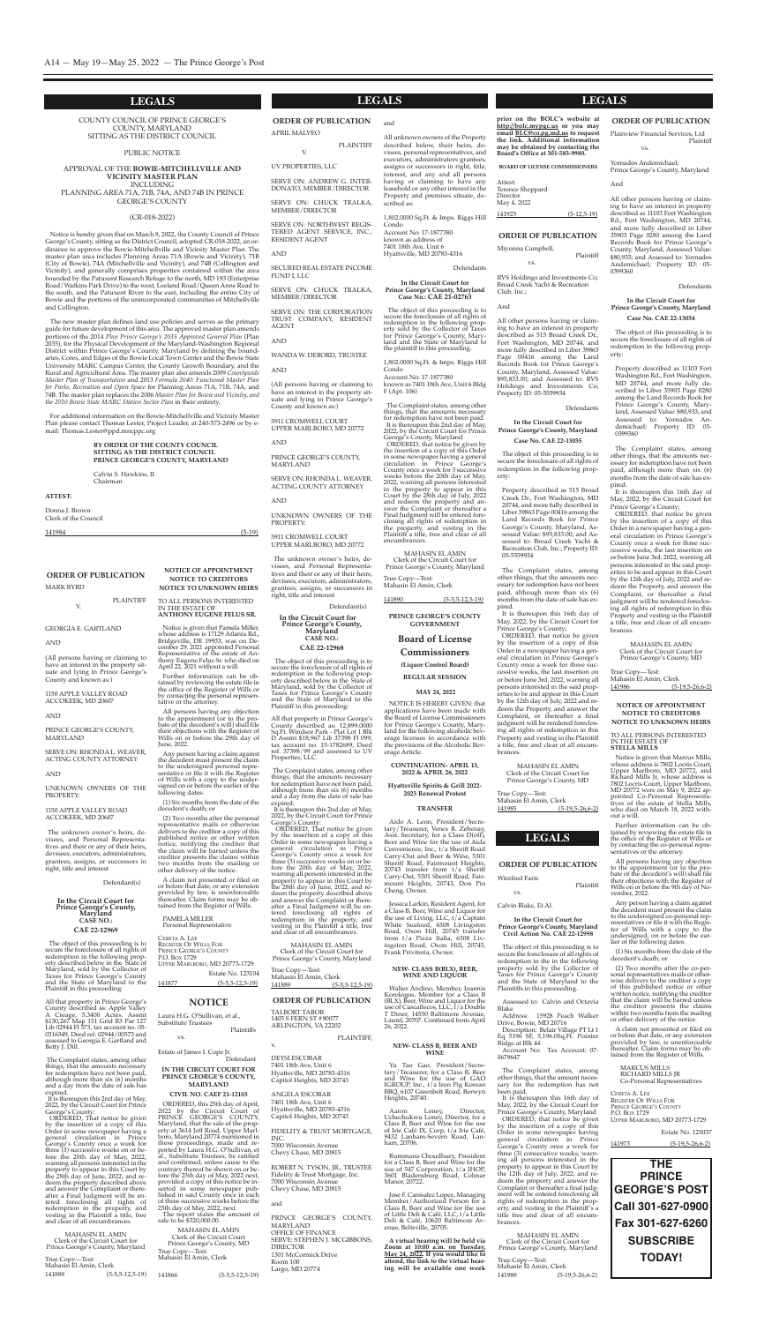Laura H.G. O'Sullivan, et al., substitute Trustees plaintiffs

Estate of James I. Cope Jr. Defendant

vs.

#### **in the circuit court for prince george'S county, maryland**

#### **ciVil no. caef 21-12103**

sale to be \$320,000.00. MATIACINE EL AMINE

oRDeReD, this 25th day of April, 2022 by the circuit court of pRInce geoRge's coUnTY, Maryland, that the sale of the property at 3614 Jeff Road, Upper Marlboro, Maryland 20774 mentioned in these proceedings, made and reported by Laura H.G. O'Sullivan, et al., substitute Trustees, be ratified and confirmed, unless cause to the contrary thereof be shown on or before the 25th day of May, 2022 next, provided a copy of this notice be inserted in some newspaper published in said county once in each of three successive weeks before the 25th day of May, 2022, next. The report states the amount of

|                                           | MAHASIN EL AMIN<br>Clerk of the Circuit Court |
|-------------------------------------------|-----------------------------------------------|
| True Copy—Test:<br>Mahasin El Amin, Clerk | Prince George's County, MD                    |
|                                           |                                               |
| 141866                                    | $(5-5,5-12,5-19)$                             |

**NOTICE OF APPOINTMENT NOTICE TO CREDITORS NOTICE TO UNKNOWN HEIRS** To ALL peRsons InTeResTeD

In The esTATe oF

**anthony eugene feluS Sr.** Notice is given that Pamela Miller, whose address is 17129 Atlanta Rd., Bridgeville, De 19933, was on December 29, 2021 appointed Personal Representative of the estate of Anthony Eugene Felus Sr. who died on April 22, 2021 without a will. Further information can be obtained by reviewing the estate file in the office of the Register of Wills or by contacting the personal represen-

tative or the attorney.

All persons having any objection to the appointment (or to the pro-

bate of the decedent's will) shall file their objections with the Register of Wills on or before the 29th day of June, 2022.

Any person having a claim against the decedent must present the claim to the undersigned personal representative or file it with the Register of Wills with a copy to the undersigned on or before the earlier of the following dates:

All that property in Prince George's county described as: Apple Valley A creage, 5.3400 Acres. Assmt \$130,267 Map 151 grid B3 par 127 Lib 02944 Fl 573, tax account no. 05- 0316349, Deed ref. 02944/00573 and assessed to Georgia E. Gartland and Betty J. Dill.

(1) six months from the date of the decedent's death; or

It is thereupon this 2nd day of May, 2022, by the circuit court for prince George's County:

(2) Two months after the personal representative mails or otherwise delivers to the creditor a copy of this published notice or other written notice, notifying the creditor that the claim will be barred unless the creditor presents the claims within two months from the mailing or other delivery of the notice.

A claim not presented or filed on or before that date, or any extension provided by law, is unenforceable thereafter. Claim forms may be obtained from the Register of Wills.

pAMeLAMILLeR personal Representative

| CERETA A. LEE                 |                   |
|-------------------------------|-------------------|
| <b>REGISTER OF WILLS FOR</b>  |                   |
| PRINCE GEORGE'S COUNTY        |                   |
| P.O. Box 1729                 |                   |
| UPPER MARLBORO, MD 20773-1729 |                   |
| Estate No. 123104             |                   |
| 141877                        | $(5-5.5-12.5-19)$ |

#### **NOTICE**

seRVe on: The coRpoRATIon TRUsT coMpAnY, ResIDenT **AGENT** 

 $\operatorname{AND}$ 

#### **LEGALS LEGALS LEGALS**

#### **ORDER OF PUBLICATION**

MARK BYRD

pLAInTIFF

V.

#### **AND**

# geoRgIA e. gARTLAnD

(All persons having or claiming to have an interest in the property situate and lying in Prince George's county and known as:)

#### 1150 AppLe VALLeY RoAD AccoKeeK, MD 20607

AnD

**PLAINTIFF** 

pRInce geoRge's coUnTY, MARYLAnD

seRVe on: RhonDAL. WeAVeR, AcTIng coUnTY ATToRneY

#### **AND**

UnKnoWn oWneRs oF The pRopeRTY:

#### 1150 AppLe VALLeY RoAD AccoKeeK, MD 20607

The unknown owner's heirs, devisees, and Personal Representatives and their or any of their heirs, devisees, executors, administrators, grantees, assigns, or successors in right, title and interest

All that property in Prince George's county described as: 12,899.0000 sq.Ft. Windsor park - plat Lot 1 Blk D Assmt \$18,967 Lib 37398 Fl 099, tax account no. 15-1782689, Deed ref. 37398/99 and assessed to UV properties, LLc.

It is thereupon this 2nd day of May, 2022, by the Circuit Court for Prince George's County:

Defendant(s)

#### **In the Circuit Court for Prince George's County, Maryland CASE NO.: CAE 22-12969**

The object of this proceeding is to secure the foreclosure of all rights of redemption in the following property described below in the state of Maryland, sold by the collector of Taxes for Prince George's County and the state of Maryland to the plaintiff in this proceeding:

MAhAsIn eL AMIn clerk of the circuit court for Prince George's County, Maryland

FIDELITY & TRUST MORTGAGE, Inc. 7000 Wisconsin Avenue

The complaint states, among other things, that the amounts necessary for redemption have not been paid, although more than six (6) months and a day from the date of sale has expired.

Aido A. Leon, President/Secretary/Treasurer, Venes B. Zebenay, Asst. Secretary, for a Class D(off), Beer and Wine for the use of Aida convenience, Inc., t/a sheriff Road carry-out and Beer & Wine, 5301 sheriff Road, Fairmount heights, 20743 transfer from t/a sheriff Carry-Out, 5301 Sheriff Road, Fairmount Heights, 20743, Don Pin cheng, owner.

oRDeReD, That notice be given by the insertion of a copy of this Order in some newspaper having a general circulation in prince george's county once a week for three (3) successive weeks on or before the 20th day of May, 2022, warning all persons interested in the property to appear in this court by the 28th day of June, 2022, and redeem the property described above and answer the complaint or thereafter a Final Judgment will be entered foreclosing all rights of redemption in the property, and vesting in the plaintiff a title, free and clear of all encumbrances.

Yu Tao Gao, President/Secretary/Treasurer, for a class B, Beer and Wine for the use of gAo IGROUP, Inc., t/a Iron Pig Korean BBq, 6107 greenbelt Road, Berwyn heights, 20740.

MAhAsIn eL AMIn clerk of the circuit court for prince george's county, Maryland

True copy—Test: Mahasin El Amin, Clerk 141888 (5-5,5-12,5-19)

#### **ORDER OF PUBLICATION** ApRIL MALVeo

V. UV pRopeRTIes, LLc

seRVe on: AnDReW g. InTeR-DonATo, MeMBeR/DIRecToR

seRVe on: chUcK TRALKA, MeMBeR/DIRecToR

seRVe on: noRThWesT RegIs-TeReD AgenT seRVIce, Inc., ResIDenT AgenT

 $\operatorname{AND}$ 

#### secUReD ReAL esTATe IncoMe FUnD I, LLc

seRVe on: chUcK TRALKA, MeMBeR/DIRecToR

WAnDA W. DeBoRD, TRUsTee

 $\operatorname{AND}$ 

Notice is given that Marcus Mills, whose address is 7802 Locris court, Upper Marlboro, MD 20772, and Richard Mills Jr, whose address is 7802 Locris Court, Upper Marlboro,<br>MD 20772 were on May 9, 2022 appointed Co-Personal Representatives of the estate of stella Mills, who died on March 18, 2022 without a will.

(All persons having or claiming to have an interest in the property situate and lying in Prince George's county and known as:)

5911 cRoMWeLL coURT UppeR MARLBoRo, MD 20772

**AND** 

pRInce geoRge's coUnTY, MARYLAnD

seRVe on: RhonDAL. WeAVeR, AcTIng coUnTY ATToRneY

#### **AND**

UnKnoWn oWneRs oF The pRopeRTY:

5911 cRoMWeLL coURT UppeR MARLBoRo, MD 20772

The unknown owner's heirs, devisees, and Personal Representatives and their or any of their heirs, devisees, executors, administrators, grantees, assigns, or successors in right, title and interest

Defendant(s) **In the Circuit Court for Prince George's County, Maryland**

> MARcUs MILLs RIchARD MILLs JR Co-Personal Representatives

#### **CASE NO.: CAE 22-12968**

|        | Estate No. 125037 |
|--------|-------------------|
| 141973 | $(5-19.5-26.6-2)$ |

The object of this proceeding is to secure the foreclosure of all rights of redemption in the following property described below in the state of Maryland, sold by the collector of Taxes for Prince George's County and the state of Maryland to the plaintiff in this proceeding:

Notice is hereby given that on March 8, 2022, the County Council of Prince George's County, sitting as the District Council, adopted CR-018-2022, an ordinance to approve the Bowie-Mitchellville and Vicinity Master plan. The master plan area includes planning Areas 71A (Bowie and Vicinity), 71B (City of Bowie), 74A (Mitchellville and Vicinity), and 74B (Collington and Vicinity), and generally comprises properties contained within the area bounded by the Patuxent Research Refuge to the north, MD 193 (Enterprise Road/Watkins Park Drive) to the west, Leeland Road/Queen Anne Road to the south, and the Patuxent River to the east, including the entire City of Bowie and the portions of the unincorporated communities of Mitchellville and collington.

> The complaint states, among other things, that the amounts necessary for redemption have not been paid, although more than six (6) months and a day from the date of sale has expired.

oRDeReD, That notice be given by the insertion of a copy of this Order in some newspaper having a general circulation in prince george's county once a week for three (3) successive weeks on or before the 20th day of May, 2022, warning all persons interested in the property to appear in this court by the 28th day of June, 2022, and redeem the property described above and answer the complaint or thereafter a Final Judgment will be entered foreclosing all rights of redemption in the property, and vesting in the plaintiff a title, free and clear of all encumbrances.

Calvin S. Hawkins, II chairman

> The object of this proceeding is to secure the foreclosure of all rights of redemption in the in the following property sold by the collector of Taxes for Prince George's County and the state of Maryland to the Plaintiffs in this proceeding.

> Assessed to: Calvin and Octavia Blake

True copy—Test: Mahasin El Amin*,* Clerk 141889 (5-5,5-12,5-19)

> Description: Belair Village PT Lt 1 eq 5196 sF, 5,196.0sq.Ft. pointer Ridge at Blk 44

# **ORDER OF PUBLICATION**

TALBoRT TABoR 1405 s FeRn sT #90077 ARLIngTon, VA 22202

pLAInTIFF,

v.

DeYsI escoBAR 7401 18th Ave, Unit 6 hyattsville, MD 20783-4316 capitol heights, MD 20743

AngeLA escoBAR 7401 18th Ave, Unit 6 hyattsville, MD 20783-4316 capitol heights, MD 20743

chevy chase, MD 20815

MAhAsIn eL AMIn clerk of the circuit court for Prince George's County, Maryland

RoBeRT n. TYson, JR., TRUsTee Fidelity & Trust Mortgage, Inc. 7000 Wisconsin Avenue chevy chase, MD 20815

> True Copy-Test: Mahasin El Amin, Clerk 141989 (5-19,5-26,6-2)

and

pRInce geoRge's coUnTY, MARYLAnD oFFIce oF FInAnce seRVe: sTephen J. McgIBBons, DIRecToR 1301 Mccormick Drive Room 100 Largo, MD 20774

All unknown owners of the Property described below, their heirs, devisees, personal representatives, and executors, administrators grantees, assigns or successors in right, title, interest, and any and all persons having or claiming to have any leasehold or any other interest in the Property and premises situate, described as:

#### **prince george'S county goVernment**

# **Board of license commissioners**

**(liquor control Board) regular SeSSion**

The object of this proceeding is to secure the foreclosure of all rights of redemption in the following property sold by the collector of Taxes for Prince George's County, Maryland and the state of Maryland to the plaintiff in this proceeding.

#### **may 24, 2022**

1,802.0000 sq.Ft. & Imps. Riggs hill condo Account No: 17-1877380

noTIce Is heReBY gIVen: that applications have been made with the Board of License commissioners for Prince George's County, Maryland for the following alcoholic beverage licenses in accordance with the provisions of the Alcoholic Beverage Article.

known as 7401 18th Ave, Unit 6 Bldg F (Apt. 106) The complaint states, among other things, that the amounts necessary for redemption have not been paid. It is thereupon this 2nd day of May, 2022, by the circuit court for prince george's county, Maryland oRDeReD, that notice be given by the insertion of a copy of this Order in some newspaper having a general circulation in Prince George's county once a week for 3 successive weeks before the 20th day of May, 2022, warning all persons interested in the property to appear in this court by the 28th day of July, <sup>2022</sup> and redeem the property and answer the Complaint or thereafter a

#### **continuation- april 13, 2022 & april 26, 2022**

#### **hyattsville Spirits & grill 2022- 2023 renewal protest**

#### **tranSfer**

MAhAsIn eL AMIn clerk of the circuit court for Prince George's County, Maryland

True copy—Test: Mahasin El Amin, Clerk

Jessica Larkin, Resident Agent, for a class B, Beer, Wine and Liquor for the use of Living, LLc, t/a captain White seafood, 6308 Livingston Road, oxon hill, 20745 transfer from t/a pizza Italia, 6308 Livingston Road, oxon hill, 20745,

#### **new- claSS B(Blx), Beer, wine and liQuor**

Walter Andino, Member, Ioannis

Korologos, Member for a class B (BLx), Beer, Wine and Liquor for the use of Cuscatlecos, LLC,  $\frac{1}{t}$  a Double T Diner, 14550 Baltimore Avenue, Laurel, 20707. continued from April 26, 2022.

#### **new- claSS B, Beer and wine**

It is thereupon this 16th day of May, 2022, by the circuit court for Prince George's County;

Aaron Loney, Director, Uchechukwu Loney, Director, for a class B, Beer and Wine for the use of Irie café Ix, corp, t/a Irie café, 9432 Lanham-severn Road, Lanham, 20706.

MAhAsIn eL AMIn clerk of the circuit court for Prince George's County, MD

Rummana choudhury, president for a class B, Beer and Wine for the use of 547 corporation, t/a Ihop, 3601 Bladensburg Road, colmar Manor, 20722.

Yornados Andemichael; Prince George's County, Maryland

Jose F. canisalez Lopez, Managing Member/Authorized Person for a class B, Beer and Wine for the use of Little Deli & café, LLc, t/a Little Deli & café, 10620 Baltimore Avenue, Beltsville, 20705.

**a virtual hearing will be held via Zoom at 10:00 a.m. on tuesday, may 24, 2022. if you would like to attend, the link to the virtual hearing will be available one week**

#### **notice of appointment notice to creditorS notice to unKnown heirS**

#### To ALL peRsons InTeResTeD In The esTATe oF **Stella millS**

It is thereupon this 16th day of May, 2022, by the Circuit Court for Prince George's County;

Further information can be obtained by reviewing the estate file in the office of the Register of Wills or by contacting the co-personal representatives or the attorney.

MAhAsIn eL AMIn clerk of the circuit court for Prince George's County, MD

All persons having any objection to the appointment (or to the probate of the decedent's will) shall file their objections with the Register of Wills on or before the 9th day of November, 2022.

Any person having a claim against the decedent must present the claim to the undersigned co-personal representatives or file it with the Register of Wills with a copy to the undersigned, on or before the earlier of the following dates:

(1) six months from the date of the decedent's death; or

(2) Two months after the co-personal representatives mails or otherwise delivers to the creditor a copy of this published notice or other written notice, notifying the creditor that the claim will be barred unless the creditor presents the claims within two months from the mailing or other delivery of the notice.

A claim not presented or filed on or before that date, or any extension provided by law, is unenforceable thereafter. claim forms may be obtained from the Register of Wills.

ceReTA A. Lee RegIsTeR oF WILLs FoR PRINCE GEORGE'S COUNTY P.O. Box 1729 UppeR MARLBoRo, MD 20773-1729

coUnTY coUncIL oF pRInce geoRge's coUnTY, MARYLAnD sITTIng As The DIsTRIcT coUncIL

#### pUBLIc noTIce

#### AppRoVAL oF The **BOWIE-MITCHELLVILLE AND VICINITY MASTER PLAN** IncLUDIng pLAnnIng AReA 71A, 71B, 74A, AnD 74B In pRInce

geoRge's coUnTY

#### (cR-018-2022)

The new master plan defines land use policies and serves as the primary guide for future development of this area. The approved master plan amends portions of the 2014 *Plan Prince George's 2035 Approved General Plan* (plan 2035), for the Physical Development of the Maryland-Washington Regional District within Prince George's County, Maryland by defining the boundaries, Cores, and Edges of the Bowie Local Town Center and the Bowie State University MARC Campus Center, the County Growth Boundary, and the Rural and Agricultural Area. The master plan also amends 2009 *Countywide Master Plan of Transportation* and 2013 *Formula 2040: Functional Master Plan for Parks, Recreation and Open Space* for planning Areas 71A, 71B, 74A, and 74B. The master plan replaces the 2006 *Master Plan for Bowie and Vicinity, and the 2010 Bowie State MARC Station Sector Plan* in their entirety.

For additional information on the Bowie-Mitchellville and Vicinity Master Plan please contact Thomas Lester, Project Leader, at 240-573-2496 or by email: Thomas.Lester@ppd.mncppc.org

#### **BY ORDER OF THE COUNTY COUNCIL SITTING AS THE DISTRICT COUNCIL PRINCE GEORGE'S COUNTY, MARYLAND**

#### **ATTEST:**

Donna J. Brown clerk of the council

141984 (5-19)

#### **order of puBlication**

Winifred Faris

plaintiff

vs.

Calvin Blake, Et Al.

#### **in the circuit court for prince george's county, maryland civil action no. cae 22-12998**

Address: 15928 peach Walker Drive, Bowie, MD 20716

Account no: Tax Account: 07- 0679647

The complaint states, among other things, that the amount necessary for the redemption has not been paid.

It is thereupon this 16th day of May, 2022, by the Circuit Court for Prince George's County, Maryland ORDERED, that notice be given by the insertion of a copy of this Order in some newspaper having general circulation in prince George's County once a week for three (3) consecutive weeks, warning all persons interested in the property to appear in this court by the 12th day of July, 2022, and redeem the property and answer the complaint or thereafter a final judgment will be entered foreclosing all rights of redemption in the property, and vesting in the plaintiff's a title free and clear of all encumbrances.

and

1,802.0000 sq.Ft. & Imps. Riggs hill condo Account No: 17-1877380 known as address of 7401 18th Ave, Unit 6 hyattsville, MD 20783-4316

Defendants

#### **In the Circuit Court for Prince George's County, Maryland Case No.: CAE 21-02763**

Final Judgment will be entered foreclosing all rights of redemption in the property, and vesting in the plaintiff a title, free and clear of all encumbrances.

141890 (5-5,5-12,5-19)

**prior on the Bolc's website at http://bolc.mypgc.us or you may email Blc@co.pg.md.us to request the link. additional information may be obtained by contacting the Board's office at 301-583-9980.**

**Board of licenSe commiSSionerS**

| $(5-12.5-19)$ |
|---------------|
|               |

#### **ORDER OF PUBLICATION**

Miyonna campbell,

plaintiff

#### vs.

RVs holdings and Investments co; Broad creek Yacht & Recreation club, Inc.;

#### And

All other persons having or claiming to have an interest in property described as 515 Broad creek Dr., Fort Washington, MD 20744, and more fully described in Liber 39863 Page  $00416$  among the Land Records Book for prince george's county, Maryland, Assessed Value: \$95,833.00; and Assessed to: RVs holdings and Investments co; property ID: 05-5559934

#### Defendants

#### **in the circuit court for prince george's county, maryland case no. cae 22-13035**

The object of this proceeding is to secure the foreclosure of all rights of redemption in the following property:

property described as 515 Broad creek Dr., Fort Washington, MD 20744, and more fully described in Liber 39863 page 00416 among the Land Records Book for prince George's County, Maryland, Assessed Value: \$95,833.00; and Assessed to: Broad creek Yacht & Recreation Club, Inc.; Property ID: 05-5559934

The complaint states, among other things, that the amounts necessary for redemption have not been paid, although more than six (6) months from the date of sale has expired.

oRDeReD, that notice be given by the insertion of a copy of this order in a newspaper having a general circulation in Prince George's county once a week for three successive weeks, the last insertion on or before June 3rd, 2022, warning all persons interested in the said properties to be and appear in this court by the 12th day of July, 2022 and redeem the Property, and answer the complaint, or thereafter a final judgment will be rendered foreclos-

ing all rights of redemption in this property and vesting in the plaintiff a title, free and clear of all encumbrances.

True copy—Test: Mahasin el Amin, clerk 141985 (5-19,5-26,6-2)

# **ORDER OF PUBLICATION**

Plainview Financial Services, Ltd

plaintiff vs.

And

All other persons having or claiming to have an interest in property described as 11103 Fort Washington Rd., Fort Washington, MD 20744, and more fully described in Liber 35903 page 0280 among the Land Records Book for Prince George's county, Maryland, Assessed Value: \$80,933; and Assessed to: Yornados Andemichael; Property ID: 05-0399360

Defendants

#### **in the circuit court for prince george's county, maryland case no. cae 22-13034**

The object of this proceeding is to secure the foreclosure of all rights of redemption in the following property:

property described as 11103 Fort Washington Rd., Fort Washington, MD 20744, and more fully described in Liber 35903 Page 0280 among the Land Records Book for Prince George's County, Maryland, Assessed Value: \$80,933; and Assessed to: Yornados Andemichael; Property ID: 05-0399360

The complaint states, among other things, that the amounts necessary for redemption have not been paid, although more than six (6) months from the date of sale has expired.

oRDeReD, that notice be given by the insertion of a copy of this Order in a newspaper having a general circulation in Prince George's county once a week for three successive weeks, the last insertion on or before June 3rd, 2022, warning all persons interested in the said properties to be and appear in this Court by the 12th day of July, 2022 and redeem the Property, and answer the complaint, or thereafter a final judgment will be rendered foreclosing all rights of redemption in this Property and vesting in the Plaintiff a title, free and clear of all encumbrances.

True copy—Test: Mahasin El Amin, Clerk 141986 (5-19,5-26,6-2)



Frank Priviteria, Owner.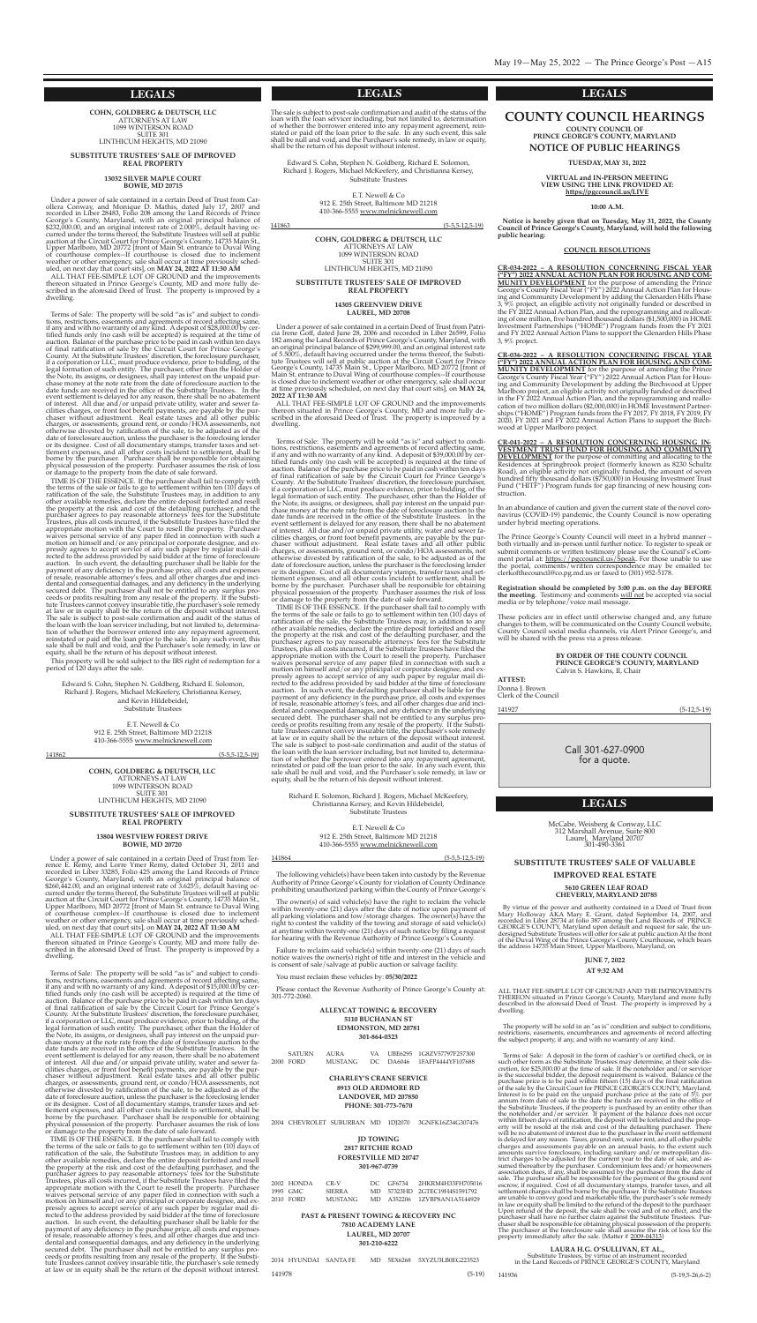Call 301-627-0900 for a quote.

#### **LEGALS**

The sale is subject to post-sale confirmation and audit of the status of the loan with the loan servicer including, but not limited to, determination of whether the borrower entered into any repayment agreement, reinstated

#### **LEGALS**

#### **LEGALS**

**cohn, goldBerg & deutSch, llc** ATToRneYs AT LAW 1099 WInTeRson RoAD sUITe 301 LInThIcUM heIghTs, MD 21090

#### **SuBStitute truSteeS' Sale of improVed real property**

**13032 SilVer maple court Bowie, md 20715**

Under <sup>a</sup> power of sale contained in <sup>a</sup> certain Deed of Trust from car- ollera conway, and Monique D. Mathis, dated July 17, <sup>2007</sup> and recorded in Liber 28483, Folio 208 among the Land Records of prince George's County, Maryland, with an original principal balance of \$232,000.00, and an original interest rate of 2.000%, default having occurred under the terms thereof, the substitute Trustees will sell at public auction at the Circuit Court for Prince George's County, 14735 Main St., Upper Marlboro, MD 20772 [front of Main St. entrance to Duval Wing of courthouse complex--If courthouse is closed due to inclement weather or other emergency, sale shall occur at time previously scheduled, on next day that court sits], on **may 24, 2022 at 11:30 am**

ALL THAT FEE-SIMPLE LOT OF GROUND and the improvements thereon situated in Prince George's County, MD and more fully described in the aforesaid Deed of Trust. The property is improved by a dwelling.

Terms of Sale: The property will be sold "as is" and subject to conditions, restrictions, easements and agreements of record affecting same, if any and with no warranty of any kind. Adeposit of \$28,000.00 by certified funds only (no cash will be accepted) is required at the time of auction. Balance of the purchase price to be paid in cash within ten days of final ratification of sale by the Circuit Court for Prince George's county. At the substitute Trustees' discretion, the foreclosure purchaser, if a corporation or LLc, must produce evidence, prior to bidding, of the legal formation of such entity. The purchaser, other than the Holder of the Note, its assigns, or designees, shall pay interest on the unpaid purchase money at the note rate from the date of foreclosure auction to the date funds are received in the office of the Substitute Trustees. In the event settlement is delayed for any reason, there shall be no abatement of interest. All due and/or unpaid private utility, water and sewer facilities charges, or front foot benefit payments, are payable by the purchaser without adjustment. Real estate taxes and all other public charges, or assessments, ground rent, or condo/HOA assessments, not otherwise divested by ratification of the sale, to be adjusted as of the date of foreclosure auction, unless the purchaser is the foreclosing lender<br>or its designee. Cost of all documentary stamps, transfer taxes and set-<br>tlement expenses, and all other costs incident to settlement, shall be<br>bo physical possession of the property. Purchaser assumes the risk of loss<br>or damage to the property from the date of sale forward.

Edward S. Cohn, Stephen N. Goldberg, Richard E. Solomon, Richard J. Rogers, Michael McKeefery, christianna Kersey, and Kevin Hildebeidel, substitute Trustees

E.T. Newell  $&Co$ 

ALL THAT FEE-SIMPLE LOT OF GROUND and the improvements thereon situated in Prince George's County, MD and more fully described in the aforesaid Deed of Trust. The property is improved by a dwelling.

TIMe Is oF The essence. If the purchaser shall fail to comply with the terms of the sale or fails to go to settlement within ten (10) days of ratification of the sale, the substitute Trustees may, in addition to any other available remedies, declare the entire deposit forfeited and resell the property at the risk and cost of the defaulting purchaser, and the purchaser agrees to pay reasonable attorneys' fees for the Substitute Trustees, plus all costs incurred, if the Substitute Trustees have filed the appr motion on himself and /or any principal or corporate designee, and expressly agrees to accept service of any such paper by regular mail directed to the address provided by said bidder at the time of foreclosure auction. In such event, the defaulting purchaser shall be liable for the payment of any deficiency in the purchase price, all costs and expenses of resale, reasonable attorney's fees, and all other charges due and incidental and consequential damages, and any deficiency in the underlying secured debt. The purchaser shall not be entitled to any surplus proceeds or profits resulting from any resale of the property. If the substitute Trustees cannot convey insurable title, the purchaser's sole remedy at law or in equity shall be the return of the deposit without interest. The sale is subject to post-sale confirmation and audit of the status of the loan with the loan servicer including, but not limited to, determination of whether the borrower entered into any repayment agreement, reinstated or paid off the loan prior to the sale. In any such event, this sale shall be null and void, and the purchaser's sole remedy, in law or equity, shall be the return of his deposit without interest.

TIME IS OF THE ESSENCE. If the purchaser shall fail to comply with the terms of the sale or fails to go to settlement within ten (10) days of ratification of the sale, the substitute Trustees may, in addition to any other available remedies, declare the entire deposit forfeited and resell the property at the risk and cost of the defaulting purchaser, and the purchaser agrees to pay reasonable attorneys' fees for the Substitute Trustees, plus all costs incurred, if the substitute Trustees have filed the appropriate motion with the court to resell the property. purchaser waives personal service of any paper filed in connection with such a motion on himself and/or any principal or corporate designee, and expressly agrees to accept service of any such paper by regular mail di- rected to the address provided by said bidder at the time of foreclosure auction. In such event, the defaulting purchaser shall be liable for the payment of any deficiency in the purchase price, all costs and expenses of resale, reasonable attorney's fees, and all other charges due and incidental and consequential damages, and any deficiency in the underlying secured debt. The purchaser shall not be entitled to any surplus proceeds or profits resulting from any resale of the property. If the Substitute Trustees cannot convey insurable title, the purchaser's sole remedy at law or in equity shall be the return of the deposit without interest.

This property will be sold subject to the IRs right of redemption for a period of 120 days after the sale.

> 912 e. 25th street, Baltimore MD 21218 410-366-5555 www.melnicknewell.com

141862 (5-5,5-12,5-19)

**cohn, goldBerg & deutSch, llc** ATToRneYs AT LAW 1099 WInTeRson RoAD **SUITE 301** LInThIcUM heIghTs, MD 21090

#### **SuBStitute truSteeS' Sale of improVed real property**

#### **13804 weStView foreSt driVe Bowie, md 20720**

Under a power of sale contained in a certain Deed of Trust from Terrence E. Remy, and Lorre Ymer Remy, dated October 31, 2011 and recorded in Liber 33285, Folio 425 among the Land Records of prince George's County, Maryland, with an original principal balance of \$260,442.00, and an original interest rate of 3.625%, default having occurred under the terms thereof, the substitute Trustees will sell at public auction at the Circuit Court for Prince George's County, 14735 Main St., Upper Marlboro, MD 20772 [front of Main St. entrance to Duval Wing of courthouse complex--If courthouse is closed due to inclement weather or other emergency, sale shall occur at time previously scheduled, on next day that court sits], on **may 24, 2022 at 11:30 am**

Terms of Sale: The property will be sold "as is" and subject to conditions, restrictions, easements and agreements of record affecting same, if any and with no warranty of any kind. A deposit of \$39,000.00 by certified fun Example for an example in a corporation of LLC, must produce evidence, prior to bidding, of the legal formation of such entity. The purchaser, other than the Holder of the Note, its assigns, or designees, shall pay interest on the unpaid purchase money at the note rate from the date of foreclosure auction to the date funds are received in the office of the substitute Trustees. In the event settlement is delayed for any reason, there shall be no abatement of interest. All due and/or unpaid private utility, water and sewer facilities charges, or front foot benefit payments, are payable by the purchaser without adjustment. Real estate taxes and all other public charges, or assessments, ground rent, or condo/HOA assessments, not otherwise divested by ratification of the sale, to be adjusted as of the date of foreclosure auction, unless the purchaser is the foreclosing lender or its designee. cost of all documentary stamps, transfer taxes and settlement expenses, and all other costs incident to settlement, shall be borne by the purchaser. Purchaser shall be responsible for obtaining physical possession of the property. Purchaser assumes the risk of loss or damage to the property from the date of sale forward.

Richard E. Solomon, Richard J. Rogers, Michael McKeefery, christianna Kersey, and Kevin hildebeidel, substitute Trustees

> E.T. Newell & Co 912 e. 25th street, Baltimore MD 21218 410-366-5555 www.melnicknewell.com

Terms of sale: The property will be sold "as is" and subject to conditions, restrictions, easements and agreements of record affecting same, if any and with no warranty of any kind. Adeposit of \$15,000.00 by certified funds only (no cash will be accepted) is required at the time of auction. Balance of the purchase price to be paid in cash within ten days of final ratification of sale by the Circuit Court for Prince George's county. At the substitute Trustees' discretion, the foreclosure purchaser, if a corporation or LLc, must produce evidence, prior to bidding, of the legal formation of such entity. The purchaser, other than the Holder of the Note, its assigns, or designees, shall pay interest on the unpaid purchase money at the note rate from the date of foreclosure auction to the date funds are received in the office of the Substitute Trustees. In the event settlement is delayed for any reason, there shall be no abatement of interest. All due and/or unpaid private utility, water and sewer facilities charges, or front foot benefit payments, are payable by the purchaser without adjustment. Real estate taxes and all other public charges, or assessments, ground rent, or condo/HOA assessments, not otherwise divested by ratification of the sale, to be adjusted as of the date of foreclosure auction, unless the purchaser is the foreclosing lender or its designee. cost of all documentary stamps, transfer taxes and settlement expenses, and all other costs incident to settlement, shall be borne by the purchaser. Purchaser shall be responsible for obtaining physical possession of the property. purchaser assumes the risk of loss or damage to the property from the date of sale forward.

The Prince George's County Council will meet in a hybrid manner both virtually and in-person until further notice. To register to speak or submit comments or written testimony please use the Council's eComment portal at: https://pgccouncil.us/Speak. For those unable to use the portal, comments/written correspondence may be emailed to: clerkofthecouncil@co.pg.md.us or faxed to (301) 952-5178.

> **By order of the county council prince george'S county, maryland** Calvin S. Hawkins, II, Chair

**cohn, goldBerg & deutSch, llc** ATToRneYs AT LAW 1099 WInTeRson RoAD sUITe 301 LInThIcUM heIghTs, MD 21090

#### **SuBStitute truSteeS' Sale of improVed real property**

#### **14305 greenView driVe laurel, md 20708**

Under a power of sale contained in a certain Deed of Trust from Patricia Irene Goff, dated June 28, 2006 and recorded in Liber 26599, Folio 182 among the Land Records of Prince George's County, Maryland, with an original p George's County, 14735 Main St., Upper Marlboro, MD 20772 [front of Main St. entrance to Duval Wing of courthouse complex--If courthouse<br>is closed due to inclement weather or other emergency, sale shall occur<br>at time previously scheduled, on next day that court sits], on MAY 24,<br>2022 AT 11

ALL ThAT Fee-sIMpLe LoT oF gRoUnD and the improvements thereon situated in Prince George's County, MD and more fully described in the aforesaid Deed of Trust. The property is improved by a dwelling.

The following vehicle(s) have been taken into custody by the Revenue Authority of Prince George's County for violation of County Ordinance prohibiting unauthorized parking within the County of Prince George's

The owner(s) of said vehicle(s) have the right to reclaim the vehicle within twenty-one (21) days after the date of notice upon payment of all parking violations and tow/storage charges. The owner(s) have the right to contest the validity of the towing and storage of said vehicle(s) at anytime within twenty-one (21) days of such notice by filing a request for hearing with the Revenue Authority of Prince George's County.

Please contact the Revenue Authority of Prince George's County at: 301-772-2060.

SATURN AURA VA UBE6295 1G8ZV57797F257300<br>FORD MUSTANG DC DA6046 1FAFP4444YF107688 2000 FoRD MUsTAng Dc DA6046 1FAFp4444YF107688

Edward S. Cohn, Stephen N. Goldberg, Richard E. Solomon, Richard J. Rogers, Michael McKeefery, and christianna Kersey, substitute Trustees

TIMe Is oF The essence. If the purchaser shall fail to comply with the terms of the sale or fails to go to settlement within ten (10) days of ratification of the sale, the substitute Trustees may, in addition to any other available remedies, declare the entire deposit forfeited and resell the property at the risk and cost of the defaulting purchaser, and the purchaser agrees to pay reasonable attorneys' fees for the Substitute Trustees, plus all costs incurred, if the substitute Trustees have filed the appropriate motion with the Court to resell the property. Purchaser waives personal service of any paper filed in connection with such a motion on himself and/or any principal or corporate designee, and expressly agrees to accept service of any such paper by regular mail directed to the address provided by said bidder at the time of foreclosure auction. In such event, the defaulting purchaser shall be liable for the payment of any deficiency in the purchase price, all costs and expenses of resale, reasonable attorney's fees, and all other charges due and incidental and consequential damages, and any deficiency in the underlying secured debt. The purchaser shall not be entitled to any surplus proceeds or profits resulting from any resale of the property. If the Substitute Trustees cannot convey insurable title, the purchaser's sole remedy at law or in equity shall be the return of the deposit without interest. The sale is subject to post-sale confirmation and audit of the status of the loan with the loan servicer including, but not limited to, determination of whether the borrower entered into any repayment agreement, reinstated or paid off the loan prior to the sale. In any such event, this sale shall be null and void, and the purchaser's sole remedy, in law or equity, shall be the return of his deposit without interest.

141864 (5-5,5-12,5-19)

#### **county council hearingS county council of**

**prince george'S county, maryland notice of puBlic hearingS**

#### **tueSday, may 31, 2022**

**Virtual and in-perSon meeting View uSing the linK proVided at: https://pgccouncil.us/liVe**

**10:00 a.m.**

**notice is hereby given that on tuesday, may 31, 2022, the county council of prince george's county, maryland, will hold the following public hearing:**

#### **council reSolutionS**

**CR-034-2022 – A RESOLUTION CONCERNING FISCAL YEAR ("FY") 2022 ANNUAL ACTION PLAN FOR HOUSING AND COM-MUNITY DEVELOPMENT** for the purpose of amending the Prince George's County Fiscal Year ("FY") 2022 Annual Action Plan for Housing and Community Development by adding the Glenarden Hills Phase 3, 9% project, an eligible activity not originally funded or described in the FY 2022 Annual Action plan, and the reprogramming and reallocating of one million, five hundred thousand dollars (\$1,500,000) in HOME Investment Partnerships ("HOME") Program funds from the FY 2021 and FY 2022 Annual Action Plans to support the Glenarden Hills Phase 3, 9% project.

**CR-036-2022 – A RESOLUTION CONCERNING FISCAL YEAR ("FY") 2022 ANNUAL ACTION PLAN FOR HOUSING AND COM-MUNITY DEVELOPMENT** for the purpose of amending the Prince George's County Fiscal Year ("FY") 2022 Annual Action Plan for Housing and community Development by adding the Birchwood at Upper Marlboro project, an eligible activity not originally funded or described in the FY 2022 Annual Action plan, and the reprogramming and reallocation of two million dollars (\$2,000,000) in HOME Investment Partnerships ("hoMe") program funds from the FY 2017, FY 2018, FY 2019, FY 2020, FY 2021 and FY 2022 Annual Action plans to support the Birchwood at Upper Marlboro project.

**CR-041-2022 – A RESOLUTION CONCERNING HOUSING IN-VESTMENT TRUST FUND FOR HOUSING AND COMMUNITY DEVELOPMENT** for the purpose of committing and allocating to the Residences at Springbrook project (formerly known as 8230 Schultz Road), an eligible activity not originally funded, the amount of seven hundred fifty thousand dollars (\$750,000) in housing Investment Trust Fund ("HITF") Program funds for gap financing of new housing construction.

In an abundance of caution and given the current state of the novel coronavirus (COVID-19) pandemic, the County Council is now operating under hybrid meeting operations.

**Registration should be completed by 3:00 p.m. on the day BEFORE the meeting**. Testimony and comments will not be accepted via social media or by telephone/voice mail message.

These policies are in effect until otherwise changed and, any future changes to them, will be communicated on the county council website, County Council social media channels, via Alert Prince George's, and will be shared with the press via a press release.

**atteSt:** Donna J. Brown clerk of the council

Mccabe, Weisberg & conway, LLc 312 Marshall Avenue, suite 800 Laurel, Maryland 20707 301-490-3361

#### **SUBSTITUTE TRUSTEES' SALE OF VALUABLE**

#### **IMPROVED REAL ESTATE**

#### **5610 GREEN LEAF ROAD CHEVERLY, MARYLAND 20785**

By virtue of the power and authority contained in a Deed of Trust from Mary Holloway AKA Mary E. Grant, dated September 14, 2007, and recorded in Liber 28734 at folio 387 among the Land Records of PRINCE GEORGE'S COUNTY, Maryland upon default and request for sale, the undersigned substitute Trustees will offer for sale at public auction At the front of the Duval Wing of the Prince George's County Courthouse, which bears the address 14735 Main street, Upper Marlboro, Maryland, on

#### **JUNE 7, 2022**

#### **AT 9:32 AM**

ALL ThAT Fee-sIMpLe LoT oF gRoUnD AnD The IMpRoVeMenTs TheReon situated in prince george's county, Maryland and more fully described in the aforesaid Deed of Trust. The property is improved by a dwelling.

The property will be sold in an "as is" condition and subject to conditions, restrictions, easements, encumbrances and agreements of record affecting the subject property, if any, and with no warranty of any kind.

Terms of sale: A deposit in the form of cashier's or certified check, or in such other form as the Substitute Trustees may determine, at their sole discretion, for \$25,000.00 at the time of sale. If the noteholder and/or servicer is the successful bidder, the deposit requirement is waived. Balance of the purchase price is to be paid within fifteen (15) days of the final ratification of the sale by the circuit court for pRInce geoRge's coUnTY, Maryland. Interest is to be paid on the unpaid purchase price at the rate of 5% per annum from date of sale to the date the funds are received in the office of the Substitute Trustees, if the property is purchased by an entity other than<br>the noteholder and/or servicer. If payment of the balance does not occur<br>within fifteen days of ratification, the deposit will be forfeited and erty will be resold at the risk and cost of the defaulting purchaser. There will be no abatement of interest due to the purchaser in the event settlement is delayed for any reason. Taxes, ground rent, water rent, and all other public charges and assessments payable on an annual basis, to the extent such amounts survive foreclosure, including sanitary and/or metropolitan district charges to be adjusted for the current year to the date of sale, and assumed thereafter by the purchaser. condominium fees and/or homeowners association dues, if any, shall be assumed by the purchaser from the date of sale. The purchaser shall be responsible for the payment of the ground rent escrow, if required. cost of all documentary stamps, transfer taxes, and all settlement charges shall be borne by the purchaser. If the substitute Trustees are unable to convey good and marketable title, the purchaser's sole remedy in law or equity shall be limited to the refund of the deposit to the purchaser. Upon refund of the deposit, the sale shall be void and of no effect, and the purchaser shall have no further claim against the Substitute Trustees. Purchaser shall be responsible for obtaining physical possession of the property. The purchaser at the foreclosure sale shall assume the risk of loss for the property immediately after the sale. (Matter # 2009-04313)

**LAURA H.G. O'SULLIVAN, ET AL.,** substitute Trustees, by virtue of an instrument recorded in the Land Records of pRInce geoRge's coUnTY, Maryland

141936 (5-19,5-26,6-2)

Failure to reclaim said vehicle(s) within twenty-one (21) days of such notice waives the owner(s) right of title and interest in the vehicle and is consent of sale/salvage at public auction or salvage facility.

You must reclaim these vehicles by: **05/30/2022**

#### **ALLEYCAT TOWING & RECOVERY 5110 BUCHANAN ST EDMONSTON, MD 20781 301-864-0323**

#### **CHARLEY'S CRANE SERVICE 8913 OLD ARDMORE RD LANDOVER, MD 207850 PHONE: 301-773-7670**

2004 cheVRoLeT sUBURBAn MD 1DJ2070 3gnFK16Z34g307476

#### **JD TOWING 2817 RITCHIE ROAD FORESTVILLE MD 20747 301-967-0739**

| 2002 HONDA | CR-V           | DC GF6734 | 2HKRM4H33FH705016            |
|------------|----------------|-----------|------------------------------|
| 1995 GMC   | <b>SIERRA</b>  |           | MD 57323HD 2GTEC19H4S1591792 |
| 2010 FORD  | <b>MUSTANG</b> |           | MD A352206 1ZVBP8AN1A5144929 |

#### **PAST & PRESENT TOWING & RECOVERY INC 7810 ACADEMY LANE LAUREL, MD 20707 301-210-6222**

2014 hYUnDAI sAnTA Fe MD 5ex6268 5xYZU3LB0eg223523

141978 (5-19)

e.T. newell & co 912 e. 25th street, Baltimore MD 21218 410-366-5555 www.melnicknewell.com

141863 (5-5,5-12,5-19)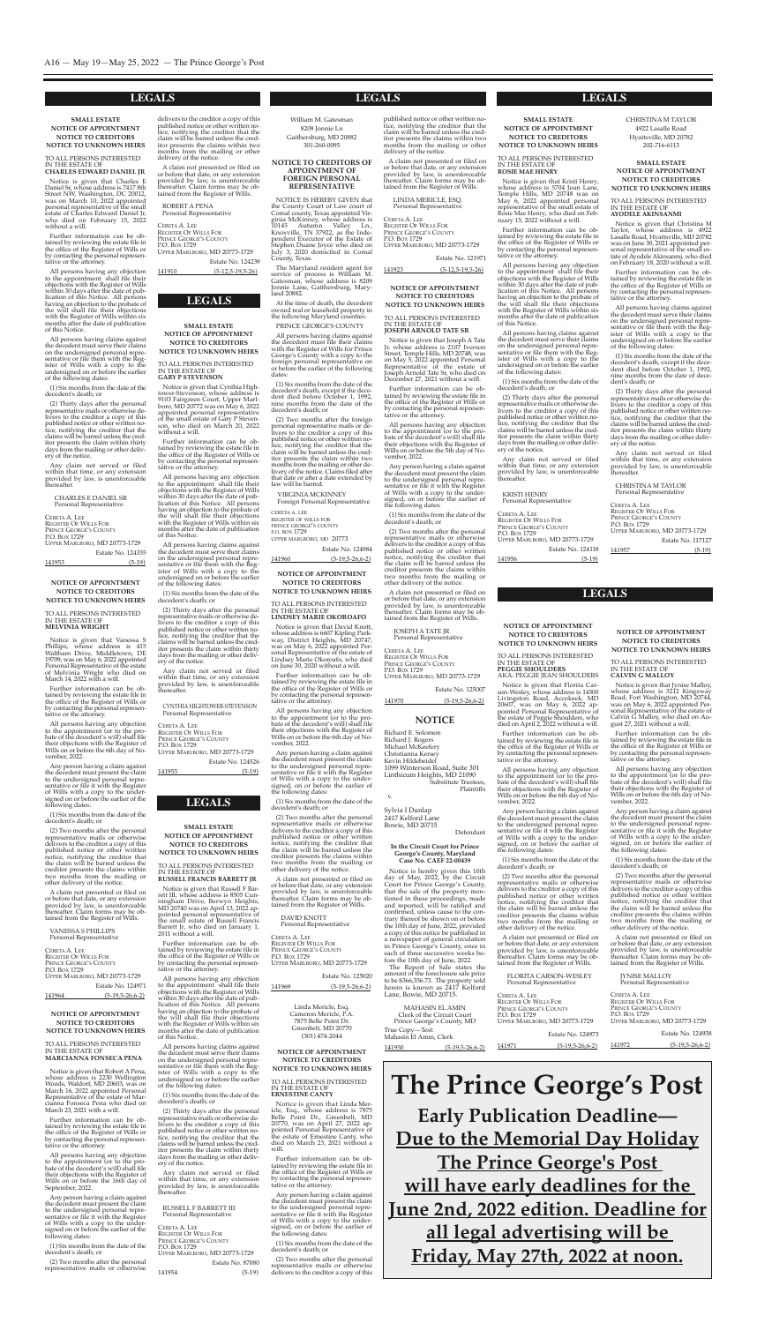Linda Mericle, Esq. Cameron Mericle, P.A. 7875 Belle point Dr. Greenbelt, MD 20770 (301) 474-2044

#### **notice of appointment notice to creditorS notice to unKnown heirS**

To ALL peRsons InTeResTeD In The esTATe oF **erneStine canty**

Notice is given that Linda Mericle, Esq., whose address is 7875<br>Belle Point Dr., Greenbelt, MD 20770, was on April 27, 2022 appointed personal Representative of the estate of ernestine canty, who died on March 23, 2021 without a will.

Further information can be obtained by reviewing the estate file in the office of the Register of Wills or by contacting the personal representative or the attorney.

Notice is given that Robert A Pena, whose address is 2230 Wellington Woods, Waldorf, MD 20603, was on March 16, 2022 appointed Personal Representative of the estate of Marcianna Fonseca pena who died on March 23, 2021 with a will.

> Any person having a claim against the decedent must present the claim to the undersigned personal representative or file it with the Register of Wills with a copy to the undersigned, on or before the earlier of the following dates:

> (1) six months from the date of the decedent's death; or

> (2) Two months after the personal representative mails or otherwise delivers to the creditor a copy of this

#### **NOTICE OF APPOINTMENT NOTICE TO CREDITORS NOTICE TO UNKNOWN HEIRS**

#### To ALL peRsons InTeResTeD In The esTATe oF **marcianna fonSeca pena**

Notice is given that Charles E Daniel sr, whose address is 7417 8th street nW, Washington, Dc 20012, was on March 10, 2022 appointed personal representative of the small estate of charles edward Daniel Jr, who died on February 15, 2022 without a will.

All persons having any objection to the appointment shall file their objections with the Register of Wills within 30 days after the date of publication of this Notice. All persons having an objection to the probate of the will shall file their objections with the Register of Wills within six months after the date of publication of this Notice.

Further information can be obtained by reviewing the estate file in the office of the Register of Wills or by contacting the personal representative or the attorney.

All persons having any objection to the appointment (or to the probate of the decedent's will) shall file their objections with the Register of Wills on or before the 16th day of september, 2022.

Any person having a claim against the decedent must present the claim to the undersigned personal representative or file it with the Register of Wills with a copy to the undersigned on or before the earlier of the following dates:

Estate No. 124335 141953 (5-19)

(1) six months from the date of the decedent's death; or

(2) Two months after the personal representative mails or otherwise

#### **LEGALS LEGALS LEGALS**

William M. Gatesman 8209 Jonnie Ln Gaithersburg, MD 20882

# **LEGALS**

#### **LEGALS**

**LEGALS**

Notice is given that Russell F Barrett III, whose address is 8505 Cunningham Drive, Berwyn heights, MD 20740 was on April 13, 2022 appointed personal representative of the small estate of Russell Francis Barrett Jr, who died on January 1, 2011 without a will.

#### **SMALL ESTATE NOTICE OF APPOINTMENT NOTICE TO CREDITORS NOTICE TO UNKNOWN HEIRS**

All persons having any objection to the appointment shall file their objections with the Register of Wills within 30 days after the date of publication of this Notice. All persons having an objection to the probate of the will shall file their objections with the Register of Wills within six months after the date of publication of this Notice.

#### To ALL peRsons InTeResTeD In The esTATe oF **CHARLES EDWARD DANIEL JR**

Further information can be obtained by reviewing the estate file in the office of the Register of Wills or by contacting the personal representative or the attorney.

> ceReTA A. Lee RegIsTeR oF WILLs FoR PRINCE GEORGE'S COUNTY P.O. Box 1729 UppeR MARLBoRo, MD 20773-1729 Estate No. 87080

Notice is given that Cynthia Hightower-stevenson, whose address is 9103 Fairgreen court, Upper Marlboro, MD 20772 was on May 6, 2022 appointed personal representative of the small estate of gary p stevenson, who died on March 20, 2022 without a will.

All persons having any objection to the appointment shall file their objections with the Register of Wills within 30 days after the date of publication of this Notice. All persons having an objection to the probate of the will shall file their objections with the Register of Wills within six months after the date of publication of this Notice.

All persons having claims against the decedent must serve their claims on the undersigned personal representative or file them with the Register of Wills with a copy to the undersigned on or before the earlier of the following dates:

(1) six months from the date of the decedent's death; or

(2) Thirty days after the personal representative mails or otherwise delivers to the creditor a copy of this published notice or other written notice, notifying the creditor that the claims will be barred unless the creditor presents the claim within thirty days from the mailing or other delivery of the notice.

Any claim not served or filed within that time, or any extension provided by law, is unenforceable thereafter.

> Estate No. 124526 141955 (5-19)

#### chARLes e DAnIeL sR personal Representative

ceReTA A. Lee RegIsTeR oF WILLs FoR PRINCE GEORGE'S COUNTY P.O. Box 1729 UppeR MARLBoRo, MD 20773-1729

Notice is given that Kristi Henry, whose address is 5704 Joan Lane, Temple hills, MD 20748 was on May 6, 2022 appointed personal representative of the small estate of Rosie Mae henry, who died on February 15, 2022 without a will.

#### **SMALL ESTATE NOTICE OF APPOINTMENT NOTICE TO CREDITORS**

**NOTICE TO UNKNOWN HEIRS**

All persons having any objection to the appointment shall file their objections with the Register of Wills within 30 days after the date of publication of this Notice. All persons having an objection to the probate of the will shall file their objections with the Register of Wills within six months after the date of publication of this Notice.

#### To ALL peRsons InTeResTeD In The esTATe oF **RUSSELL FRANCIS BARRETT JR**

Further information can be obtained by reviewing the estate file in the office of the Register of Wills or by contacting the personal representative or the attorney.

Notice is given that Christina M Taylor, whose address is 4922 Lasalle Road, Hyattsville, MD 20782 was on June 30, 2021 appointed personal representative of the small estate of Ayodele Akinsanmi, who died on February 18, 2020 without a will.

All persons having claims against the decedent must serve their claims on the undersigned personal representative or file them with the Register of Wills with a copy to the undersigned on or before the earlier of the following dates:

(1) six months from the date of the decedent's death; or

(2) Thirty days after the personal representative mails or otherwise delivers to the creditor a copy of this published notice or other written notice, notifying the creditor that the claims will be barred unless the creditor presents the claim within thirty days from the mailing or other delivery of the notice.

Any claim not served or filed within that time, or any extension provided by law, is unenforceable thereafter.

RUsseLL F BARReTT III personal Representative

141954 (5-19)

# **SMALL ESTATE NOTICE OF APPOINTMENT**

#### **NOTICE TO CREDITORS NOTICE TO UNKNOWN HEIRS**

To ALL peRsons InTeResTeD In The esTATe oF **GARY P STEVENSON**

Further information can be obtained by reviewing the estate file in the office of the Register of Wills or by contacting the personal representative or the attorney.

Notice is given that Vanessa S phillips, whose address is 415 Waltham Drive, Middletown, De 19709, was on May 6, 2022 appointed personal Representative of the estate of Melvinia Wright who died on March 14, 2022 with a will.

All persons having claims against the decedent must serve their claims on the undersigned personal representative or file them with the Register of Wills with a copy to the undersigned on or before the earlier of the following dates:

(1) six months from the date of the decedent's death; or

(2) Thirty days after the personal representative mails or otherwise delivers to the creditor a copy of this published notice or other written notice, notifying the creditor that the claims will be barred unless the creditor presents the claim within thirty days from the mailing or other delivery of the notice.

Notice is given that David Knott, whose address is 6607 Kipling Parkway, District heights, MD 20747, was on May 6, 2022 appointed personal Representative of the estate of Lindsey Marie okoroafo, who died on June 30, 2020 without a will.

Any claim not served or filed within that time, or any extension provided by law, is unenforceable thereafter.

#### cYnThIA hIghToWeR-sTeVenson personal Representative

ceReTA A. Lee RegIsTeR oF WILLs FoR PRINCE GEORGE'S COUNTY P.O. Box 1729 UppeR MARLBoRo, MD 20773-1729

**SMALL ESTATE NOTICE OF APPOINTMENT NOTICE TO CREDITORS NOTICE TO UNKNOWN HEIRS**

To ALL peRsons InTeResTeD In The esTATe oF **ROSIE MAE HENRY**

DAVID KNOTT personal Representative

CERETA A. LEE RegIsTeR oF WILLs FoR PRINCE GEORGE'S COUNTY P.O. Box 1729 UppeR MARLBoRo, MD 20773-1729

Estate No. 125020

Further information can be obtained by reviewing the estate file in the office of the Register of Wills or by contacting the personal representative or the attorney.

Notice is given that Joseph A Tate Jr, whose address is 2107 Iverson street, Temple hills, MD 20748, was on May 5, 2022 appointed personal Representative of the estate of Joseph Arnold Tate sr, who died on December 27, 2021 without a will.

All persons having claims against the decedent must serve their claims on the undersigned personal representative or file them with the Register of Wills with a copy to the undersigned on or before the earlier of the following dates:

(1) six months from the date of the decedent's death; or

(2) Thirty days after the personal representative mails or otherwise delivers to the creditor a copy of this published notice or other written notice, notifying the creditor that the claims will be barred unless the creditor presents the claim within thirty days from the mailing or other delivery of the notice.

Notice is given that Florita Carson-Wesley, whose address is 14500 Livingston Road, Accokeek, MD 20607, was on May 6, 2022 appointed personal Representative of the estate of peggie shoulders, who died on April 2, 2022 without a will. Further information can be obtained by reviewing the estate file in the office of the Register of Wills or by contacting the personal representative or the attorney.

Any claim not served or filed within that time, or any extension provided by law, is unenforceable thereafter.

KRIsTI henRY personal Representative

CERETA A. LEE RegIsTeR oF WILLs FoR pRInce geoRge's coUnTY p.o. Box 1729 UppeR MARLBoRo, MD 20773-1729 Estate No. 124118

141956 (5-19)

chRIsTInA M TAYLoR 4922 Lasalle Road hyattsville, MD 20782 202-716-6113

#### **SMALL ESTATE NOTICE OF APPOINTMENT NOTICE TO CREDITORS NOTICE TO UNKNOWN HEIRS**

To ALL peRsons InTeResTeD In The esTATe oF **AYODELE AKINSANMI**

Notice is given that Jynise Malloy, whose address is 3212 Kingsway Road, Fort Washington, MD 20744, was on May 6, 2022 appointed personal Representative of the estate of calvin g Malloy, who died on August 27, 2021 without a will.

Estate No. 117127

Further information can be obtained by reviewing the estate file in the office of the Register of Wills or by contacting the personal representative or the attorney.

All persons having claims against the decedent must serve their claims on the undersigned personal representative or file them with the Register of Wills with a copy to the undersigned on or before the earlier of the following dates:

(1) six months from the date of the decedent's death, except if the decedent died before october 1, 1992, nine months from the date of dece-

dent's death; or

(2) Thirty days after the personal representative mails or otherwise delivers to the creditor a copy of this published notice or other written notice, notifying the creditor that the claims will be barred unless the creditor presents the claim within thirty days from the mailing or other deliv-

Estate No. 124938 141972 (5-19,5-26,6-2)

**Early Publication Deadline— Due to the Memorial Day Holiday the Prince George's Post will have early deadlines for the June 2nd, 2022 edition. Deadline for all legal advertising will be friday, may 27th, 2022 at noon.**

ery of the notice.

Any claim not served or filed within that time, or any extension provided by law, is unenforceable

Richard E. Solomon Richard J. Rogers Michael McKeefery christianna Kersey Kevin Hildebeidel 1099 Winterson Road, suite 301 Linthicum heights, MD 21090 substitute Trustees, plaintiffs

thereafter.

CERETA A. LEE REGISTER OF WILLS FOR PRINCE GEORGE'S COUNTY

P.O. Box 1729

chRIsTInA M TAYLoR personal Representative

UppeR MARLBoRo, MD 20773-1729

141957 (5-19)

Notice is hereby given this 10th day of May, 2022, by the circuit Court for Prince George's County, that the sale of the property mentioned in these proceedings, made and reported, will be ratified and confirmed, unless cause to the contrary thereof be shown on or before the 10th day of June, 2022, provided a copy of this notice be published in a newspaper of general circulation in Prince George's County, once in each of three successive weeks before the 10th day of June, 2022.

#### 301-260-0095 **notice to creditorS of appointment of foreign perSonal**

#### **repreSentatiVe**

The Report of Sale states the amount of the foreclosure sale price to be \$366,356.73. The property sold herein is known as 2417 Kelford Lane, Bowie, MD 20715.

MAhAsIn eL AMIn clerk of the circuit court Prince George's County, MD True copy—Test: Mahasin El Amin, Clerk

noTIce Is heReBY gIVen that the county court of Law court of comal county, Texas appointed Virginia McKinney, whose address is 10145 Autumn Valley Ln., Knoxville, Tn 37922, as the Independent Executor of the Estate of stephen Duane Joyce who died on July 3, 2020 domiciled in comal county, Texas.

ceReTA A. Lee RegIsTeR oF WILLs FoR PRINCE GEORGE'S COUNTY P.O. Box 1729 UppeR MARLBoRo, MD 20773-1729 Estate No. 124239

> The Maryland resident agent for service of process is William M. gatesman, whose address is 8209 Jonnie Lane, Gaithersburg, Maryland 20882.

At the time of death, the decedent owned real or leasehold property in the following Maryland counties: pRInce geoRge's coUnTY

CERETA A. LEE RegIsTeR oF WILLs FoR PRINCE GEORGE'S COUNTY P.O. Box 1729 UppeR MARLBoRo, MD 20773-1729

Estate No. 121971

All persons having claims against the decedent must file their claims with the Register of Wills for Prince George's County with a copy to the foreign personal representative on or before the earlier of the following dates:

(1) six months from the date of the decedent's death, except if the decedent died before october 1, 1992, nine months from the date of the decedent's death; or

(2) Two months after the foreign personal representative mails or delivers to the creditor a copy of this published notice or other written notice, notifying the creditor that the claim will be barred unless the creditor presents the claim within two months from the mailing or other delivery of the notice. claims filed after that date or after a date extended by law will be barred.

#### VIRgInIA McKInneY

Foreign personal Representative

ceReTA A. Lee RegIsTeR oF WILLs FoR PRINCE GEORGE'S COUNTY p.o. Box 1729 UppeR MARLBoRo, MD 20773

|        | Estate No. 124984 |
|--------|-------------------|
| 141960 | $(5-19.5-26.6-2)$ |

#### **NOTICE OF APPOINTMENT NOTICE TO CREDITORS NOTICE TO UNKNOWN HEIRS**

#### To ALL peRsons InTeResTeD In The esTATe oF **melVinia wright**

Further information can be obtained by reviewing the estate file in the office of the Register of Wills or by contacting the personal representative or the attorney.

All persons having any objection

to the appointment (or to the probate of the decedent's will) shall file their objections with the Register of Wills on or before the 6th day of November, 2022.

Any person having a claim against the decedent must present the claim to the undersigned personal representative or file it with the Register of Wills with a copy to the undersigned on or before the earlier of the following dates:

(1) six months from the date of the decedent's death; or

(2) Two months after the personal representative mails or otherwise delivers to the creditor a copy of this published notice or other written notice, notifying the creditor that the claim will be barred unless the creditor presents the claims within two months from the mailing or other delivery of the notice.

A claim not presented or filed on or before that date, or any extension provided by law, is unenforceable thereafter. Claim forms may be obtained from the Register of Wills.

VAnessA s phILLIps personal Representative

| CERETA A. LEE                |                               |
|------------------------------|-------------------------------|
| <b>REGISTER OF WILLS FOR</b> |                               |
| PRINCE GEORGE'S COUNTY       |                               |
| P.O. Box 1729                |                               |
|                              | UPPER MARLBORO, MD 20773-1729 |
|                              | Estate No. 124971             |
| 141964                       | $(5-19.5-26.6-2)$             |

#### **notice of appointment notice to creditorS**

**notice to unKnown heirS**

#### To ALL peRsons InTeResTeD In The esTATe oF **lindSey marie oKoroafo**

Further information can be obtained by reviewing the estate file in the office of the Register of Wills or by contacting the personal representative or the attorney.

All persons having any objection to the appointment (or to the probate of the decedent's will) shall file their objections with the Register of Wills on or before the 6th day of November, 2022.

Any person having a claim against the decedent must present the claim to the undersigned personal representative or file it with the Register of Wills with a copy to the undersigned, on or before the earlier of the following dates:

(1) six months from the date of the decedent's death; or

(2) Two months after the personal representative mails or otherwise delivers to the creditor a copy of this published notice or other written notice, notifying the creditor that the claim will be barred unless the creditor presents the claims within two months from the mailing or other delivery of the notice.

A claim not presented or filed on or before that date, or any extension provided by law, is unenforceable thereafter. claim forms may be obtained from the Register of Wills.

141969 (5-19,5-26,6-2)

**notice of appointment notice to creditorS notice to unKnown heirS**

To ALL peRsons InTeResTeD In The esTATe oF **JoSeph arnold tate Sr**

Further information can be obtained by reviewing the estate file in the office of the Register of Wills or by contacting the personal representative or the attorney.

All persons having any objection to the appointment (or to the probate of the decedent's will) shall file their objections with the Register of Wills on or before the 5th day of November, 2022.

Any person having a claim against the decedent must present the claim to the undersigned personal representative or file it with the Register of Wills with a copy to the undersigned, on or before the earlier of the following dates:

(1) six months from the date of the decedent's death; or

(2) Two months after the personal representative mails or otherwise delivers to the creditor a copy of this published notice or other written notice, notifying the creditor that the claim will be barred unless the creditor presents the claims within two months from the mailing or other delivery of the notice.

A claim not presented or filed on or before that date, or any extension provided by law, is unenforceable thereafter. Claim forms may be obtained from the Register of Wills.

Joseph A TATe JR personal Representative

ceReTA A. Lee RegIsTeR oF WILLs FoR PRINCE GEORGE'S COUNTY P.O. Box 1729 UppeR MARLBoRo, MD 20773-1729

Estate No. 125007

**NOTICE** 

141970 (5-19,5-26,6-2)

#### **notice of appointment notice to creditorS notice to unKnown heirS**

To ALL peRsons InTeResTeD In The esTATe oF **peggie ShoulderS** AKA: peggIe JeAn shoULDeRs

All persons having any objection to the appointment (or to the probate of the decedent's will) shall file their objections with the Register of Wills on or before the 6th day of November, 2022.

Any person having a claim against the decedent must present the claim to the undersigned personal representative or file it with the Register of Wills with a copy to the undersigned, on or before the earlier of the following dates:

(1) six months from the date of the decedent's death; or

(2) Two months after the personal representative mails or otherwise delivers to the creditor a copy of this published notice or other written notice, notifying the creditor that the claim will be barred unless the creditor presents the claims within two months from the mailing or other delivery of the notice.

A claim not presented or filed on or before that date, or any extension provided by law, is unenforceable thereafter. Claim forms may be obtained from the Register of Wills.

FLoRITA cARson-WesLeY personal Representative

ceReTA A. Lee RegIsTeR oF WILLs FoR PRINCE GEORGE'S COUNTY P.O. Box 1729 UppeR MARLBoRo, MD 20773-1729

Estate No. 124973

141971 (5-19,5-26,6-2)

**notice of appointment notice to creditorS notice to unKnown heirS** To ALL peRsons InTeResTeD

In The esTATe oF **calVin g malloy**

Further information can be obtained by reviewing the estate file in the office of the Register of Wills or by contacting the personal representative or the attorney.

All persons having any objection to the appointment (or to the probate of the decedent's will) shall file their objections with the Register of Wills on or before the 6th day of November, 2022.

Any person having a claim against the decedent must present the claim to the undersigned personal representative or file it with the Register of Wills with a copy to the undersigned, on or before the earlier of the following dates:

(1) six months from the date of the decedent's death; or

(2) Two months after the personal representative mails or otherwise delivers to the creditor a copy of this published notice or other written notice, notifying the creditor that the claim will be barred unless the creditor presents the claims within two months from the mailing or other delivery of the notice.

A claim not presented or filed on or before that date, or any extension provided by law, is unenforceable thereafter. claim forms may be obtained from the Register of Wills.

JYnIse MALLoY personal Representative

ceReTA A. Lee RegIsTeR oF WILLs FoR PRINCE GEORGE'S COUNTY P.O. Box 1729 UppeR MARLBoRo, MD 20773-1729

**the prince george's post**

v.

sylvia I Dunlap 2417 Kelford Lane Bowie, MD 20715

Defendant

#### **in the circuit court for prince george's county, maryland case no. caef 22-00439**

141950 (5-19,5-26,6-2)

delivers to the creditor a copy of this published notice or other written notice, notifying the creditor that the claim will be barred unless the creditor presents the claims within two months from the mailing or other delivery of the notice.

A claim not presented or filed on or before that date, or any extension provided by law, is unenforceable thereafter. Claim forms may be obtained from the Register of Wills.

RoBeRT A penA personal Representative

141910 (5-12,5-19,5-26)

published notice or other written notice, notifying the creditor that the claim will be barred unless the creditor presents the claims within two months from the mailing or other delivery of the notice.

A claim not presented or filed on or before that date, or any extension provided by law, is unenforceable thereafter. claim forms may be obtained from the Register of Wills.

LInDA MeRIcLe, esq. personal Representative

141923 (5-12,5-19,5-26)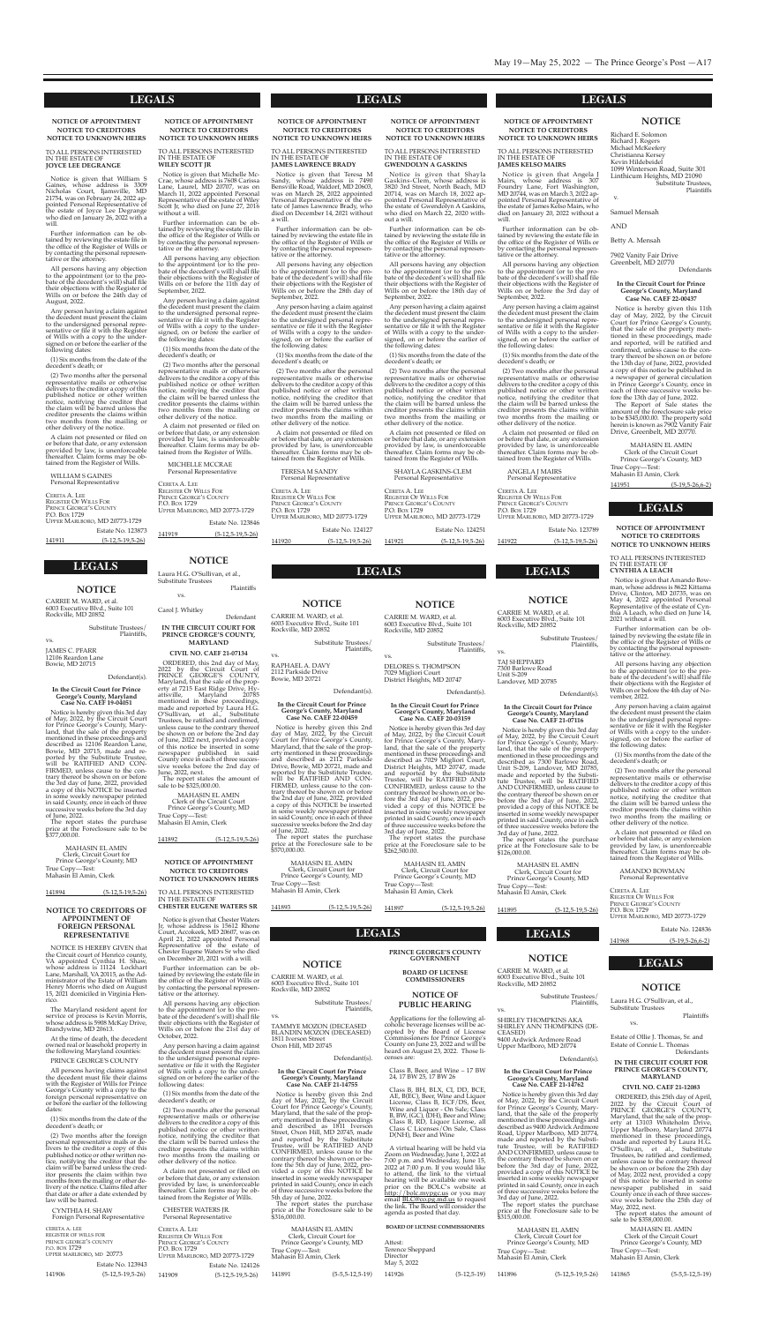#### **NOTICE**

#### **LEGALS LEGALS**

**LEGALS LEGALS LEGALS**

**notice of appointment notice to creditorS notice to unKnown heirS**

#### To ALL peRsons InTeResTeD In The esTATe oF **wiley Scott Jr**

Notice is given that Michelle Mccrae, whose address is 7608 carissa Lane, Laurel, MD 20707, was on March 11, 2022 appointed personal Representative of the estate of Wiley scott Jr, who died on June 27, 2016 without a will.

Further information can be obtained by reviewing the estate file in the office of the Register of Wills or by contacting the personal representative or the attorney.

All persons having any objection to the appointment (or to the probate of the decedent's will) shall file their objections with the Register of Wills on or before the 11th day of september, 2022.

Estate No. 123846 141919 (5-12,5-19,5-26)

#### **NOTICE**

Any person having a claim against the decedent must present the claim to the undersigned personal representative or file it with the Register of Wills with a copy to the undersigned, on or before the earlier of the following dates:

(1) six months from the date of the decedent's death; or

Notice is given that Teresa M sandy, whose address is 7490 Bensville Road, Waldorf, MD 20603, was on March 28, 2022 appointed personal Representative of the estate of James Lawrence Brady, who died on December 14, 2021 without a will.

(2) Two months after the personal representative mails or otherwise delivers to the creditor a copy of this published notice or other written notice, notifying the creditor that the claim will be barred unless the creditor presents the claims within two months from the mailing or other delivery of the notice.

A claim not presented or filed on or before that date, or any extension provided by law, is unenforceable thereafter. claim forms may be obtained from the Register of Wills.

> MIcheLLe MccRAe personal Representative

ceReTA A. Lee REGISTER OF WILLS FOR PRINCE GEORGE'S COUNTY p.o. Box 1729 UppeR MARLBoRo, MD 20773-1729

**notice of appointment notice to creditorS notice to unKnown heirS**

#### To ALL peRsons InTeResTeD In The esTATe oF **JameS lawrence Brady**

Notice is given that Shayla gaskins-clem, whose address is 3820 3rd street, north Beach, MD 20714, was on March 18, 2022 appointed personal Representative of the estate of gwendolyn A gaskins, who died on March 22, 2020 without a will.

Further information can be obtained by reviewing the estate file in the office of the Register of Wills or by contacting the personal representative or the attorney.

All persons having any objection to the appointment (or to the probate of the decedent's will) shall file their objections with the Register of Wills on or before the 28th day of september, 2022.

> CERETA A. LEE REGISTER OF WILLS FOR PRINCE GEORGE'S COUNTY P.O. Box 1729 UppeR MARLBoRo, MD 20773-1729

Estate No. 124251 141921 (5-12,5-19,5-26)

**NOTICE** 

Any person having a claim against the decedent must present the claim to the undersigned personal representative or file it with the Register of Wills with a copy to the undersigned, on or before the earlier of the following dates:

Notice is given that Angela J Mairs, whose address is 307 Foundry Lane, Fort Washington, MD 20744, was on March 3, 2022 appointed personal Representative of the estate of James Kelso Mairs, who died on January 20, 2022 without a

(1) six months from the date of the decedent's death; or

(2) Two months after the personal representative mails or otherwise delivers to the creditor a copy of this published notice or other written notice, notifying the creditor that the claim will be barred unless the creditor presents the claims within two months from the mailing or other delivery of the notice.

A claim not presented or filed on or before that date, or any extension provided by law, is unenforceable thereafter. Claim forms may be obtained from the Register of Wills.

TeResA M sAnDY personal Representative

CERETA A. LEE RegIsTeR oF WILLs FoR PRINCE GEORGE'S COUNTY P.O. Box 1729 UppeR MARLBoRo, MD 20773-1729 Estate No. 124127

141920 (5-12,5-19,5-26)

**notice of appointment notice to creditorS notice to unKnown heirS**

#### To ALL peRsons InTeResTeD In The esTATe oF **gwendolyn a gaSKinS**

Notice is given that William S gaines, whose address is 3309 nicholas court, Ijamsville, MD 21754, was on February 24, 2022 appointed personal Representative of the estate of Joyce Lee Degrange who died on January 26, 2022 with a will.

Further information can be obtained by reviewing the estate file in the office of the Register of Wills or by contacting the personal representative or the attorney.

All persons having any objection to the appointment (or to the probate of the decedent's will) shall file their objections with the Register of Wills on or before the 18th day of september, 2022.

Any person having a claim against the decedent must present the claim to the undersigned personal representative or file it with the Register of Wills with a copy to the undersigned, on or before the earlier of the following dates:

(1) six months from the date of the decedent's death; or

(2) Two months after the personal representative mails or otherwise delivers to the creditor a copy of this published notice or other written notice, notifying the creditor that the claim will be barred unless the creditor presents the claims within two months from the mailing or other delivery of the notice.

Notice is hereby given this 2nd day of May, 2022, by the circuit court for prince george's county, Maryland, that the sale of the property mentioned in these proceedings and described as 2112 parkside Drive, Bowie, MD 20721, made and reported by the Substitute Trustee, will be RATIFIeD AnD con-FIRMeD, unless cause to the contrary thereof be shown on or before the 2nd day of June, 2022, provided a copy of this noTIce be inserted in some weekly newspaper printed in said county, once in each of three successive weeks before the 2nd day of June, 2022. The report states the purchase price at the Foreclosure sale to be \$570,000.00.

MAhAsIn eL AMIn clerk, circuit court for Prince George's County, MD True copy—Test: Mahasin El Amin, Clerk

A claim not presented or filed on or before that date, or any extension provided by law, is unenforceable thereafter. Claim forms may be obtained from the Register of Wills.

Notice is hereby given this 3rd day of May, 2022, by the circuit court for prince george's county, MaryshAYLA gAsKIns-cLeM personal Representative

**notice of appointment notice to creditorS notice to unKnown heirS** To ALL peRsons InTeResTeD

MAhAsIn eL AMIn clerk, circuit court for Prince George's County, MD True copy—Test: Mahasin El Amin*,* Clerk

In The esTATe oF **JameS KelSo mairS**

TAJ sheppARD 7300 Barlowe Road Unit s-209 Landover, MD 20785

Further information can be obtained by reviewing the estate file in the office of the Register of Wills or by contacting the personal represen-

tative or the attorney.

Notice is hereby given this 3rd day of May, 2022, by the circuit court for prince george's county, Maryland, that the sale of the property mentioned in these proceedings and described as 7300 Barlowe Road, Unit s-209, Landover, MD 20785, made and reported by the Substitute Trustee, will be RATIFIeD AnD conFIRMeD, unless cause to the contrary thereof be shown on or before the 3rd day of June, 2022, provided a copy of this NOTICE be inserted in some weekly newspaper printed in said county, once in each of three successive weeks before the

MAhAsIn eL AMIn clerk, circuit court for Prince George's County, MD

All persons having any objection to the appointment (or to the probate of the decedent's will) shall file their objections with the Register of Wills on or before the 3rd day of

True copy—Test: Mahasin El Amin, Clerk

september, 2022.

Any person having a claim against the decedent must present the claim to the undersigned personal representative or file it with the Register of Wills with a copy to the undersigned, on or before the earlier of

the following dates:

(1) six months from the date of the

decedent's death; or

CERETA A. LEE RegIsTeR oF WILLs FoR PRINCE GEORGE'S COUNTY

P.O. Box 1729

will

Notice is hereby given this 3rd day of May, 2022, by the circuit court for prince george's county, Mary-land, that the sale of the property mentioned in these proceedings and described as 9400 Ardwick Ardmore Road, Upper Marlboro, MD 20774, made and reported by the substitute Trustee, will be RATIFIeD AnD conFIRMeD, unless cause to the contrary thereof be shown on or before the 3rd day of June, 2022, provided a copy of this NOTICE be inserted in some weekly newspaper printed in said county, once in each of three successive weeks before the 3rd day of June, 2022.

(2) Two months after the personal representative mails or otherwise delivers to the creditor a copy of this published notice or other written notice, notifying the creditor that the claim will be barred unless the creditor presents the claims within two months from the mailing or other delivery of the notice.

A claim not presented or filed on or before that date, or any extension provided by law, is unenforceable thereafter. Claim forms may be obtained from the Register of Wills. AngeLA J MAIRs personal Representative

UppeR MARLBoRo, MD 20773-1729

Notice is hereby given this 3rd day of May, 2022, by the circuit court for Prince George's County, Maryland, that the sale of the property mentioned in these proceedings and described as 7029 Migliori Court, District heights, MD 20747, made and reported by the substitute Trustee, will be RATIFIeD AnD conFIRMeD, unless cause to the contrary thereof be shown on or before the 3rd day of June, 2022, provided a copy of this NOTICE be inserted in some weekly newspaper printed in said county, once in each of three successive weeks before the 3rd day of June, 2022.

141922 (5-12,5-19,5-26)

Estate No. 123789

The report states the purchase price at the Foreclosure sale to be \$262,500.00.

#### **NOTICE OF APPOINTMENT NOTICE TO CREDITORS NOTICE TO UNKNOWN HEIRS**

To ALL peRsons InTeResTeD In The esTATe oF **Joyce lee degrange**

> Laura H.G. O'Sullivan, et al., substitute Trustees plaintiffs vs.

Further information can be obtained by reviewing the estate file in the office of the Register of Wills or by contacting the personal representative or the attorney.

> MAhAsIn eL AMIn clerk of the circuit court Prince George's County, MD True copy—Test: Mahasin El Amin, Clerk

All persons having any objection to the appointment (or to the probate of the decedent's will) shall file their objections with the Register of Wills on or before the 24th day of August, 2022.

Any person having a claim against the decedent must present the claim to the undersigned personal representative or file it with the Register of Wills with a copy to the undersigned on or before the earlier of the following dates:

(1) six months from the date of the decedent's death; or

(2) Two months after the personal representative mails or otherwise delivers to the creditor a copy of this published notice or other written notice, notifying the creditor that the claim will be barred unless the creditor presents the claims within two months from the mailing or other delivery of the notice.

ceReTA A. Lee RegIsTeR oF WILLs FoR pRInce geoRge's coUnTY p.o. Box 1729 UppeR MARLBoRo, MD 20773 Estate No. 123943

A claim not presented or filed on or before that date, or any extension provided by law, is unenforceable thereafter. claim forms may be obtained from the Register of Wills.

> Notice is given that Chester Waters Jr, whose address is 15612 Rhone Court, Accokeek, MD 20607, was on April 21, 2022 appointed Personal Representative of the estate of Chester Eugene Waters Sr who died on December 20, 2021 with a will.

WILLIAM s gAInes personal Representative

ceReTA A. Lee RegIsTeR oF WILLs FoR PRINCE GEORGE'S COUNTY p.o. Box 1729 UppeR MARLBoRo, MD 20773-1729 Estate No. 123873 141911 (5-12,5-19,5-26)

#### **NOTICE**

cARRIe M. WARD, et al. 6003 executive Blvd., suite 101 Rockville, MD 20852

substitute Trustees/

plaintiffs,

vs. RAphAeL A. DAVY 2112 parkside Drive

Bowie, MD 20721

Defendant(s).

**in the circuit court for prince george's county, maryland case no. caef 22-00459**

Notice is hereby given this 2nd day of May, 2022, by the circuit Court for Prince George's County, Maryland, that the sale of the prop-erty mentioned in these proceedings and described as 1811 Iverson street, oxon hill, MD 20745, made and reported by the substitute Trustee, will be RATIFIeD AnD conFIRMeD, unless cause to the contrary thereof be shown on or before the 5th day of June, 2022, provided a copy of this NOTICE be inserted in some weekly newspaper printed in said County, once in each of three successive weeks before the 5th day of June, 2022.

The report states the purchase price at the Foreclosure sale to be \$316,000.00.

141893 (5-12,5-19,5-26)

#### **NOTICE**

cARRIe M. WARD, et al. 6003 Executive Blvd., Suite 101 Rockville, MD 20852

> substitute Trustees/ plaintiffs,

> > class B, Bh, BLx, cI, DD, Bce, AE, B(EC), Beer, Wine and Liquor License, class B, ecF/Ds, Beer, Wine and Liquor - On Sale; Class<br>B, BW, (GC), (DH), Beer and Wine; class B, RD, Liquor License, all class c Licenses/on sale, class D(NH), Beer and Wine

vs.

JAMes c. pFARR 12106 Reardon Lane Bowie, MD 20715

Defendant(s).

#### **in the circuit court for prince george's county, maryland case no. caef 19-04051**

Laura H.G. O'Sullivan, et al., substitute Trustees

Estate of Ollie J. Thomas, Sr. and Estate of Connie L. Thomas Defendants

land, that the sale of the property mentioned in these proceedings and described as 12106 Reardon Lane, Bowie, MD 20715, made and reported by the substitute Trustee, will be RATIFIeD AnD con-FIRMeD, unless cause to the contrary thereof be shown on or before the 3rd day of June, 2022, provided a copy of this NOTICE be inserted in some weekly newspaper printed in said county, once in each of three successive weeks before the 3rd day of June, 2022.

The report states the purchase price at the Foreclosure sale to be \$377,000.00.

141894 (5-12,5-19,5-26)

cARRIe M. WARD, et al. 6003 Executive Blvd., Suite 101 Rockville, MD 20852

#### **notice** cARRIe M. WARD, et al.

substitute Trustees/ plaintiffs,

Notice is given that Amando Bowman, whose address is 8622 Kittama Drive, clinton, MD 20735, was on May 4, 2022 appointed personal Representative of the estate of cynthia A Leach, who died on June 14, 2021 without a will.

vs.

#### **NOTICE**

Defendant(s).

**in the circuit court for prince george's county, maryland case no. caef 21-07116**

3rd day of June, 2022.

Richard E. Solomon Richard J. Rogers Michael McKeefery christianna Kersey Kevin Hildebeidel 1099 Winterson Road, suite 301 Linthicum heights, MD 21090 substitute Trustees, plaintiffs v.

The report states the purchase price at the Foreclosure sale to be

\$126,000.00.

141895 (5-12,5-19,5-26)

**NOTICE** 

#### **NOTICE**

substitute Trustees/ plaintiffs,

Notice is hereby given this 11th day of May, 2022, by the circuit Court for Prince George's County, that the sale of the property mentioned in these proceedings, made and reported, will be ratified and confirmed, unless cause to the contrary thereof be shown on or before the 13th day of June, 2022, provided a copy of this notice be published in a newspaper of general circulation in Prince George's County, once in each of three successive weeks before the 13th day of June, 2022.

shIRLeY ThoMpKIns AKA shIRLeY Ann ThoMpKIns (DeceAseD) 9400 Ardwick Ardmore Road

The Report of Sale states the amount of the foreclosure sale price to be \$345,000.00. The property sold herein is known as 7902 Vanity Fair Drive, greenbelt, MD 20770.

Upper Marlboro, MD 20774 Defendant(s).

#### **in the circuit court for prince george's county, maryland case no. caef 21-14762**

The report states the purchase price at the Foreclosure sale to be \$315,000.00.

6003 executive Blvd., suite 101 Rockville, MD 20852

substitute Trustees/

plaintiffs,

vs.

DeLoRes s. ThoMpson 7029 Migliori court District heights, MD 20747

**LEGALS Legal Laura H.G. O'Sullivan, et al., LEGALS LEGALS LEGALS** 

Defendant(s).

**in the circuit court for prince george's county, maryland case no. caef 20-03159**

MAhAsIn eL AMIn clerk, circuit court for Prince George's County, MD True Copy-Test: Mahasin el Amin, clerk

141897 (5-12,5-19,5-26)

carol J. Whitley

Defendant **in the circuit court for prince george'S county, maryland**

**ciVil no. caef 21-07134**

oRDeReD, this 2nd day of May, 2022 by the circuit court of pRInce geoRge's coUnTY, Maryland, that the sale of the property at 7215 East Ridge Drive, Hyattsville, Maryland 20785 mentioned in these proceedings, made and reported by Laura H.G. O'Sullivan, et al., Substitute Trustees, be ratified and confirmed, unless cause to the contrary thereof be shown on or before the 2nd day of June, 2022 next, provided a copy of this notice be inserted in some newspaper published in said county once in each of three successive weeks before the 2nd day of June, 2022, next. The report states the amount of sale to be \$325,000.00.

141892 (5-12,5-19,5-26)

#### **notice to creditorS of appointment of foreign perSonal repreSentatiVe**

noTIce Is heReBY gIVen that the Circuit court of Henrico county, VA appointed Cynthia H. Shaw, whose address is 11124 Lockhart Lane, Marshall, VA 20115, as the Administrator of the Estate of William henry Morris who died on August 15, 2021 domiciled in Virginia Henrico.

The Maryland resident agent for service of process is Kevin Morris, whose address is 5908 McKay Drive, Brandywine, MD 20613.

At the time of death, the decedent owned real or leasehold property in the following Maryland counties: pRInce geoRge's coUnTY

cARRIe M. WARD, et al. 6003 executive Blvd., suite 101 Rockville, MD 20852 **Board of licenSe**

#### vs. **notice of puBlic hearing** Applications for the following al-

All persons having claims against the decedent must file their claims with the Register of Wills for Prince George's County with a copy to the foreign personal representative on or before the earlier of the following dates:

(1) six months from the date of the decedent's death; or

(2) Two months after the foreign personal representative mails or delivers to the creditor a copy of this published notice or other written notice, notifying the creditor that the claim will be barred unless the creditor presents the claim within two months from the mailing or other delivery of the notice. claims filed after that date or after a date extended by law will be barred.

cYnThIA h. shAW Foreign personal Representative

141906 (5-12,5-19,5-26)

#### **NOTICE OF APPOINTMENT NOTICE TO CREDITORS NOTICE TO UNKNOWN HEIRS**

To ALL peRsons InTeResTeD In The esTATe oF **cheSter eugene waterS Sr**

Further information can be obtained by reviewing the estate file in the office of the Register of Wills or by contacting the personal representative or the attorney.

> MAhAsIn eL AMIn clerk, circuit court for Prince George's County, MD True copy—Test: Mahasin El Amin, Clerk 141896 (5-12,5-19,5-26) MAhAsIn eL AMIn clerk of the circuit court prince george's county, MD True copy—Test: Mahasin El Amin*,* Clerk 141865 (5-5,5-12,5-19)

All persons having any objection to the appointment (or to the probate of the decedent's will) shall file their objections with the Register of Wills on or before the 21st day of october, 2022.

Any person having a claim against the decedent must present the claim to the undersigned personal representative or file it with the Register of Wills with a copy to the undersigned on or before the earlier of the following dates:

(1) six months from the date of the decedent's death; or

(2) Two months after the personal representative mails or otherwise delivers to the creditor a copy of this published notice or other written notice, notifying the creditor that the claim will be barred unless the creditor presents the claims within two months from the mailing or other delivery of the notice.

A claim not presented or filed on or before that date, or any extension provided by law, is unenforceable thereafter. Claim forms may be obtained from the Register of Wills.

chesTeR WATeRs JR. personal Representative

| Cereta A. Lee          |                               |                 |
|------------------------|-------------------------------|-----------------|
| Register Of Wills For  |                               |                 |
| Prince George's County |                               |                 |
| P.O. Box 1729          |                               | Trı             |
|                        | UPPER MARLBORO, MD 20773-1729 | Ma              |
|                        | Estate No. 124126             |                 |
| 141909                 | $(5-12, 5-19, 5-26)$          | 14 <sup>1</sup> |
|                        |                               |                 |

#### **LEGALS**

cARRIe M. WARD, et al. 6003 executive Blvd., suite 101 Rockville, MD 20852

> substitute Trustees/ plaintiffs,

vs.

TAMMYe MoZon (DeceAseD BLAnDIn MoZon (DeceAseD) 1811 Iverson street oxon hill, MD 20745

Defendant(s).

#### **in the circuit court for prince george's county, maryland case no. caef 21-14755**

| True Copy—Test:<br>Mahasin El Amin, Clerk | <b>MAHASIN EL AMIN</b><br>Clerk, Circuit Court for<br>Prince George's County, MD |
|-------------------------------------------|----------------------------------------------------------------------------------|
| 141891                                    | $(5-5.5-12.5-19)$                                                                |

#### **prince george'S county goVernment**

**commiSSionerS**

coholic beverage licenses will be accepted by the Board of License Commissioners for Prince George's county on June 23, 2022 and will be heard on August 23, 2022. Those licenses are:

class B, Beer, and Wine – 17 BW 24, 17 BW 25, 17 BW 26

A virtual hearing will be held via Zoom on Wednesday, June 1, 2022 at 7:00 p.m. and Wednesday, June 15, 2022 at 7:00 p.m. If you would like to attend, the link to the virtual hearing will be available one week prior on the BoLc's website at <u>http://bolc.mypgc.us</u> or you may email BLc@co.pg.md.us to request the link. The Board will consider the agenda as posted that day.

# **Board of licenSe commiSSionerS**

Attest: Terence sheppard Director May 5, 2022 141926 (5-12,5-19) vs.

**Plaintiffs** 

**in the circuit court for prince george'S county,**

## **maryland**

**ciVil no. caef 21-12083**

oRDeReD, this 25th day of April, 2022 by the circuit court of PRINCE GEORGE'S COUNTY,<br>Maryland, that the sale of the property at 13103 Whiteholm Drive, Upper Marlboro, Maryland 20774 mentioned in these proceedings, made and reported by Laura H.G. o'sullivan, et al., substitute Trustees, be ratified and confirmed, unless cause to the contrary thereof be shown on or before the 25th day of May, 2022 next, provided a copy of this notice be inserted in some newspaper published in said county once in each of three successive weeks before the 25th day of May, 2022, next.

The report states the amount of sale to be \$358,000.00.

**notice of appointment notice to creditorS notice to unKnown heirS**

#### To ALL peRsons InTeResTeD In The esTATe oF **cynthia a leach**

Further information can be obtained by reviewing the estate file in the office of the Register of Wills or by contacting the personal representative or the attorney.

All persons having any objection to the appointment (or to the probate of the decedent's will) shall file their objections with the Register of Wills on or before the 4th day of November, 2022.

Any person having a claim against the decedent must present the claim to the undersigned personal representative or file it with the Register of Wills with a copy to the undersigned, on or before the earlier of the following dates:

(1) six months from the date of the decedent's death; or

(2) Two months after the personal representative mails or otherwise delivers to the creditor a copy of this published notice or other written notice, notifying the creditor that the claim will be barred unless the creditor presents the claims within two months from the mailing or other delivery of the notice.

A claim not presented or filed on or before that date, or any extension provided by law, is unenforceable thereafter. Claim forms may be obtained from the Register of Wills.

AMAnDo BoWMAn personal Representative

ceReTA A. Lee RegIsTeR oF WILLs FoR PRINCE GEORGE'S COUNTY P.O. Box 1729 UppeR MARLBoRo, MD 20773-1729

Estate No. 124836

141968 (5-19,5-26,6-2)

samuel Mensah

**AND** 

Betty A. Mensah

7902 Vanity Fair Drive Greenbelt, MD 20770 Defendants

#### **in the circuit court for prince george's county, maryland case no. caef 22-00437**

MAhAsIn eL AMIn clerk of the circuit court Prince George's County, MD True copy—Test: Mahasin El Amin, Clerk 141951 (5-19,5-26,6-2)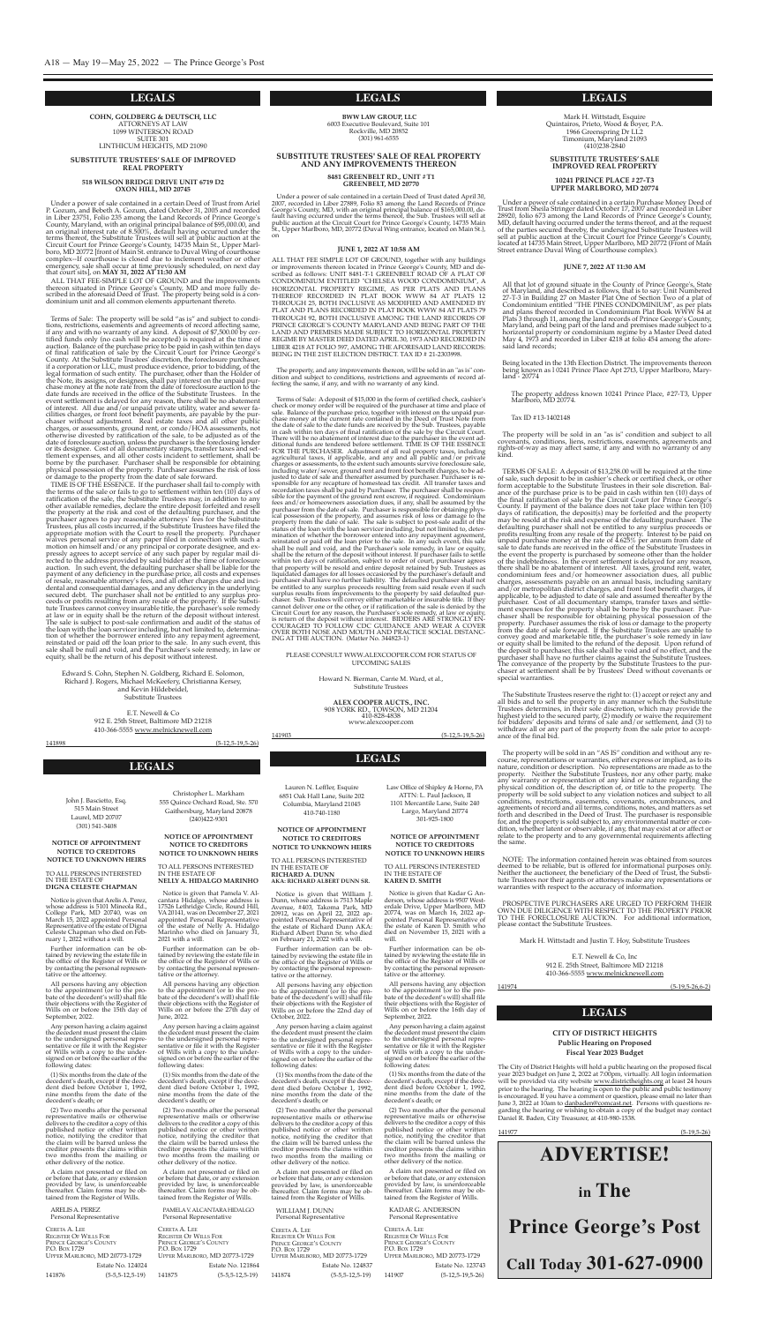**cohn, goldBerg & deutSch, llc** ATToRneYs AT LAW 1099 WInTeRson RoAD sUITe 301 LInThIcUM heIghTs, MD 21090

**SuBStitute truSteeS' Sale of improVed real property**

#### **518 wilSon Bridge driVe unit 6719 d2 oxon hill, md 20745**

ALL THAT FEE-SIMPLE LOT OF GROUND and the improvements thereon situated in Prince George's County, MD and more fully described in the aforesaid Deed of Trust. The property being sold is a condominium unit and all common elements appurtenant thereto.

Under a power of sale contained in a certain Deed of Trust from Ariel p. gozum, and Bebeth A. gozum, dated october 31, 2005 and recorded in Liber 23751, Folio 235 among the Land Records of Prince George's county, Maryland, with an original principal balance of \$95,000.00, and an original interest rate of 8.500%, default having occurred under the terms thereof, the substitute Trustees will sell at public auction at the circuit court for prince george's county, 14735 Main st., Upper Marlboro, MD 20772 [front of Main st. entrance to Duval Wing of courthouse complex--If courthouse is closed due to inclement weather or other emergency, sale shall occur at time previously scheduled, on next day that court sits], on **may 31, 2022 at 11:30 am**

Terms of sale: The property will be sold "as is" and subject to conditions, restrictions, easements and agreements of record affecting same, if any and with no warranty of any kind. A deposit of \$7,500.00 by certified funds only (no cash will be accepted) is required at the time of auction. Balance of the purchase price to be paid in cash within ten days of final ratification of sale by the Circuit Court for Prince George's county. At the substitute Trustees' discretion, the foreclosure purchaser, if a corporation or LLc, must produce evidence, prior to bidding, of the legal formation of such entity. The purchaser, other than the Holder of the Note, its assigns, or designees, shall pay interest on the unpaid purchase money at the note rate from the date of foreclosure auction to the date funds are received in the office of the Substitute Trustees. In the event settlement is delayed for any reason, there shall be no abatement of interest. All due and/or unpaid private utility, water and sewer facilities charges, or front foot benefit payments, are payable by the purchaser without adjustment. Real estate taxes and all other public charges, or assessments, ground rent, or condo/HOA assessments, not otherwise divested by ratification of the sale, to be adjusted as of the date of foreclosure auction, unless the purchaser is the foreclosing lender or its designee. cost of all documentary stamps, transfer taxes and settlement expenses, and all other costs incident to settlement, shall be borne by the purchaser. Purchaser shall be responsible for obtaining physical possession of the property. purchaser assumes the risk of loss or damage to the property from the date of sale forward.

TIME IS OF THE ESSENCE. If the purchaser shall fail to comply with the terms of the sale or fails to go to settlement within ten (10) days of ratification of the sale, the substitute Trustees may, in addition to any other available remedies, declare the entire deposit forfeited and resell the property at the risk and cost of the defaulting purchaser, and the purchaser agrees to pay reasonable attorneys' fees for the substitute Trustees, plus all costs incurred, if the substitute Trustees have filed the appropriate motion with the Court to resell the property. Purchaser waives personal service of any paper filed in connection with such a motion on himself and/or any principal or corporate designee, and expressly agrees to accept service of any such paper by regular mail directed to the address provided by said bidder at the time of foreclosure auction. In tion of whether the borrower entered into any repayment agreement, reinstated or paid off the loan prior to the sale. In any such event, this sale shall be null and void, and the Purchaser's sole remedy, in law or equity,

Edward S. Cohn, Stephen N. Goldberg, Richard E. Solomon, Richard J. Rogers, Michael McKeefery, christianna Kersey, and Kevin Hildebeidel, substitute Trustees

Howard N. Bierman, Carrie M. Ward, et al., substitute Trustees

**ALEX COOPER AUCTS., INC.** <sup>908</sup> YoRK RD., ToWson, MD <sup>21204</sup> www.alexcooper.com

Lauren N. Leffler, Esquire 6851 oak hall Lane, suite 202 columbia, Maryland 21045 410-740-1180

e.T. newell & co 912 e. 25th street, Baltimore MD 21218

141898 (5-12,5-19,5-26)

**BWW LAW GROUP, LLC** 6003 executive Boulevard, suite 101 Rockville, MD 20852 (301) 961-6555

Notice is given that William J. Dunn, whose address is 7513 Maple Avenue, #403, Takoma park, MD 20912, was on April 22, 2022 appointed personal Representative of the estate of Richard Dunn AKA: Richard Albert Dunn sr. who died on February 21, 2022 with a will.

#### **SUBSTITUTE TRUSTEES' SALE OF REAL PROPERTY AND ANY IMPROVEMENTS THEREON**

All persons having any objection to the appointment (or to the probate of the decedent's will) shall file their objections with the Register of Wills on or before the 22nd day of October, 2022.

#### **8481 GREENBELT RD., UNIT #T1 GREENBELT, MD 20770**

Under a power of sale contained in a certain Deed of Trust dated April 30, 2007, recorded in Liber 27889, Folio 83 among the Land Records of Prince George's County, MD, with an original principal balance of \$165,000.00, default having occurred under the terms thereof, the sub. Trustees will sell at public auction at the circuit court for prince george's county, 14735 Main st., Upper Marlboro, MD, 20772 (Duval Wing entrance, located on Main st.), on

#### **JUNE 1, 2022 AT 10:58 AM**

Notice is given that Pamela V. Alcantara hidalgo, whose address is 17526 Lethridge circle, Round hill, VA20141, was on December 27, 2021 appointed personal Representative of the estate of Nelly A. Hidalgo Marinho who died on January 31, 2021 with a will.

ALL ThAT Fee sIMpLe LoT oF gRoUnD, together with any buildings or improvements thereon located in Prince George's County, MD and described as follows: UnIT 8481-T-1 gReenBeLT RoAD oF A pLAT oF conDoMInIUM enTITLeD "cheLseA WooD conDoMInIUM", A hoRIZonTAL pRopeRTY RegIMe, As peR pLATs AnD pLAns TheReoF RecoRDeD In pLAT BooK WWW 84 AT pLATs 12 ThRoUgh 25, BoTh IncLUsIVe As MoDIFIeD AnD AMenDeD BY pLAT AnD pLAns RecoRDeD In pLAT BooK WWW 84 AT pLATs 79 ThRoUgh 92, BoTh IncLUsIVe AMong The LAnD RecoRDs oF pRInce geoRge`s coUnTY MARYLAnD AnD BeIng pART oF The LAnD AnD pReMIses MADe sUBJecT To hoRIZonTAL pRopeRTY RegIMe BY MAsTeR DeeD DATeD ApRIL 30, 1973 AnD RecoRDeD In LIBeR 4218 AT FoLIo 597, AMong The AFoResAID LAnD RecoRDs: BeIng In The 21sT eLecTIon DIsTRIcT. TAx ID # 21-2303998.

The property, and any improvements thereon, will be sold in an "as is" condition and subject to conditions, restrictions and agreements of record affecting the same, if any, and with no warranty of any kind.

PAMELA V. ALCANTARA HIDALGO personal Representative

Iohn J. Bascietto, Esq. 515 Main street Laurel, MD 20707 (301) 541-3408

Notice is given that Arelis A. Perez, whose address is 5101 Mineola Rd., college park, MD 20740, was on March 15, 2022 appointed personal Representative of the estate of Digna celeste chapman who died on February 1, 2022 without a will.

Mark H. Wittstadt, Esquire quintairos, prieto, Wood & Boyer, p.A. 1966 greenspring Dr LL2 Timonium, Maryland 21093 (410)238-2840

Terms of sale: A deposit of \$15,000 in the form of certified check, cashier's check or money order will be required of the purchaser at time and place of sale. Balance of the purchase price, together with interest on the unpaid purchase money at the current rate contained in the Deed of Trust Note from the date of sale to the date funds are received by the Sub. Trustees, payable in cash within ten days of final ratification of the sale by the Circuit Court. There will be no abatement of interest due to the purchaser in the event additional funds are tendered before settlement. TIMe Is oF The essence FoR The pURchAseR. Adjustment of all real property taxes, including agricultural taxes, if applicable, and any and all public and/or private charges or assessments, to the extent such amounts survive foreclosure sale, including water/sewer, ground rent and front foot benefit charges, to be adjusted to date of sale and thereafter assumed by purchaser. purchaser is responsible for any recapture of homestead tax credit. All transfer taxes and recordation taxes shall be paid by purchaser. The purchaser shall be respon- sible for the payment of the ground rent escrow, if required. condominium fees and/or homeowners association dues, if any, shall be assumed by the purchaser from the date of sale. Purchaser is responsible for obtaining physical possession of the property, and assumes risk of loss or damage to the property from the date of sale. The sale is subject to post-sale audit of the status of the loan with the loan servicer including, but not limited to, determination of whether the borrower entered into any repayment agreement, reinstated or paid off the loan prior to the sale. In any such event, this sale shall be null and void, and the purchaser's sole remedy, in law or equity, shall be the return of the deposit without interest. If purchaser fails to settle within ten days of ratification, subject to order of court, purchaser agrees that property will be resold and entire deposit retained by sub. Trustees as liquidated damages for all losses occasioned by the purchaser's default and purchaser shall have no further liability. The defaulted purchaser shall not be entitled to any surplus proceeds resulting from said resale even if such surplus results from improvements to the property by said defaulted purchaser. sub. Trustees will convey either marketable or insurable title. If they cannot deliver one or the other, or if ratification of the sale is denied by the circuit court for any reason, the purchaser's sole remedy, at law or equity, is return of the deposit without interest. BIDDERS ARE STRONGLY ENcoURAgeD To FoLLoW cDc gUIDAnce AnD WeAR A coVeR oVeR BoTh nose AnD MoUTh AnD pRAcTIce socIAL DIsTAnc-Ing AT The AUcTIon. (Matter no. 344823-1)

Being located in the 13th Election District. The improvements thereon being known as l 0241 Prince Place Apt 27t3, Upper Marlboro, Maryland - 20774

#### pLeAse consULT WWW.ALexcoopeR.coM FoR sTATUs oF UpcoMIng sALes

141903 (5-12,5-19,5-26)

TERMS OF SALE: A deposit of \$13,258.00 will be required at the time<br>of sale, such deposit to be in cashier's check or certified check, or other<br>form acceptable to the Substitute Trustees in their sole discretion. Bal-<br>ance the final ratification of sale by the Circuit Court for Prince George's<br>County. If payment of the balance does not take place within ten (10) County. If payment of the balance does not take place within ten (10)<br>days of ratification, the deposit(s) may be forefield and the property<br>may be resold at the risk and expense of the defaulting purchaser. The<br>defaultin the event the property is purchased by someone other than the holder of the indebtedness. In the event settlement is delayed for any reason, there shall be no abatement of interest. All taxes, ground rent, water, condominium fees and/or homeowner association dues, all public charges, assessments payable on an annual basis, including sanitary and/or metropolitan district charges, and front foot benefit charges, if applicable, to be adjusted to date of sale and assumed thereafter by the purchaser. cost of all documentary stamps, transfer taxes and settlement expenses for the property shall be borne by the purchaser. Purchaser shall be responsible for obtaining physical possession of the property. Purchaser assumes the risk of loss or damage to the property from the date of sale forward. If the substitute Trustees are unable to convey good and marketable title, the purchaser's sole remedy in law or equity shall be limited to the refund of the deposit. Upon refund of the deposit to purchaser, this sale shall be void and of no effect, and the purchaser shall have no further claims against the substitute Trustees. The conveyance of the property by the Substitute Trustees to the purchaser at settlement shall be by Trustees' Deed without covenants or special warranties.

#### **NOTICE OF APPOINTMENT NOTICE TO CREDITORS NOTICE TO UNKNOWN HEIRS**

To ALL peRsons InTeResTeD In The esTATe oF **richard a. dunn aKa: richard alBert dunn Sr.**

Further information can be obtained by reviewing the estate file in the office of the Register of Wills or by contacting the personal representative or the attorney.

The property will be sold in an "AS IS" condition and without any recourse, representations or warranties, either express or implied, as to its nature, condition or description. No representations are made as to the property. Neither the Substitute Trustees, nor any other party, make any warranty or representation of any kind or nature regarding the physical condition of, the description of, or title to the property. The property will be sold subject to any violation notices and subject to all conditions, restrictions, easements, covenants, encumbrances, and agreements of record and all terms, conditions, notes, and matters as set forth and described in the Deed of Trust. The purchaser is responsible for, and the property is sold subject to, any environmental matter or condition, whether latent or observable, if any, that may exist at or affect or relate to the property and to any governmental requirements affecting the same.

NOTE: The information contained herein was obtained from sources deemed to be reliable, but is offered for informational purposes only. Neither the auctioneer, the beneficiary of the Deed of Trust, the Substitute Trustees nor their agents or attorneys make any representations or warranties with respect to the accuracy of information.

pRospecTIVe pURchAseRs ARe URgeD To peRFoRM TheIR oWn DUe DILIgence WITh RespecT To The pRopeRTY pRIoR To The FoRecLosURe AUcTIon. For additional information, please contact the Substitute Trustees.

Any person having a claim against the decedent must present the claim to the undersigned personal representative or file it with the Register of Wills with a copy to the undersigned on or before the earlier of the following dates:

E.T. Newell & Co, Inc 912 e. 25th street, Baltimore MD 21218 410-366-5555 www.melnicknewell.com

Law Office of Shipley & Horne, PA ATTN: L. Paul Jackson, II 1101 Mercantile Lane, suite 240 Largo, Maryland 20774 301-925-1800

(1) six months from the date of the decedent's death, except if the decedent died before october 1, 1992, nine months from the date of the decedent's death; or

Notice is given that Kadar G Anderson, whose address is 9507 Westerdale Drive, Upper Marlboro, MD 20774, was on March 16, 2022 appointed personal Representative of the estate of Karen D. smith who died on November 15, 2021 with a will.

(2) Two months after the personal representative mails or otherwise delivers to the creditor a copy of this published notice or other written notice, notifying the creditor that the claim will be barred unless the creditor presents the claims within two months from the mailing or other delivery of the notice.

A claim not presented or filed on or before that date, or any extension provided by law, is unenforceable thereafter. claim forms may be obtained from the Register of Wills.

WILLIAM J. DUnn personal Representative

ceReTA A. Lee RegIsTeR oF WILLs FoR PRINCE GEORGE'S COUNTY p.o. Box 1729 UppeR MARLBoRo, MD 20773-1729 Estate No. 124837 141874 (5-5,5-12,5-19)

christopher L. Markham 555 Ouince Orchard Road, Ste. 570 Gaithersburg, Maryland 20878 (240)422-9301

#### **NOTICE OF APPOINTMENT NOTICE TO CREDITORS NOTICE TO UNKNOWN HEIRS**

To ALL peRsons InTeResTeD In The esTATe oF **nelly a. hidalgo marinho**

Further information can be obtained by reviewing the estate file in the office of the Register of Wills or by contacting the personal representative or the attorney.

All persons having any objection to the appointment (or to the probate of the decedent's will) shall file their objections with the Register of Wills on or before the 27th day of June, 2022.

Any person having a claim against the decedent must present the claim to the undersigned personal representative or file it with the Register of Wills with a copy to the undersigned on or before the earlier of the following dates:

(1) six months from the date of the decedent's death, except if the decedent died before october 1, 1992, nine months from the date of the decedent's death; or

(2) Two months after the personal representative mails or otherwise delivers to the creditor a copy of this published notice or other written notice, notifying the creditor that the claim will be barred unless the creditor presents the claims within two months from the mailing or other delivery of the notice.

A claim not presented or filed on or before that date, or any extension provided by law, is unenforceable thereafter. claim forms may be obtained from the Register of Wills.

| CERETA A. LEE                |                               |
|------------------------------|-------------------------------|
| <b>REGISTER OF WILLS FOR</b> |                               |
| PRINCE GEORGE'S COUNTY       |                               |
| P.O. Box 1729                |                               |
|                              | UPPER MARLBORO, MD 20773-1729 |
|                              | Estate No. 121864             |
| 141875                       | $(5-5.5-12.5-19)$             |

#### **NOTICE OF APPOINTMENT NOTICE TO CREDITORS NOTICE TO UNKNOWN HEIRS**

#### To ALL peRsons InTeResTeD In The esTATe oF **digna celeSte chapman**

Further information can be obtained by reviewing the estate file in the office of the Register of Wills or by contacting the personal representative or the attorney.

All persons having any objection to the appointment (or to the probate of the decedent's will) shall file their objections with the Register of Wills on or before the 15th day of september, 2022.

Any person having a claim against the decedent must present the claim to the undersigned personal representative or file it with the Register of Wills with a copy to the undersigned on or before the earlier of the following dates:

(1) six months from the date of the decedent's death, except if the decedent died before october 1, 1992, nine months from the date of the decedent's death; or

(2) Two months after the personal representative mails or otherwise delivers to the creditor a copy of this published notice or other written notice, notifying the creditor that the claim will be barred unless the creditor presents the claims within two months from the mailing or other delivery of the notice.

A claim not presented or filed on or before that date, or any extension provided by law, is unenforceable thereafter. claim forms may be obtained from the Register of Wills.

#### AReLIsA. peReZ personal Representative

ceReTA A. Lee RegIsTeR oF WILLs FoR PRINCE GEORGE'S COUNTY P.O. Box 1729 UppeR MARLBoRo, MD 20773-1729 Estate No. 124024 141876 (5-5,5-12,5-19)

#### **LEGALS**

**LEGALS**

#### **SuBStitute truSteeS' Sale improVed real property**

#### **10241 prince place #27-t3 upper marlBoro, md 20774**

Under a power of sale contained in a certain Purchase Money Deed of Trust from Sheila Stringer dated October 17, 2007 and recorded in Liber 28920, folio 673 among the Land Records of Prince George's County, MD, default having occurred under the terms thereof, and at the request<br>of the parties secured thereby, the undersigned Substitute Trustees will<br>sell at public auction at the Circuit Court for Prince George's County,<br>locat

#### **June 7, 2022 at 11:30 am**

All that lot of ground situate in the County of Prince George's, State<br>of Maryland, and described as follows, that is to say: Unit Numbered 27-T-3 in Building 27 on Master plat one of section Two of a plat of condominium entitled "The pInes conDoMInIUM", as per plats and plans thereof recorded in condominium plat Book WWW <sup>84</sup> at Plats 3 through 11, among the land records of Prince George's County,<br>Maryland, and being part of the land and premises made subject to a<br>horizontal property or condominium regime by a Master Deed dated May 4, 1973 and recorded in Liber 4218 at folio 454 among the afore-<br>said land records;

The property address known <sup>10241</sup> prince place, #27-T3, Upper Marlboro, MD 20774.

#### Tax ID #13-1402148

The property will be sold in an "as is" condition and subject to all covenants, conditions, liens, restrictions, easements, agreements and rights-of-way as may affect same, if any and with no warranty of any kind.

The substitute Trustees reserve the right to: (1) accept or reject any and all bids and to sell the property in any manner which the substitute Trustees determines, in their sole discretion, which may provide the highest yield to the secured party, (2) modify or waive the requirement for bidders' deposits and terms of sale and/or settlement, and (3) to withdraw all or any part of the property from the sale prior to acceptance of the final bid.

Mark h. Wittstadt and Justin T. hoy, substitute Trustees

141974 (5-19,5-26,6-2)

#### **NOTICE OF APPOINTMENT NOTICE TO CREDITORS NOTICE TO UNKNOWN HEIRS**

#### To ALL peRsons InTeResTeD In The esTATe oF **Karen d. Smith**

Further information can be obtained by reviewing the estate file in the office of the Register of Wills or by contacting the personal representative or the attorney.

All persons having any objection to the appointment (or to the probate of the decedent's will) shall file their objections with the Register of Wills on or before the 16th day of september, 2022.

Any person having a claim against the decedent must present the claim to the undersigned personal representative or file it with the Register of Wills with a copy to the undersigned on or before the earlier of the following dates:

(1) six months from the date of the decedent's death, except if the decedent died before october 1, 1992, nine months from the date of the decedent's death; or

(2) Two months after the personal representative mails or otherwise delivers to the creditor a copy of this published notice or other written notice, notifying the creditor that the claim will be barred unless the creditor presents the claims within two months from the mailing or other delivery of the notice.

A claim not presented or filed on or before that date, or any extension provided by law, is unenforceable thereafter. Claim forms may be obtained from the Register of Wills.

KADAR g. AnDeRson personal Representative

ceReTA A. Lee RegIsTeR oF WILLs FoR PRINCE GEORGE'S COUNTY p.o. Box 1729 UppeR MARLBoRo, MD 20773-1729 Estate No. 123743 141907 (5-12,5-19,5-26)

#### **CITY OF DISTRICT HEIGHTS Public Hearing on Proposed Fiscal Year 2023 Budget**



The city of District heights will hold a public hearing on the proposed fiscal year 2023 budget on June 2, 2022 at 7:00pm, virtually. All login information will be provided via city website www.districtheights.org at least 24 hours prior to the hearing. The hearing is open to the public and public testimony is encouraged. If you have a comment or question, please email no later than June 3, 2022 at 10am to <u>danbaden@comcast.net</u>. Persons with questions regarding the hearing or wishing to obtain a copy of the budget may contact Daniel R. Baden, city Treasurer, at 410-980-1538.

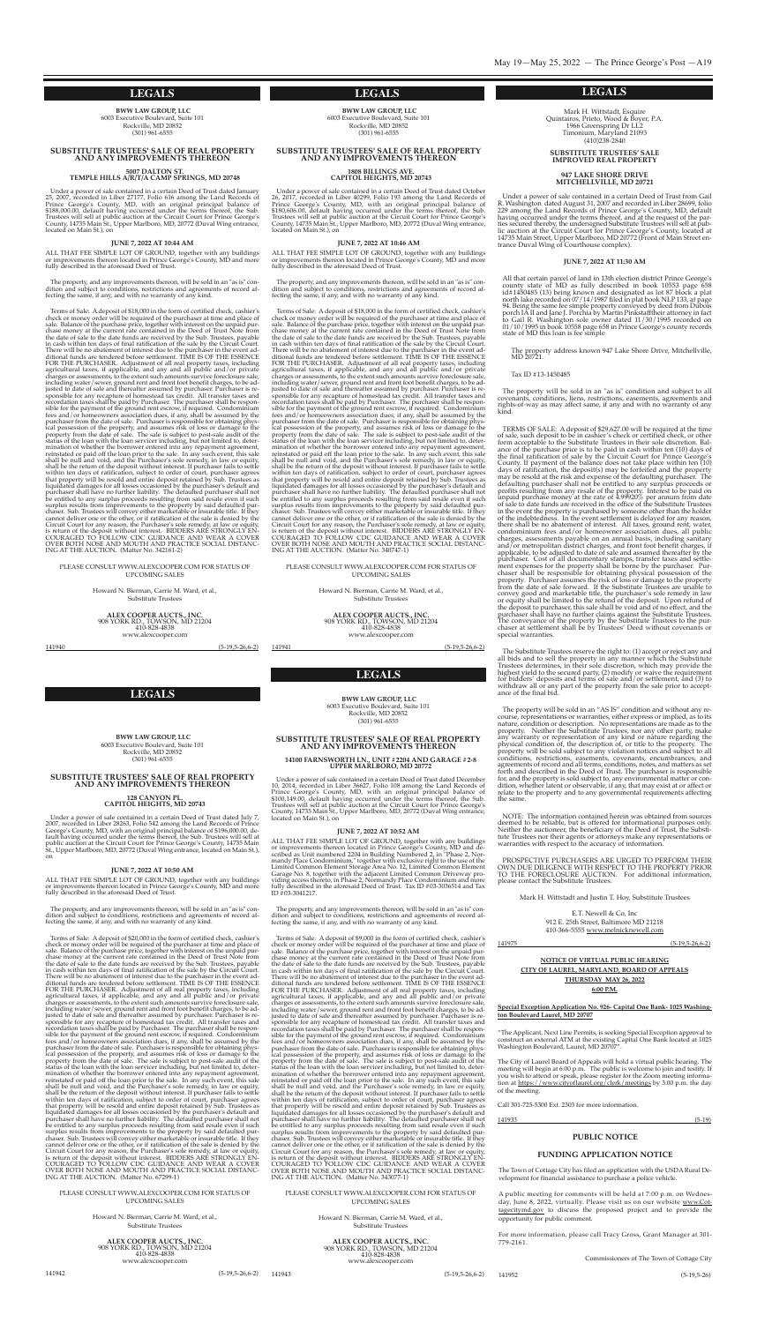#### **LEGALS LEGALS LEGALS**

**LEGALS**

The property will be sold in an "AS IS" condition and without any recourse, representations or warranties, either express or implied, as to its nature, condition or description. No representations are made as to the

**BWW LAW GROUP, LLC** 6003 executive Boulevard, suite 101 Rockville, MD 20852 (301) 961-6555

Under a power of sale contained in a certain Deed of Trust dated January 25, 2007, recorded in Liber 27177, Folio 616 among the Land Records of Prince George's County, MD, with an original principal balance of \$188,000.00, default having occurred under the terms thereof, the sub. Trustees will sell at public auction at the circuit court for prince george's County, 14735 Main St., Upper Marlboro, MD, 20772 (Duval Wing entrance, located on Main St.), on

#### **SUBSTITUTE TRUSTEES' SALE OF REAL PROPERTY AND ANY IMPROVEMENTS THEREON**

**<sup>5007</sup> DALTON ST. TEMPLE HILLS A/R/T/A CAMP SPRINGS, MD <sup>20748</sup>**

ALL THAT FEE SIMPLE LOT OF GROUND, together with any buildings or improvements thereon located in Prince George's County, MD and more fully described in the aforesaid Deed of Trust.

#### **JUNE 7, 2022 AT 10:44 AM**

The property, and any improvements thereon, will be sold in an "as is" condition and subject to conditions, restrictions and agreements of record affecting the same, if any, and with no warranty of any kind.

> Howard N. Bierman, Carrie M. Ward, et al., substitute Trustees

Under a power of sale contained in a certain Deed of Trust dated October 26, 2017, recorded in Liber 40299, Folio 193 among the Land Records of Prince George's County, MD, with an original principal balance of \$180,606.00, default having occurred under the terms thereof, the sub. Trustees will sell at public auction at the circuit court for prince george's County, 14735 Main St., Upper Marlboro, MD, 20772 (Duval Wing entrance, located on Main st.), on

ALL THAT FEE SIMPLE LOT OF GROUND, together with any buildings or improvements thereon located in prince george's county, MD and more fully described in the aforesaid Deed of Trust.

Terms of sale: A deposit of \$18,000 in the form of certified check, cashier's check or money order will be required of the purchaser at time and place of sale. Balance of the purchase price, together with interest on the unpaid purchase money at the current rate contained in the Deed of Trust Note from the date of sale to the date funds are received by the Sub. Trustees, payable in cash within ten days of final ratification of the sale by the Circuit Court. There will be no abatement of interest due to the purchaser in the event additional funds are tendered before settlement. TIMe Is oF The essence FoR The pURchAseR. Adjustment of all real property taxes, including agricultural taxes, if applicable, and any and all public and/or private charges or assessments, to the extent such amounts survive foreclosure sale, including water/sewer, ground rent and front foot benefit charges, to be adjusted to date of sale and thereafter assumed by purchaser. purchaser is responsible for any recapture of homestead tax credit. All transfer taxes and recordation taxes shall be paid by purchaser. The purchaser shall be responsible for the payment of the ground rent escrow, if required. condominium fees and/or homeowners association dues, if any, shall be assumed by the purchaser from the date of sale. Purchaser is responsible for obtaining physical possession of the property, and assumes risk of loss or damage to the property from the date of sale. The sale is subject to post-sale audit of the status of the loan with the loan servicer including, but not limited to, determination of whether the borrower entered into any repayment agreement, reinstated or paid off the loan prior to the sale. In any such event, this sale shall be null and void, and the purchaser's sole remedy, in law or equity, shall be the return of the deposit without interest. If purchaser fails to settle within ten days of ratification, subject to order of court, purchaser agrees that property will be resold and entire deposit retained by sub. Trustees as liquidated damages for all losses occasioned by the purchaser's default and purchaser shall have no further liability. The defaulted purchaser shall not be entitled to any surplus proceeds resulting from said resale even if such surplus results from improvements to the property by said defaulted purchaser. sub. Trustees will convey either marketable or insurable title. If they cannot deliver one or the other, or if ratification of the sale is denied by the circuit court for any reason, the purchaser's sole remedy, at law or equity, is return of the deposit without interest. BIDDERS ARE STRONGLY ENcoURAgeD To FoLLoW cDc gUIDAnce AnD WeAR A coVeR oVeR BoTh nose AnD MoUTh AnD pRAcTIce socIAL DIsTAnc-Ing AT The AUcTIon. (Matter no. 342161-2)

pLeAse consULT WWW.ALexcoopeR.coM FoR sTATUs oF UpcoMIng sALes

> Howard N. Bierman, Carrie M. Ward, et al., substitute Trustees

**ALEX COOPER AUCTS., INC.** <sup>908</sup> YoRK RD., ToWson, MD <sup>21204</sup> www.alexcooper.com

**ALEX COOPER AUCTS., INC.** <sup>908</sup> YoRK RD., ToWson, MD <sup>21204</sup>

www.alexcooper.com

**BWW LAW GROUP, LLC** 6003 executive Boulevard, suite 101 Rockville, MD 20852  $(301)$  961-6555

141940 (5-19,5-26,6-2)

**BWW LAW GROUP, LLC** 6003 executive Boulevard, suite 101 Rockville, MD 20852 (301) 961-6555

#### **SUBSTITUTE TRUSTEES' SALE OF REAL PROPERTY AND ANY IMPROVEMENTS THEREON**

**<sup>1808</sup> BILLINGS AVE. CAPITOL HEIGHTS, MD <sup>20743</sup>**

ALL THAT FEE SIMPLE LOT OF GROUND, together with any buildings or improvements thereon located in Prince George's County, MD and more fully described in the aforesaid Deed of Trust.

#### **JUNE 7, 2022 AT 10:46 AM**

The property, and any improvements thereon, will be sold in an "as is" condition and subject to conditions, restrictions and agreements of record affecting the same, if any, and with no warranty of any kind.

Howard N. Bierman, Carrie M. Ward, et al., substitute Trustees

**ALEX COOPER AUCTS., INC.** <sup>908</sup> YoRK RD., ToWson, MD <sup>21204</sup> www.alexcooper.com

Terms of sale: A deposit of \$18,000 in the form of certified check, cashier's check or money order will be required of the purchaser at time and place of sale. Balance of the purchase price, together with interest on the unpaid purchase money at the current rate contained in the Deed of Trust Note from the date of sale to the date funds are received by the Sub. Trustees, payable in cash within ten days of final ratification of the sale by the Circuit Court. There will be no abatement of interest due to the purchaser in the event additional funds are tendered before settlement. TIMe Is oF The essence FoR The pURchAseR. Adjustment of all real property taxes, including agricultural taxes, if applicable, and any and all public and/or private charges or assessments, to the extent such amounts survive foreclosure sale, including water/sewer, ground rent and front foot benefit charges, to be adjusted to date of sale and thereafter assumed by purchaser. purchaser is responsible for any recapture of homestead tax credit. All transfer taxes and recordation taxes shall be paid by purchaser. The purchaser shall be responsible for the payment of the ground rent escrow, if required. condominium fees and/or homeowners association dues, if any, shall be assumed by the purchaser from the date of sale. Purchaser is responsible for obtaining physical possession of the property, and assumes risk of loss or damage to the property from the date of sale. The sale is subject to post-sale audit of the status of the loan with the loan servicer including, but not limited to, determination of whether the borrower entered into any repayment agreement, reinstated or paid off the loan prior to the sale. In any such event, this sale shall be null and void, and the Purchaser's sole remedy, in law or equity, shall be the return of the deposit without interest. If purchaser fails to settle within ten days of ratification, subject to order of court, purchaser agrees that property will be resold and entire deposit retained by sub. Trustees as liquidated damages for all losses occasioned by the purchaser's default and purchaser shall have no further liability. The defaulted purchaser shall not be entitled to any surplus proceeds resulting from said resale even if such surplus results from improvements to the property by said defaulted purchaser. sub. Trustees will convey either marketable or insurable title. If they cannot deliver one or the other, or if ratification of the sale is denied by the circuit court for any reason, the purchaser's sole remedy, at law or equity, is return of the deposit without interest. BIDDERS ARE STRONGLY ENcoURAgeD To FoLLoW cDc gUIDAnce AnD WeAR A coVeR oVeR BoTh nose AnD MoUTh AnD pRAcTIce socIAL DIsTAnc-Ing AT The AUcTIon. (Matter no. 340747-1)

pLeAse consULT WWW.ALexcoopeR.coM FoR sTATUs oF UpcoMIng sALes

141941 (5-19,5-26,6-2)

Howard N. Bierman, Carrie M. Ward, et al., substitute Trustees

#### **SUBSTITUTE TRUSTEES' SALE OF REAL PROPERTY AND ANY IMPROVEMENTS THEREON**

# **<sup>128</sup> CANYON PL. CAPITOL HEIGHTS, MD <sup>20743</sup>**

Mark H. Wittstadt, Esquire quintairos, prieto, Wood & Boyer, p.A. 1966 greenspring Dr LL2 Timonium, Maryland 21093 (410)238-2840

Under a power of sale contained in a certain Deed of Trust dated July 7, 2007, recorded in Liber 28263, Folio 542 among the Land Records of Prince George's County, MD, with an original principal balance of \$196,000.00, default having occurred under the terms thereof, the sub. Trustees will sell at public auction at the Circuit Court for Prince George's County, 14735 Main st., Upper Marlboro, MD, 20772 (Duval Wing entrance, located on Main st.), on

#### **JUNE 7, 2022 AT 10:50 AM**

All that certain parcel of land in 13th election district Prince George's county state of MD as fully described in book 10553 page 658 id#1450485 (13) being known and designated as lot 87 block a plat north lake recorded on 07/14/1987 filed in plat book NLP 133, at page 94. Being the same fee simple property conveyed by deed from Dubois porch IA II and Jane J. Porchia by Martin Pinkstafftheir attorney in fact to gail R. Washington sole owner dated 11/30/1995 recorded on 01/10/1995 in book <sup>10558</sup> page <sup>658</sup> in prince george's county records state of MD this loan is fee simple

The property, and any improvements thereon, will be sold in an "as is" condition and subject to conditions, restrictions and agreements of record affecting the same, if any, and with no warranty of any kind.

TERMS OF SALE: A deposit of \$29,627.00 will be required at the time<br>of sale, such deposit to be in cashier's check or certified check, or other<br>form acceptable to the Substitute Trustees in their sole discretion. Bal-<br>ance the final ratification of sale by the Circuit Court for Prince George's<br>County. If payment of the balance does not take place within ten (10) days of ratification, the deposit(s) may be forfeited and the property<br>may be resold at the risk and expense of the defaulting purchaser. The<br>defaulting purchaser shall not be entitled to any surplus proceeds or<br>profits re applicable, to be adjusted to date of sale and assumed thereafter by the purchaser. Cost of all documentary stamps, transfer taxes and settlement expenses for the property shall be borne by the purchaser. Purchaser shall be responsible for obtaining physical possession of the property. Purchaser assumes the risk of loss or damage to the property from the date of sale forward. If the substitute Trustees are unable to convey good and marketable title, the purchaser's sole remedy in law or equity shall be limited to the refund of the deposit. Upon refund of the deposit to purchaser, this sale shall be void and of no effect, and the purchaser shall have no further claims against the substitute Trustees. The conveyance of the property by the Substitute Trustees to the purchaser at settlement shall be by Trustees' Deed without covenants or special warranties.

The Substitute Trustees reserve the right to: (1) accept or reject any and all bids and to sell the property in any manner which the substitute Trustees determines, in their sole discretion, which may provide the highest yield to the secured party, (2) modify or waive the requirement for bidders' deposits and terms of sale and/or settlement, and (3) to withdraw all or any part of the property from the sale prior to acceptance of the final bid.

Terms of sale: A deposit of \$20,000 in the form of certified check, cashier's check or money order will be required of the purchaser at time and place of sale. Balance of the purchase price, together with interest on the unpaid purchase money at the current rate contained in the Deed of Trust Note from the date of sale to the date funds are received by the Sub. Trustees, payable in cash within ten days of final ratification of the sale by the Circuit Court. There will be no abatement of interest due to the purchaser in the event additional funds are tendered before settlement. TIMe Is oF The essence FoR The pURchAseR. Adjustment of all real property taxes, including agricultural taxes, if applicable, and any and all public and/or private charges or assessments, to the extent such amounts survive foreclosure sale, including water/sewer, ground rent and front foot benefit charges, to be adjusted to date of sale and thereafter assumed by purchaser. purchaser is responsible for any recapture of homestead tax credit. All transfer taxes and recordation taxes shall be paid by purchaser. The purchaser shall be responsible for the payment of the ground rent escrow, if required. condominium fees and/or homeowners association dues, if any, shall be assumed by the purchaser from the date of sale. Purchaser is responsible for obtaining physical possession of the property, and assumes risk of loss or damage to the property from the date of sale. The sale is subject to post-sale audit of the status of the loan with the loan servicer including, but not limited to, determination of whether the borrower entered into any repayment agreement, reinstated or paid off the loan prior to the sale. In any such event, this sale shall be null and void, and the purchaser's sole remedy, in law or equity, shall be the return of the deposit without interest. If purchaser fails to settle within ten days of ratification, subject to order of court, purchaser agrees that property will be resold and entire deposit retained by Sub. Trustees as<br>liquidated damages for all losses occasioned by the purchaser's default and purchaser shall have no further liability. The defaulted purchaser shall not be entitled to any surplus proceeds resulting from said resale even if such surplus results from improvements to the property by said defaulted purchaser. sub. Trustees will convey either marketable or insurable title. If they cannot deliver one or the other, or if ratification of the sale is denied by the circuit court for any reason, the purchaser's sole remedy, at law or equity, is return of the deposit without interest. BIDDERS ARE STRONGLY ENcoURAgeD To FoLLoW cDc gUIDAnce AnD WeAR A coVeR oVeR BoTh nose AnD MoUTh AnD pRAcTIce socIAL DIsTAnc-Ing AT The AUcTIon. (Matter no. 67299-1)

property. Neither the Substitute Trustees, nor any other party, make any warranty or representation of any kind or nature regarding the physical condition of, the description of, or title to the property. The property will be sold subject to any violation notices and subject to all conditions, restrictions, easements, covenants, encumbrances, and agreements of record and all terms, conditions, notes, and matters as set forth and described in the Deed of Trust. The purchaser is responsible for, and the property is sold subject to, any environmental matter or condition, whether latent or observable, if any, that may exist at or affect or relate to the property and to any governmental requirements affecting the same.

NOTE: The information contained herein was obtained from sources deemed to be reliable, but is offered for informational purposes only. Neither the auctioneer, the beneficiary of the Deed of Trust, the Substitute Trustees nor their agents or attorneys make any representations or warranties with respect to the accuracy of information.

pRospecTIVe pURchAseRs ARe URgeD To peRFoRM TheIR oWn DUe DILIgence WITh RespecT To The pRopeRTY pRIoR To The FoRecLosURe AUcTIon. For additional information, please contact the Substitute Trustees.

> E.T. Newell & Co, Inc 912 e. 25th street, Baltimore MD 21218 410-366-5555 www.melnicknewell.com

"The Applicant, Next Line Permits, is seeking Special Exception approval to construct an external ATM at the existing Capital One Bank located at 1025 Washington Boulevard, Laurel, MD 20707".

The Town of Cottage City has filed an application with the USDA Rural Development for financial assistance to purchase a police vehicle.

For more information, please call Tracy Gross, Grant Manager at 301-779-2161.

#### pLeAse consULT WWW.ALexcoopeR.coM FoR sTATUs oF UpcoMIng sALes

141942 (5-19,5-26,6-2)

**BWW LAW GROUP, LLC** 6003 executive Boulevard, suite 101 Rockville, MD 20852 (301) 961-6555

#### **SUBSTITUTE TRUSTEES' SALE OF REAL PROPERTY AND ANY IMPROVEMENTS THEREON**

#### **14100 FARNSWORTH LN., UNIT #2204 AND GARAGE #2-8 UPPER MARLBORO, MD 20772**

Under a power of sale contained in a certain Deed of Trust dated December 10, 2014, recorded in Liber 36627, Folio 108 among the Land Records of Prince George's County, MD, with an original principal balance of \$100,149.00, default having occurred under the terms thereof, the sub. Trustees will sell at public auction at the Circuit Court for Prince George's County, 14735 Main St., Upper Marlboro, MD, 20772 (Duval Wing entrance, located on Main st.), on

#### **JUNE 7, 2022 AT 10:52 AM**

ALL ThAT Fee sIMpLe LoT oF gRoUnD, together with any buildings or improvements thereon located in Prince George's County, MD and described as Unit numbered 2204 in Building Numbered 2, in "Phase 2, Normandy place condominium," together with exclusive right to the use of the Limited Common Element Storage Area No. 12, Limited Common Element Garage No. 8, together with the adjacent Limited Common Driveway providing access thereto, in phase 2, normandy place condominium and more fully described in the aforesaid Deed of Trust. Tax ID #03-3036514 and Tax ID #03-3041217.

The property, and any improvements thereon, will be sold in an "as is" condition and subject to conditions, restrictions and agreements of record affecting the same, if any, and with no warranty of any kind.

Terms of sale: A deposit of \$9,000 in the form of certified check, cashier's check or money order will be required of the purchaser at time and place of sale. Balance of the purchase price, together with interest on the unpaid purchase money at the current rate contained in the Deed of Trust Note from the date of sale to the date funds are received by the Sub. Trustees, payable in cash within ten days of final ratification of the sale by the circuit court. There will be no abatement of interest due to the purchaser in the event additional funds are tendered before settlement. TIMe Is oF The essence FoR The pURchAseR. Adjustment of all real property taxes, including agricultural taxes, if applicable, and any and all public and/or private charges or assessments, to the extent such amounts survive foreclosure sale, including water/sewer, ground rent and front foot benefit charges, to be adjusted to date of sale and thereafter assumed by purchaser. purchaser is responsible for any recapture of homestead tax credit. All transfer taxes and recordation taxes shall be paid by purchaser. The purchaser shall be responsible for the payment of the ground rent escrow, if required. condominium fees and/or homeowners association dues, if any, shall be assumed by the purchaser from the date of sale. Purchaser is responsible for obtaining physical possession of the property, and assumes risk of loss or damage to the property from the date of sale. The sale is subject to post-sale audit of the status of the loan with the loan servicer including, but not limited to, determination of whether the borrower entered into any repayment agreement, reinstated or paid off the loan prior to the sale. In any such event, this sale shall be null and void, and the purchaser's sole remedy, in law or equity, shall be the return of the deposit without interest. If purchaser fails to settle within ten days of ratification, subject to order of court, purchaser agrees that property will be resold and entire deposit retained by Sub. Trustees as<br>liquidated damages for all losses occasioned by the purchaser's default and<br>purchaser shall have no further liability. The defaulted purchaser sh be entitled to any surplus proceeds resulting from said resale even if such surplus results from improvements to the property by said defaulted purchaser. sub. Trustees will convey either marketable or insurable title. If they cannot deliver one or the other, or if ratification of the sale is denied by the circuit court for any reason, the purchaser's sole remedy, at law or equity, is return of the deposit without interest. BIDDERS ARÉ STRONGLY ENcoURAgeD To FoLLoW cDc gUIDAnce AnD WeAR A coVeR oVeR BoTh nose AnD MoUTh AnD pRAcTIce socIAL DIsTAnc-Ing AT The AUcTIon. (Matter no. 343077-1)

#### pLeAse consULT WWW.ALexcoopeR.coM FoR sTATUs oF UpcoMIng sALes

**ALEX COOPER AUCTS., INC.** <sup>908</sup> YoRK RD., ToWson, MD <sup>21204</sup> 410-828-4838 www.alexcooper.com

141943 (5-19,5-26,6-2)

#### **SuBStitute truSteeS' Sale improVed real property**

#### **947 laKe Shore driVe mitchellVille, md 20721**

Under a power of sale contained in a certain Deed of Trust from Gail R. Washington dated August 31, 2007 and recorded in Liber 28699, folio 229 among the Land Records of Prince George's County, MD, default having occurred under the terms thereof, and at the request of the parhaving occurred under the terms thereof, and at the request of the par-<br>ties secured thereby, the undersigned Substitute Trustees will sell at pub-<br>lic auction at the Circuit Court for Prince George's County, located at 14735 Main Street, Upper Marlboro, MD 20772 (Front of Main Street en-<br>trance Duval Wing of Courthouse complex).

#### **June 7, 2022 at 11:30 am**

The property address known 947 Lake shore Drive, Mitchellville, MD 20721.

#### Tax ID #13-1450485

The property will be sold in an "as is" condition and subject to all covenants, conditions, liens, restrictions, easements, agreements and rights-of-way as may affect same, if any and with no warranty of any kind.

Mark h. Wittstadt and Justin T. hoy, substitute Trustees

141975 (5-19,5-26,6-2)

#### **NOTICE OF VIRTUAL PUBLIC HEARING CITY OF LAUREL, MARYLAND, BOARD OF APPEALS THURSDAY MAY 26, 2022**

#### **6:00 P.M.**

#### **Special Exception Application No. 926- Capital One Bank- 1025 Washington Boulevard Laurel, MD 20707**

The city of Laurel Board of Appeals will hold a virtual public hearing. The meeting will begin at 6:00 p.m. The public is welcome to join and testify. If you wish to attend or speak, please register for the Zoom meeting information at https://www.cityoflaurel.org/clerk/meetings by 3:00 p.m. the day of the meeting.

Call 301-725-5300 Ext. 2303 for more information.

#### **PUBLIC NOTICE**

#### **FUNDING APPLICATION NOTICE**

A public meeting for comments will be held at 7:00 p.m. on Wednesday, June 8, 2022, virtually. Please visit us on our website www.Cottagecitymd.gov to discuss the proposed project and to provide the opportunity for public comment.

commissioners of The Town of cottage city